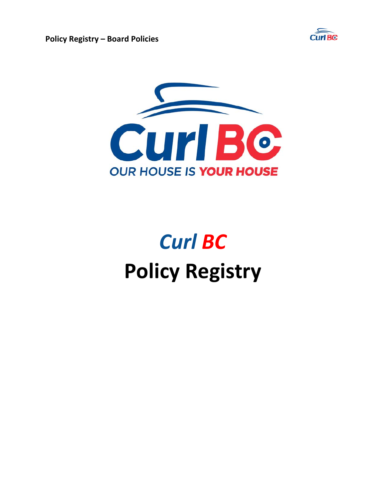

**Policy Registry – Board Policies** 



# *Curl BC*  **Policy Registry**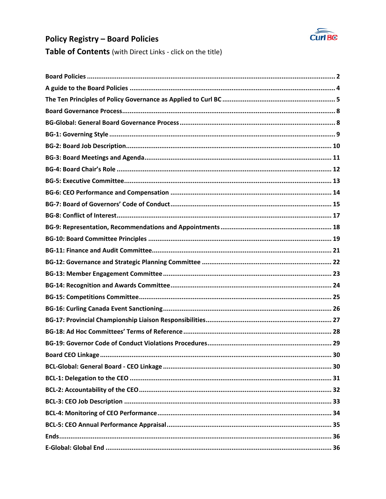

# **Policy Registry - Board Policies**

Table of Contents (with Direct Links - click on the title)

| 30 |
|----|
|    |
|    |
|    |
|    |
|    |
|    |
|    |
|    |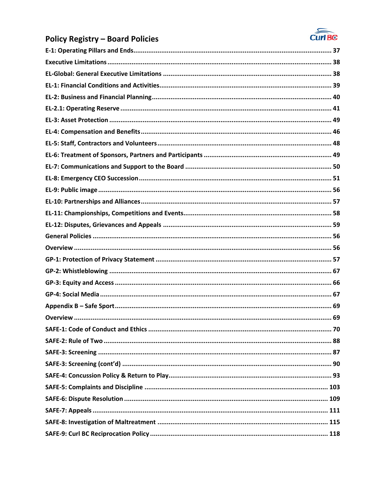

# **Policy Registry - Board Policies**

| <b>SAFE-1: Code of Conduct and Ethics.</b> | 70 |
|--------------------------------------------|----|
|                                            |    |
|                                            |    |
|                                            |    |
|                                            |    |
|                                            |    |
|                                            |    |
|                                            |    |
|                                            |    |
|                                            |    |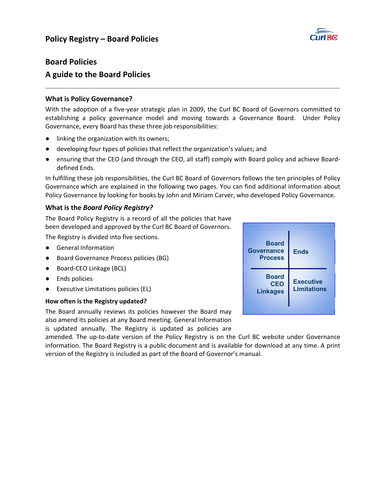

# **Board Policies**

# **A guide to the Board Policies**

#### **What is Policy Governance?**

With the adoption of a five-year strategic plan in 2009, the Curl BC Board of Governors committed to establishing a policy governance model and moving towards a Governance Board. Under Policy Governance, every Board has these three job responsibilities:

- linking the organization with its owners;
- developing four types of policies that reflect the organization's values; and
- ensuring that the CEO (and through the CEO, all staff) comply with Board policy and achieve Boarddefined Ends.

In fulfilling these job responsibilities, the Curl BC Board of Governors follows the ten principles of Policy Governance which are explained in the following two pages. You can find additional information about Policy Governance by looking for books by John and Miriam Carver, who developed Policy Governance.

#### **What is the** *Board Policy Registry?*

The Board Policy Registry is a record of all the policies that have been developed and approved by the Curl BC Board of Governors.

The Registry is divided into five sections.

- General Information
- Board Governance Process policies (BG)
- Board-CEO Linkage (BCL)
- Ends policies
- **Executive Limitations policies (EL)**

#### **How often is the Registry updated?**

The Board annually reviews its policies however the Board may also amend its policies at any Board meeting. General Information is updated annually. The Registry is updated as policies are

amended. The up-to-date version of the Policy Registry is on the Curl BC website under Governance information. The Board Registry is a public document and is available for download at any time. A print version of the Registry is included as part of the Board of Governor's manual.

| <b>Board</b><br><b>Governance</b><br><b>Process</b> | <b>Ends</b>                            |
|-----------------------------------------------------|----------------------------------------|
| <b>Board</b><br><b>CEO</b><br><b>Linkages</b>       | <b>Executive</b><br><b>Limitations</b> |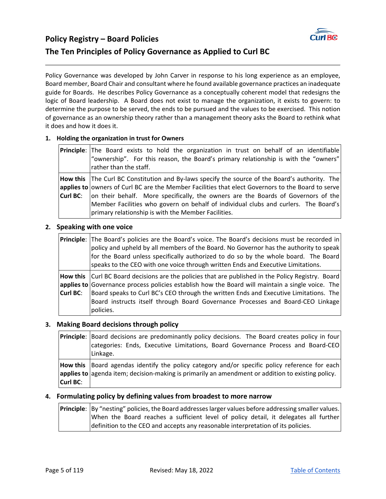

# **Policy Registry – Board Policies The Ten Principles of Policy Governance as Applied to Curl BC**

primary relationship is with the Member Facilities.

Policy Governance was developed by John Carver in response to his long experience as an employee, Board member, Board Chair and consultant where he found available governance practices an inadequate guide for Boards. He describes Policy Governance as a conceptually coherent model that redesigns the logic of Board leadership. A Board does not exist to manage the organization, it exists to govern: to determine the purpose to be served, the ends to be pursued and the values to be exercised. This notion of governance as an ownership theory rather than a management theory asks the Board to rethink what it does and how it does it.

#### **1. Holding the organization in trust for Owners**

| <b>Principle</b> : The Board exists to hold the organization in trust on behalf of an identifiable<br>"ownership". For this reason, the Board's primary relationship is with the "owners"<br>rather than the staff. |
|---------------------------------------------------------------------------------------------------------------------------------------------------------------------------------------------------------------------|
| How this $ $ The Curl BC Constitution and By-laws specify the source of the Board's authority. The                                                                                                                  |
| applies to owners of Curl BC are the Member Facilities that elect Governors to the Board to serve                                                                                                                   |
| <b>Curl BC:</b> $ $ on their behalf. More specifically, the owners are the Boards of Governors of the                                                                                                               |

Member Facilities who govern on behalf of individual clubs and curlers. The Board's

# **2. Speaking with one voice**

|                 | Principle: The Board's policies are the Board's voice. The Board's decisions must be recorded in<br>policy and upheld by all members of the Board. No Governor has the authority to speak<br>for the Board unless specifically authorized to do so by the whole board. The Board<br>speaks to the CEO with one voice through written Ends and Executive Limitations.                            |
|-----------------|-------------------------------------------------------------------------------------------------------------------------------------------------------------------------------------------------------------------------------------------------------------------------------------------------------------------------------------------------------------------------------------------------|
| <b>Curl BC:</b> | How this Curl BC Board decisions are the policies that are published in the Policy Registry. Board<br>applies to Governance process policies establish how the Board will maintain a single voice. The<br>Board speaks to Curl BC's CEO through the written Ends and Executive Limitations. The<br>Board instructs itself through Board Governance Processes and Board-CEO Linkage<br>policies. |

#### **3. Making Board decisions through policy**

|          | <b>Principle:</b> Board decisions are predominantly policy decisions. The Board creates policy in four<br>categories: Ends, Executive Limitations, Board Governance Process and Board-CEO<br>Linkage. |
|----------|-------------------------------------------------------------------------------------------------------------------------------------------------------------------------------------------------------|
| Curl BC: | How this  Board agendas identify the policy category and/or specific policy reference for each <br>applies to agenda item; decision-making is primarily an amendment or addition to existing policy.  |

#### **4. Formulating policy by defining values from broadest to more narrow**

**Principle**: |By "nesting" policies, the Board addresses larger values before addressing smaller values. When the Board reaches a sufficient level of policy detail, it delegates all further definition to the CEO and accepts any reasonable interpretation of its policies.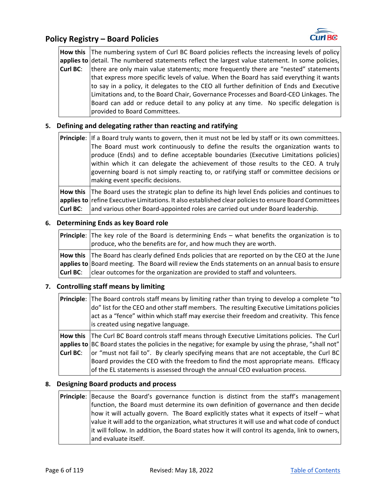**How this**  The numbering system of Curl BC Board policies reflects the increasing levels of policy **applies to**  detail. The numbered statements reflect the largest value statement. In some policies, **Curl BC**: there are only main value statements; more frequently there are "nested" statements that express more specific levels of value. When the Board has said everything it wants to say in a policy, it delegates to the CEO all further definition of Ends and Executive Limitations and, to the Board Chair, Governance Processes and Board‐CEO Linkages. The Board can add or reduce detail to any policy at any time. No specific delegation is provided to Board Committees.

#### **5. Defining and delegating rather than reacting and ratifying**

**Principle**: If a Board truly wants to govern, then it must not be led by staff or its own committees. The Board must work continuously to define the results the organization wants to produce (Ends) and to define acceptable boundaries (Executive Limitations policies) within which it can delegate the achievement of those results to the CEO. A truly governing board is not simply reacting to, or ratifying staff or committee decisions or making event specific decisions.

**How this applies to**  refine Executive Limitations. It also established clear policies to ensure Board Committees **Curl BC**: The Board uses the strategic plan to define its high level Ends policies and continues to and various other Board‐appointed roles are carried out under Board leadership.

#### **6. Determining Ends as key Board role**

**Principle**: The key role of the Board is determining Ends - what benefits the organization is to produce, who the benefits are for, and how much they are worth. **How this applies to**  Board meeting. The Board will review the Ends statements on an annual basis to ensure **Curl BC**: The Board has clearly defined Ends policies that are reported on by the CEO at the June clear outcomes for the organization are provided to staff and volunteers.

#### **7. Controlling staff means by limiting**

|          | <b>Principle:</b> The Board controls staff means by limiting rather than trying to develop a complete "to<br>do" list for the CEO and other staff members. The resulting Executive Limitations policies<br>act as a "fence" within which staff may exercise their freedom and creativity. This fence<br>is created using negative language. |
|----------|---------------------------------------------------------------------------------------------------------------------------------------------------------------------------------------------------------------------------------------------------------------------------------------------------------------------------------------------|
|          | How this The Curl BC Board controls staff means through Executive Limitations policies. The Curl                                                                                                                                                                                                                                            |
|          | applies to BC Board states the policies in the negative; for example by using the phrase, "shall not"                                                                                                                                                                                                                                       |
| Curl BC: | or "must not fail to". By clearly specifying means that are not acceptable, the Curl BC                                                                                                                                                                                                                                                     |
|          | Board provides the CEO with the freedom to find the most appropriate means. Efficacy                                                                                                                                                                                                                                                        |
|          | of the EL statements is assessed through the annual CEO evaluation process.                                                                                                                                                                                                                                                                 |

#### **8. Designing Board products and process**

**Principle**: Because the Board's governance function is distinct from the staff's management function, the Board must determine its own definition of governance and then decide how it will actually govern. The Board explicitly states what it expects of itself – what value it will add to the organization, what structures it will use and what code of conduct it will follow. In addition, the Board states how it will control its agenda, link to owners, and evaluate itself.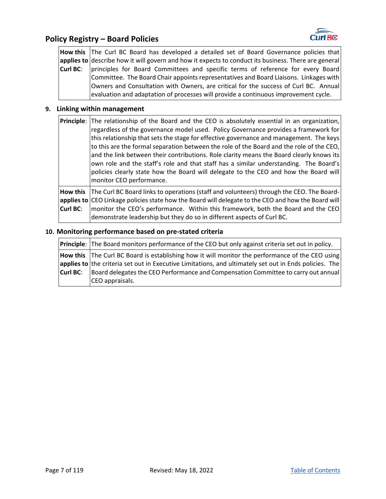

#### **Policy Registry – Board Policies**

**How this**  The Curl BC Board has developed a detailed set of Board Governance policies that **applies to**  describe how it will govern and how it expects to conduct its business. There are general **Curl BC**: principles for Board Committees and specific terms of reference for every Board Committee. The Board Chair appoints representatives and Board Liaisons. Linkages with Owners and Consultation with Owners, are critical for the success of Curl BC. Annual evaluation and adaptation of processes will provide a continuous improvement cycle.

#### **9. Linking within management**

| <b>Principle</b> : The relationship of the Board and the CEO is absolutely essential in an organization,<br>regardless of the governance model used. Policy Governance provides a framework for<br>this relationship that sets the stage for effective governance and management. The keys<br>to this are the formal separation between the role of the Board and the role of the CEO,<br>and the link between their contributions. Role clarity means the Board clearly knows its<br>own role and the staff's role and that staff has a similar understanding. The Board's<br>policies clearly state how the Board will delegate to the CEO and how the Board will<br>monitor CEO performance. |
|-------------------------------------------------------------------------------------------------------------------------------------------------------------------------------------------------------------------------------------------------------------------------------------------------------------------------------------------------------------------------------------------------------------------------------------------------------------------------------------------------------------------------------------------------------------------------------------------------------------------------------------------------------------------------------------------------|
| How this The Curl BC Board links to operations (staff and volunteers) through the CEO. The Board-<br>applies to CEO Linkage policies state how the Board will delegate to the CEO and how the Board will                                                                                                                                                                                                                                                                                                                                                                                                                                                                                        |
|                                                                                                                                                                                                                                                                                                                                                                                                                                                                                                                                                                                                                                                                                                 |

**Curl BC**: monitor the CEO's performance. Within this framework, both the Board and the CEO demonstrate leadership but they do so in different aspects of Curl BC.

#### **10. Monitoring performance based on pre‐stated criteria**

**Principle**: The Board monitors performance of the CEO but only against criteria set out in policy. **How this**  applies to the criteria set out in Executive Limitations, and ultimately set out in Ends policies. The **Curl BC**: The Curl BC Board is establishing how it will monitor the performance of the CEO using Board delegates the CEO Performance and Compensation Committee to carry out annual CEO appraisals.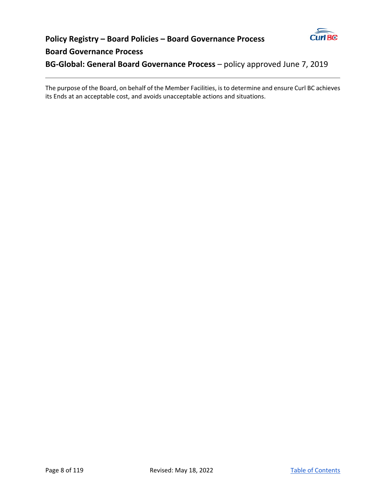

# **Policy Registry – Board Policies – Board Governance Process Board Governance Process**

**BG‐Global: General Board Governance Process** – policy approved June 7, 2019

The purpose of the Board, on behalf of the Member Facilities, is to determine and ensure Curl BC achieves its Ends at an acceptable cost, and avoids unacceptable actions and situations.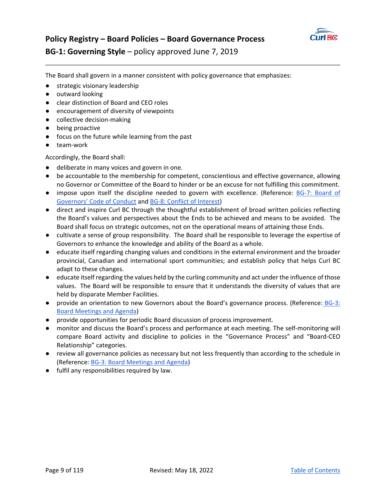

# **Policy Registry – Board Policies – Board Governance Process BG‐1: Governing Style** – policy approved June 7, 2019

The Board shall govern in a manner consistent with policy governance that emphasizes:

- strategic visionary leadership
- outward looking
- clear distinction of Board and CEO roles
- encouragement of diversity of viewpoints
- collective decision-making
- being proactive
- focus on the future while learning from the past
- team-work

Accordingly, the Board shall:

- deliberate in many voices and govern in one.
- be accountable to the membership for competent, conscientious and effective governance, allowing no Governor or Committee of the Board to hinder or be an excuse for not fulfilling this commitment.
- impose upon itself the discipline needed to govern with excellence. (Reference: BG-7: Board of Governors' Code of Conduct and BG‐8: Conflict of Interest)
- direct and inspire Curl BC through the thoughtful establishment of broad written policies reflecting the Board's values and perspectives about the Ends to be achieved and means to be avoided. The Board shall focus on strategic outcomes, not on the operational means of attaining those Ends.
- cultivate a sense of group responsibility. The Board shall be responsible to leverage the expertise of Governors to enhance the knowledge and ability of the Board as a whole.
- educate itself regarding changing values and conditions in the external environment and the broader provincial, Canadian and international sport communities; and establish policy that helps Curl BC adapt to these changes.
- educate itself regarding the values held by the curling community and act under the influence of those values. The Board will be responsible to ensure that it understands the diversity of values that are held by disparate Member Facilities.
- provide an orientation to new Governors about the Board's governance process. (Reference: BG-3: Board Meetings and Agenda)
- provide opportunities for periodic Board discussion of process improvement.
- monitor and discuss the Board's process and performance at each meeting. The self-monitoring will compare Board activity and discipline to policies in the "Governance Process" and "Board‐CEO Relationship" categories.
- review all governance policies as necessary but not less frequently than according to the schedule in (Reference: BG‐3: Board Meetings and Agenda)
- fulfil any responsibilities required by law.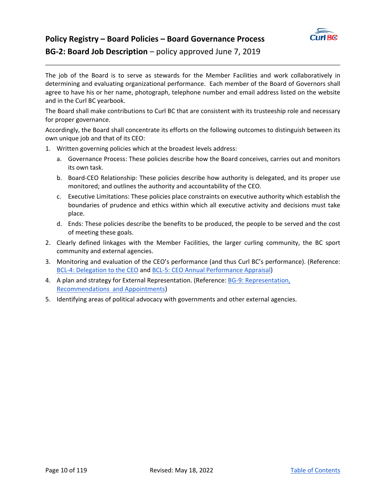

# **Policy Registry – Board Policies – Board Governance Process BG-2: Board Job Description** – policy approved June 7, 2019

The job of the Board is to serve as stewards for the Member Facilities and work collaboratively in determining and evaluating organizational performance. Each member of the Board of Governors shall agree to have his or her name, photograph, telephone number and email address listed on the website and in the Curl BC yearbook.

The Board shall make contributions to Curl BC that are consistent with its trusteeship role and necessary for proper governance.

Accordingly, the Board shall concentrate its efforts on the following outcomes to distinguish between its own unique job and that of its CEO:

- 1. Written governing policies which at the broadest levels address:
	- a. Governance Process: These policies describe how the Board conceives, carries out and monitors its own task.
	- b. Board‐CEO Relationship: These policies describe how authority is delegated, and its proper use monitored; and outlines the authority and accountability of the CEO.
	- c. Executive Limitations: These policies place constraints on executive authority which establish the boundaries of prudence and ethics within which all executive activity and decisions must take place.
	- d. Ends: These policies describe the benefits to be produced, the people to be served and the cost of meeting these goals.
- 2. Clearly defined linkages with the Member Facilities, the larger curling community, the BC sport community and external agencies.
- 3. Monitoring and evaluation of the CEO's performance (and thus Curl BC's performance). (Reference: BCL-4: Delegation to the CEO and BCL-5: CEO Annual Performance Appraisal)
- 4. A plan and strategy for External Representation. (Reference: BG‐9: Representation, Recommendations and Appointments)
- 5. Identifying areas of political advocacy with governments and other external agencies.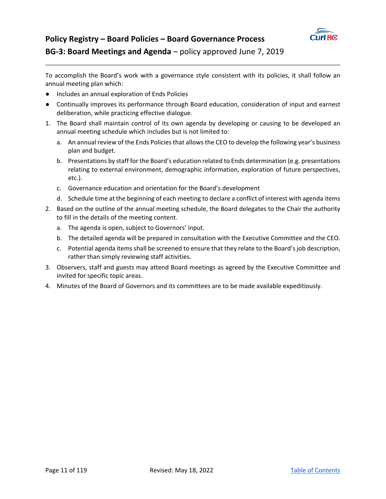

# **Policy Registry – Board Policies – Board Governance Process BG‐3: Board Meetings and Agenda** – policy approved June 7, 2019

To accomplish the Board's work with a governance style consistent with its policies, it shall follow an annual meeting plan which:

- Includes an annual exploration of Ends Policies
- Continually improves its performance through Board education, consideration of input and earnest deliberation, while practicing effective dialogue.
- 1. The Board shall maintain control of its own agenda by developing or causing to be developed an annual meeting schedule which includes but is not limited to:
	- a. An annual review of the Ends Policies that allows the CEO to develop the following year's business plan and budget.
	- b. Presentations by staff for the Board's education related to Ends determination (e.g. presentations relating to external environment, demographic information, exploration of future perspectives, etc.).
	- c. Governance education and orientation for the Board's development
	- d. Schedule time at the beginning of each meeting to declare a conflict of interest with agenda items
- 2. Based on the outline of the annual meeting schedule, the Board delegates to the Chair the authority to fill in the details of the meeting content.
	- a. The agenda is open, subject to Governors' input.
	- b. The detailed agenda will be prepared in consultation with the Executive Committee and the CEO.
	- c. Potential agenda items shall be screened to ensure that they relate to the Board's job description, rather than simply reviewing staff activities.
- 3. Observers, staff and guests may attend Board meetings as agreed by the Executive Committee and invited for specific topic areas.
- 4. Minutes of the Board of Governors and its committees are to be made available expeditiously.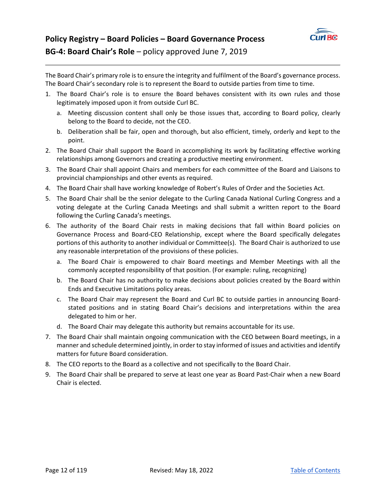

The Board Chair's primary role is to ensure the integrity and fulfilment of the Board's governance process. The Board Chair's secondary role is to represent the Board to outside parties from time to time.

- 1. The Board Chair's role is to ensure the Board behaves consistent with its own rules and those legitimately imposed upon it from outside Curl BC.
	- a. Meeting discussion content shall only be those issues that, according to Board policy, clearly belong to the Board to decide, not the CEO.
	- b. Deliberation shall be fair, open and thorough, but also efficient, timely, orderly and kept to the point.
- 2. The Board Chair shall support the Board in accomplishing its work by facilitating effective working relationships among Governors and creating a productive meeting environment.
- 3. The Board Chair shall appoint Chairs and members for each committee of the Board and Liaisons to provincial championships and other events as required.
- 4. The Board Chair shall have working knowledge of Robert's Rules of Order and the Societies Act.
- 5. The Board Chair shall be the senior delegate to the Curling Canada National Curling Congress and a voting delegate at the Curling Canada Meetings and shall submit a written report to the Board following the Curling Canada's meetings.
- 6. The authority of the Board Chair rests in making decisions that fall within Board policies on Governance Process and Board-CEO Relationship, except where the Board specifically delegates portions of this authority to another individual or Committee(s). The Board Chair is authorized to use any reasonable interpretation of the provisions of these policies.
	- a. The Board Chair is empowered to chair Board meetings and Member Meetings with all the commonly accepted responsibility of that position. (For example: ruling, recognizing)
	- b. The Board Chair has no authority to make decisions about policies created by the Board within Ends and Executive Limitations policy areas.
	- c. The Board Chair may represent the Board and Curl BC to outside parties in announcing Board‐ stated positions and in stating Board Chair's decisions and interpretations within the area delegated to him or her.
	- d. The Board Chair may delegate this authority but remains accountable for its use.
- 7. The Board Chair shall maintain ongoing communication with the CEO between Board meetings, in a manner and schedule determined jointly, in order to stay informed of issues and activities and identify matters for future Board consideration.
- 8. The CEO reports to the Board as a collective and not specifically to the Board Chair.
- 9. The Board Chair shall be prepared to serve at least one year as Board Past-Chair when a new Board Chair is elected.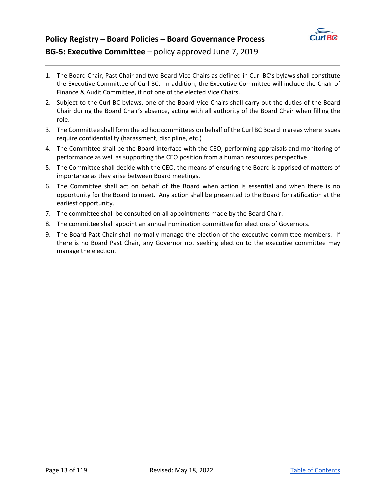

# **Policy Registry – Board Policies – Board Governance Process BG‐5: Executive Committee** – policy approved June 7, 2019

- 1. The Board Chair, Past Chair and two Board Vice Chairs as defined in Curl BC's bylaws shall constitute the Executive Committee of Curl BC. In addition, the Executive Committee will include the ChaIr of Finance & Audit Committee, if not one of the elected Vice Chairs.
- 2. Subject to the Curl BC bylaws, one of the Board Vice Chairs shall carry out the duties of the Board Chair during the Board Chair's absence, acting with all authority of the Board Chair when filling the role.
- 3. The Committee shall form the ad hoc committees on behalf of the Curl BC Board in areas where issues require confidentiality (harassment, discipline, etc.)
- 4. The Committee shall be the Board interface with the CEO, performing appraisals and monitoring of performance as well as supporting the CEO position from a human resources perspective.
- 5. The Committee shall decide with the CEO, the means of ensuring the Board is apprised of matters of importance as they arise between Board meetings.
- 6. The Committee shall act on behalf of the Board when action is essential and when there is no opportunity for the Board to meet. Any action shall be presented to the Board for ratification at the earliest opportunity.
- 7. The committee shall be consulted on all appointments made by the Board Chair.
- 8. The committee shall appoint an annual nomination committee for elections of Governors.
- 9. The Board Past Chair shall normally manage the election of the executive committee members. If there is no Board Past Chair, any Governor not seeking election to the executive committee may manage the election.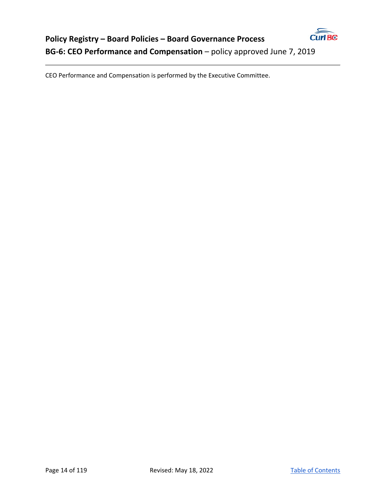

CEO Performance and Compensation is performed by the Executive Committee.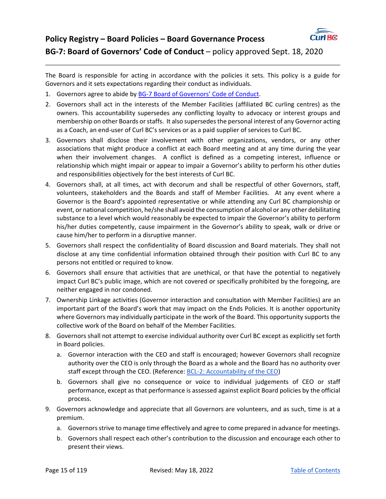

# **Policy Registry – Board Policies – Board Governance Process BG-7: Board of Governors' Code of Conduct** – policy approved Sept. 18, 2020

The Board is responsible for acting in accordance with the policies it sets. This policy is a guide for Governors and it sets expectations regarding their conduct as individuals.

- 1. Governors agree to abide by BG-7 Board of Governors' Code of Conduct.
- 2. Governors shall act in the interests of the Member Facilities (affiliated BC curling centres) as the owners. This accountability supersedes any conflicting loyalty to advocacy or interest groups and membership on other Boards or staffs. It also supersedes the personal interest of any Governor acting as a Coach, an end-user of Curl BC's services or as a paid supplier of services to Curl BC.
- 3. Governors shall disclose their involvement with other organizations, vendors, or any other associations that might produce a conflict at each Board meeting and at any time during the year when their involvement changes. A conflict is defined as a competing interest, influence or relationship which might impair or appear to impair a Governor's ability to perform his other duties and responsibilities objectively for the best interests of Curl BC.
- 4. Governors shall, at all times, act with decorum and shall be respectful of other Governors, staff, volunteers, stakeholders and the Boards and staff of Member Facilities. At any event where a Governor is the Board's appointed representative or while attending any Curl BC championship or event, or national competition, he/she shall avoid the consumption of alcohol or any other debilitating substance to a level which would reasonably be expected to impair the Governor's ability to perform his/her duties competently, cause impairment in the Governor's ability to speak, walk or drive or cause him/her to perform in a disruptive manner.
- 5. Governors shall respect the confidentiality of Board discussion and Board materials. They shall not disclose at any time confidential information obtained through their position with Curl BC to any persons not entitled or required to know.
- 6. Governors shall ensure that activities that are unethical, or that have the potential to negatively impact Curl BC's public image, which are not covered or specifically prohibited by the foregoing, are neither engaged in nor condoned.
- 7. Ownership Linkage activities (Governor interaction and consultation with Member Facilities) are an important part of the Board's work that may impact on the Ends Policies. It is another opportunity where Governors may individually participate in the work of the Board. This opportunity supports the collective work of the Board on behalf of the Member Facilities.
- 8. Governors shall not attempt to exercise individual authority over Curl BC except as explicitly set forth in Board policies.
	- a. Governor interaction with the CEO and staff is encouraged; however Governors shall recognize authority over the CEO is only through the Board as a whole and the Board has no authority over staff except through the CEO. (Reference: BCL-2: Accountability of the CEO)
	- b. Governors shall give no consequence or voice to individual judgements of CEO or staff performance, except as that performance is assessed against explicit Board policies by the official process.
- 9. Governors acknowledge and appreciate that all Governors are volunteers, and as such, time is at a premium.
	- a. Governors strive to manage time effectively and agree to come prepared in advance for meetings.
	- b. Governors shall respect each other's contribution to the discussion and encourage each other to present their views.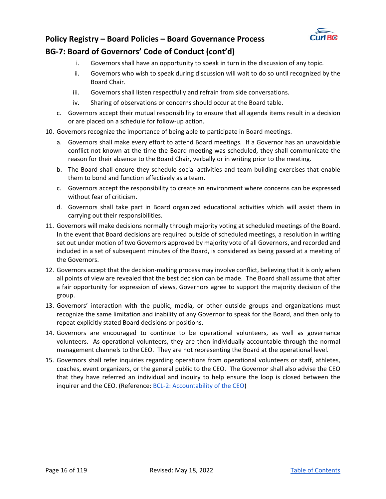

# **Policy Registry – Board Policies – Board Governance Process BG‐7: Board of Governors' Code of Conduct (cont'd)**

- i. Governors shall have an opportunity to speak in turn in the discussion of any topic.
- ii. Governors who wish to speak during discussion will wait to do so until recognized by the Board Chair.
- iii. Governors shall listen respectfully and refrain from side conversations.
- iv. Sharing of observations or concerns should occur at the Board table.
- c. Governors accept their mutual responsibility to ensure that all agenda items result in a decision or are placed on a schedule for follow‐up action.
- 10. Governors recognize the importance of being able to participate in Board meetings.
	- a. Governors shall make every effort to attend Board meetings. If a Governor has an unavoidable conflict not known at the time the Board meeting was scheduled, they shall communicate the reason for their absence to the Board Chair, verbally or in writing prior to the meeting.
	- b. The Board shall ensure they schedule social activities and team building exercises that enable them to bond and function effectively as a team.
	- c. Governors accept the responsibility to create an environment where concerns can be expressed without fear of criticism.
	- d. Governors shall take part in Board organized educational activities which will assist them in carrying out their responsibilities.
- 11. Governors will make decisions normally through majority voting at scheduled meetings of the Board. In the event that Board decisions are required outside of scheduled meetings, a resolution in writing set out under motion of two Governors approved by majority vote of all Governors, and recorded and included in a set of subsequent minutes of the Board, is considered as being passed at a meeting of the Governors.
- 12. Governors accept that the decision-making process may involve conflict, believing that it is only when all points of view are revealed that the best decision can be made. The Board shall assume that after a fair opportunity for expression of views, Governors agree to support the majority decision of the group.
- 13. Governors' interaction with the public, media, or other outside groups and organizations must recognize the same limitation and inability of any Governor to speak for the Board, and then only to repeat explicitly stated Board decisions or positions.
- 14. Governors are encouraged to continue to be operational volunteers, as well as governance volunteers. As operational volunteers, they are then individually accountable through the normal management channels to the CEO. They are not representing the Board at the operational level.
- 15. Governors shall refer inquiries regarding operations from operational volunteers or staff, athletes, coaches, event organizers, or the general public to the CEO. The Governor shall also advise the CEO that they have referred an individual and inquiry to help ensure the loop is closed between the inquirer and the CEO. (Reference: BCL-2: Accountability of the CEO)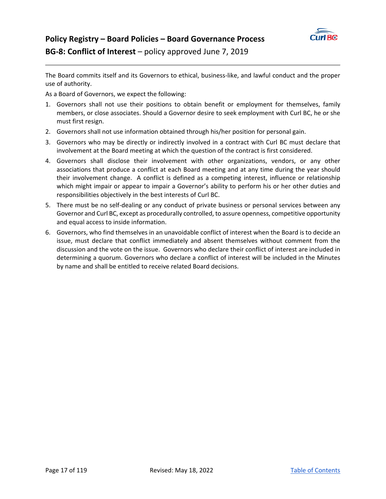

The Board commits itself and its Governors to ethical, business‐like, and lawful conduct and the proper use of authority.

As a Board of Governors, we expect the following:

- 1. Governors shall not use their positions to obtain benefit or employment for themselves, family members, or close associates. Should a Governor desire to seek employment with Curl BC, he or she must first resign.
- 2. Governors shall not use information obtained through his/her position for personal gain.
- 3. Governors who may be directly or indirectly involved in a contract with Curl BC must declare that involvement at the Board meeting at which the question of the contract is first considered.
- 4. Governors shall disclose their involvement with other organizations, vendors, or any other associations that produce a conflict at each Board meeting and at any time during the year should their involvement change. A conflict is defined as a competing interest, influence or relationship which might impair or appear to impair a Governor's ability to perform his or her other duties and responsibilities objectively in the best interests of Curl BC.
- 5. There must be no self-dealing or any conduct of private business or personal services between any Governor and Curl BC, except as procedurally controlled, to assure openness, competitive opportunity and equal access to inside information.
- 6. Governors, who find themselves in an unavoidable conflict of interest when the Board is to decide an issue, must declare that conflict immediately and absent themselves without comment from the discussion and the vote on the issue. Governors who declare their conflict of interest are included in determining a quorum. Governors who declare a conflict of interest will be included in the Minutes by name and shall be entitled to receive related Board decisions.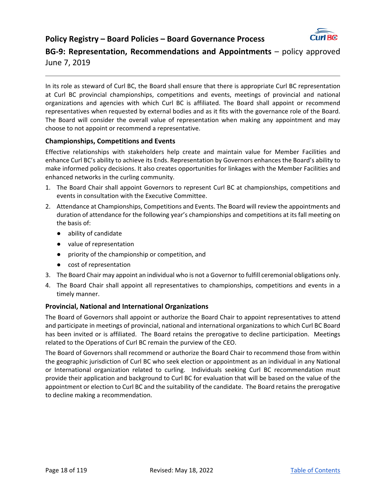

**BG‐9: Representation, Recommendations and Appointments** – policy approved June 7, 2019

In its role as steward of Curl BC, the Board shall ensure that there is appropriate Curl BC representation at Curl BC provincial championships, competitions and events, meetings of provincial and national organizations and agencies with which Curl BC is affiliated. The Board shall appoint or recommend representatives when requested by external bodies and as it fits with the governance role of the Board. The Board will consider the overall value of representation when making any appointment and may choose to not appoint or recommend a representative.

#### **Championships, Competitions and Events**

Effective relationships with stakeholders help create and maintain value for Member Facilities and enhance Curl BC's ability to achieve its Ends. Representation by Governors enhances the Board's ability to make informed policy decisions. It also creates opportunities for linkages with the Member Facilities and enhanced networks in the curling community.

- 1. The Board Chair shall appoint Governors to represent Curl BC at championships, competitions and events in consultation with the Executive Committee.
- 2. Attendance at Championships, Competitions and Events. The Board will review the appointments and duration of attendance for the following year's championships and competitions at its fall meeting on the basis of:
	- ability of candidate
	- value of representation
	- priority of the championship or competition, and
	- cost of representation
- 3. The Board Chair may appoint an individual who is not a Governor to fulfill ceremonial obligations only.
- 4. The Board Chair shall appoint all representatives to championships, competitions and events in a timely manner.

#### **Provincial, National and International Organizations**

The Board of Governors shall appoint or authorize the Board Chair to appoint representatives to attend and participate in meetings of provincial, national and international organizations to which Curl BC Board has been invited or is affiliated. The Board retains the prerogative to decline participation. Meetings related to the Operations of Curl BC remain the purview of the CEO.

The Board of Governors shall recommend or authorize the Board Chair to recommend those from within the geographic jurisdiction of Curl BC who seek election or appointment as an individual in any National or International organization related to curling. Individuals seeking Curl BC recommendation must provide their application and background to Curl BC for evaluation that will be based on the value of the appointment or election to Curl BC and the suitability of the candidate. The Board retains the prerogative to decline making a recommendation.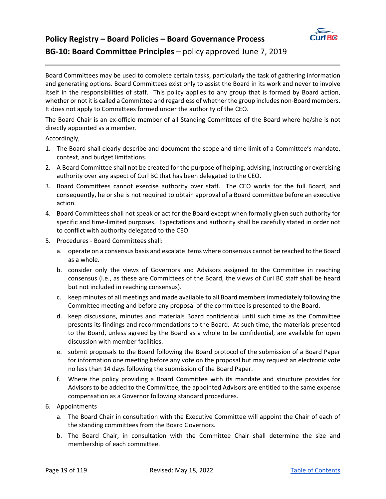

# **Policy Registry – Board Policies – Board Governance Process BG-10: Board Committee Principles** – policy approved June 7, 2019

Board Committees may be used to complete certain tasks, particularly the task of gathering information and generating options. Board Committees exist only to assist the Board in its work and never to involve itself in the responsibilities of staff. This policy applies to any group that is formed by Board action, whether or not it is called a Committee and regardless of whether the group includes non-Board members. It does not apply to Committees formed under the authority of the CEO.

The Board Chair is an ex‐officio member of all Standing Committees of the Board where he/she is not directly appointed as a member.

Accordingly,

- 1. The Board shall clearly describe and document the scope and time limit of a Committee's mandate, context, and budget limitations.
- 2. A Board Committee shall not be created for the purpose of helping, advising, instructing or exercising authority over any aspect of Curl BC that has been delegated to the CEO.
- 3. Board Committees cannot exercise authority over staff. The CEO works for the full Board, and consequently, he or she is not required to obtain approval of a Board committee before an executive action.
- 4. Board Committees shall not speak or act for the Board except when formally given such authority for specific and time‐limited purposes. Expectations and authority shall be carefully stated in order not to conflict with authority delegated to the CEO.
- 5. Procedures ‐ Board Committees shall:
	- a. operate on a consensus basis and escalate items where consensus cannot be reached to the Board as a whole.
	- b. consider only the views of Governors and Advisors assigned to the Committee in reaching consensus (i.e., as these are Committees of the Board, the views of Curl BC staff shall be heard but not included in reaching consensus).
	- c. keep minutes of all meetings and made available to all Board members immediately following the Committee meeting and before any proposal of the committee is presented to the Board.
	- d. keep discussions, minutes and materials Board confidential until such time as the Committee presents its findings and recommendations to the Board. At such time, the materials presented to the Board, unless agreed by the Board as a whole to be confidential, are available for open discussion with member facilities.
	- e. submit proposals to the Board following the Board protocol of the submission of a Board Paper for information one meeting before any vote on the proposal but may request an electronic vote no less than 14 days following the submission of the Board Paper.
	- f. Where the policy providing a Board Committee with its mandate and structure provides for Advisors to be added to the Committee, the appointed Advisors are entitled to the same expense compensation as a Governor following standard procedures.
- 6. Appointments
	- a. The Board Chair in consultation with the Executive Committee will appoint the Chair of each of the standing committees from the Board Governors.
	- b. The Board Chair, in consultation with the Committee Chair shall determine the size and membership of each committee.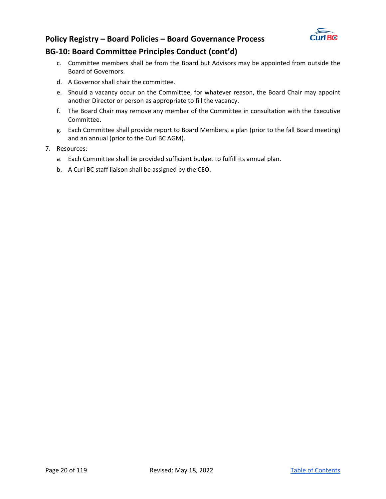

## **BG‐10: Board Committee Principles Conduct (cont'd)**

- c. Committee members shall be from the Board but Advisors may be appointed from outside the Board of Governors.
- d. A Governor shall chair the committee.
- e. Should a vacancy occur on the Committee, for whatever reason, the Board Chair may appoint another Director or person as appropriate to fill the vacancy.
- f. The Board Chair may remove any member of the Committee in consultation with the Executive Committee.
- g. Each Committee shall provide report to Board Members, a plan (prior to the fall Board meeting) and an annual (prior to the Curl BC AGM).
- 7. Resources:
	- a. Each Committee shall be provided sufficient budget to fulfill its annual plan.
	- b. A Curl BC staff liaison shall be assigned by the CEO.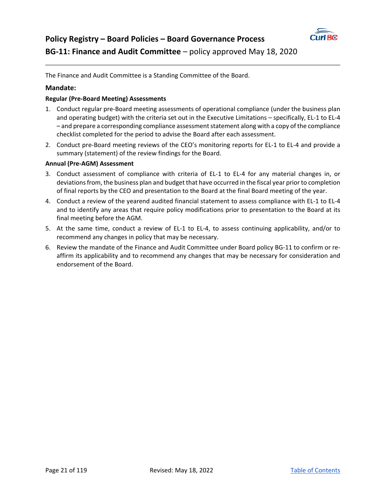

The Finance and Audit Committee is a Standing Committee of the Board.

#### **Mandate:**

#### **Regular (Pre‐Board Meeting) Assessments**

- 1. Conduct regular pre‐Board meeting assessments of operational compliance (under the business plan and operating budget) with the criteria set out in the Executive Limitations – specifically, EL‐1 to EL‐4 – and prepare a corresponding compliance assessment statement along with a copy of the compliance checklist completed for the period to advise the Board after each assessment.
- 2. Conduct pre-Board meeting reviews of the CEO's monitoring reports for EL-1 to EL-4 and provide a summary (statement) of the review findings for the Board.

#### **Annual (Pre‐AGM) Assessment**

- 3. Conduct assessment of compliance with criteria of EL‐1 to EL‐4 for any material changes in, or deviations from, the business plan and budget that have occurred in the fiscal year prior to completion of final reports by the CEO and presentation to the Board at the final Board meeting of the year.
- 4. Conduct a review of the yearend audited financial statement to assess compliance with EL‐1 to EL‐4 and to identify any areas that require policy modifications prior to presentation to the Board at its final meeting before the AGM.
- 5. At the same time, conduct a review of EL-1 to EL-4, to assess continuing applicability, and/or to recommend any changes in policy that may be necessary.
- 6. Review the mandate of the Finance and Audit Committee under Board policy BG-11 to confirm or reaffirm its applicability and to recommend any changes that may be necessary for consideration and endorsement of the Board.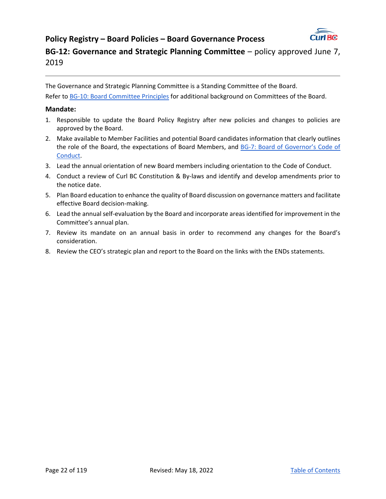

**BG-12: Governance and Strategic Planning Committee** – policy approved June 7, 2019

The Governance and Strategic Planning Committee is a Standing Committee of the Board.

Refer to BG-10: Board Committee Principles for additional background on Committees of the Board.

#### **Mandate:**

- 1. Responsible to update the Board Policy Registry after new policies and changes to policies are approved by the Board.
- 2. Make available to Member Facilities and potential Board candidates information that clearly outlines the role of the Board, the expectations of Board Members, and BG-7: Board of Governor's Code of Conduct.
- 3. Lead the annual orientation of new Board members including orientation to the Code of Conduct.
- 4. Conduct a review of Curl BC Constitution & By-laws and identify and develop amendments prior to the notice date.
- 5. Plan Board education to enhance the quality of Board discussion on governance matters and facilitate effective Board decision‐making.
- 6. Lead the annual self‐evaluation by the Board and incorporate areas identified for improvement in the Committee's annual plan.
- 7. Review its mandate on an annual basis in order to recommend any changes for the Board's consideration.
- 8. Review the CEO's strategic plan and report to the Board on the links with the ENDs statements.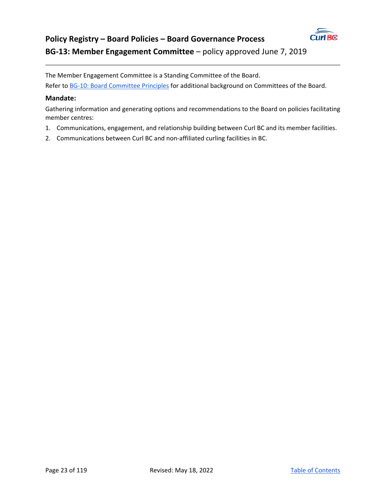

# **Policy Registry – Board Policies – Board Governance Process BG‐13: Member Engagement Committee** – policy approved June 7, 2019

The Member Engagement Committee is a Standing Committee of the Board.

Refer to BG-10: Board Committee Principles for additional background on Committees of the Board.

#### **Mandate:**

Gathering information and generating options and recommendations to the Board on policies facilitating member centres:

- 1. Communications, engagement, and relationship building between Curl BC and its member facilities.
- 2. Communications between Curl BC and non-affiliated curling facilities in BC.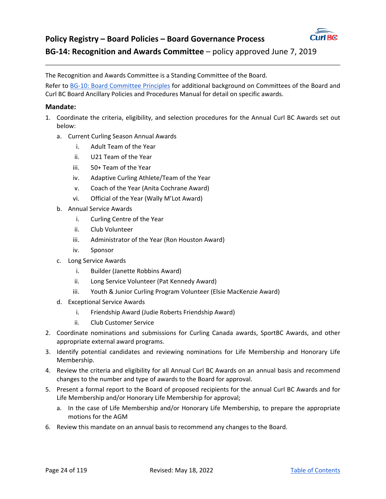

# **Policy Registry – Board Policies – Board Governance Process BG‐14: Recognition and Awards Committee** – policy approved June 7, 2019

The Recognition and Awards Committee is a Standing Committee of the Board.

Refer to BG-10: Board Committee Principles for additional background on Committees of the Board and Curl BC Board Ancillary Policies and Procedures Manual for detail on specific awards.

#### **Mandate:**

- 1. Coordinate the criteria, eligibility, and selection procedures for the Annual Curl BC Awards set out below:
	- a. Current Curling Season Annual Awards
		- i. Adult Team of the Year
		- ii. U21 Team of the Year
		- iii. 50+ Team of the Year
		- iv. Adaptive Curling Athlete/Team of the Year
		- v. Coach of the Year (Anita Cochrane Award)
		- vi. Official of the Year (Wally M'Lot Award)
	- b. Annual Service Awards
		- i. Curling Centre of the Year
		- ii. Club Volunteer
		- iii. Administrator of the Year (Ron Houston Award)
		- iv. Sponsor
	- c. Long Service Awards
		- i. Builder (Janette Robbins Award)
		- ii. Long Service Volunteer (Pat Kennedy Award)
		- iii. Youth & Junior Curling Program Volunteer (Elsie MacKenzie Award)
	- d. Exceptional Service Awards
		- i. Friendship Award (Judie Roberts Friendship Award)
		- ii. Club Customer Service
- 2. Coordinate nominations and submissions for Curling Canada awards, SportBC Awards, and other appropriate external award programs.
- 3. Identify potential candidates and reviewing nominations for Life Membership and Honorary Life Membership.
- 4. Review the criteria and eligibility for all Annual Curl BC Awards on an annual basis and recommend changes to the number and type of awards to the Board for approval.
- 5. Present a formal report to the Board of proposed recipients for the annual Curl BC Awards and for Life Membership and/or Honorary Life Membership for approval;
	- a. In the case of Life Membership and/or Honorary Life Membership, to prepare the appropriate motions for the AGM
- 6. Review this mandate on an annual basis to recommend any changes to the Board.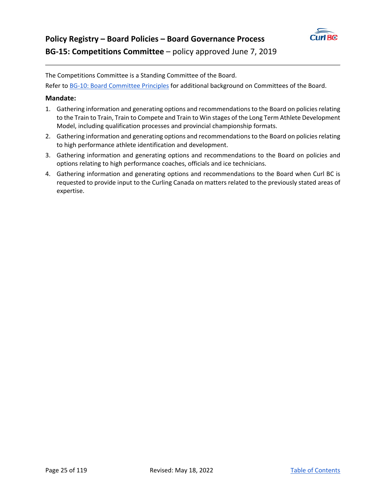

The Competitions Committee is a Standing Committee of the Board.

Refer to BG-10: Board Committee Principles for additional background on Committees of the Board.

#### **Mandate:**

- 1. Gathering information and generating options and recommendations to the Board on policies relating to the Train to Train, Train to Compete and Train to Win stages of the Long Term Athlete Development Model, including qualification processes and provincial championship formats.
- 2. Gathering information and generating options and recommendations to the Board on policies relating to high performance athlete identification and development.
- 3. Gathering information and generating options and recommendations to the Board on policies and options relating to high performance coaches, officials and ice technicians.
- 4. Gathering information and generating options and recommendations to the Board when Curl BC is requested to provide input to the Curling Canada on matters related to the previously stated areas of expertise.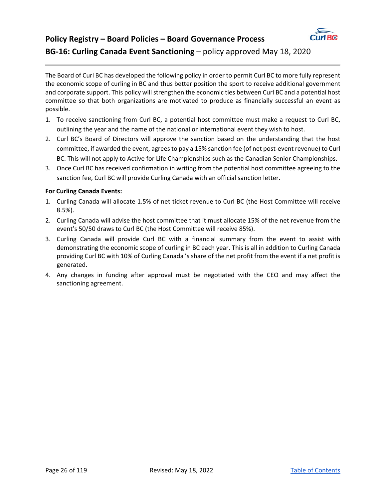

# **Policy Registry – Board Policies – Board Governance Process BG-16: Curling Canada Event Sanctioning – policy approved May 18, 2020**

The Board of Curl BC has developed the following policy in order to permit Curl BC to more fully represent the economic scope of curling in BC and thus better position the sport to receive additional government and corporate support. This policy will strengthen the economic ties between Curl BC and a potential host committee so that both organizations are motivated to produce as financially successful an event as possible.

- 1. To receive sanctioning from Curl BC, a potential host committee must make a request to Curl BC, outlining the year and the name of the national or international event they wish to host.
- 2. Curl BC's Board of Directors will approve the sanction based on the understanding that the host committee, if awarded the event, agrees to pay a 15% sanction fee (of net post-event revenue) to Curl BC. This will not apply to Active for Life Championships such as the Canadian Senior Championships.
- 3. Once Curl BC has received confirmation in writing from the potential host committee agreeing to the sanction fee, Curl BC will provide Curling Canada with an official sanction letter.

#### **For Curling Canada Events:**

- 1. Curling Canada will allocate 1.5% of net ticket revenue to Curl BC (the Host Committee will receive 8.5%).
- 2. Curling Canada will advise the host committee that it must allocate 15% of the net revenue from the event's 50/50 draws to Curl BC (the Host Committee will receive 85%).
- 3. Curling Canada will provide Curl BC with a financial summary from the event to assist with demonstrating the economic scope of curling in BC each year. This is all in addition to Curling Canada providing Curl BC with 10% of Curling Canada 's share of the net profit from the event if a net profit is generated.
- 4. Any changes in funding after approval must be negotiated with the CEO and may affect the sanctioning agreement.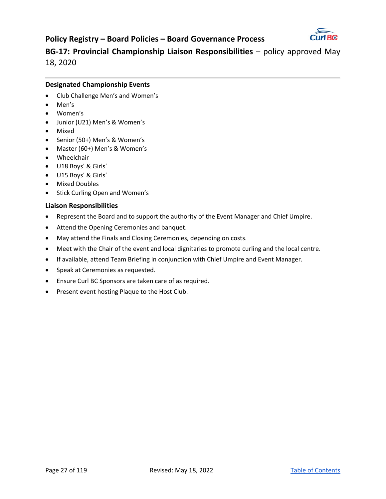

**BG-17: Provincial Championship Liaison Responsibilities – policy approved May** 18, 2020

#### **Designated Championship Events**

- Club Challenge Men's and Women's
- Men's
- Women's
- Junior (U21) Men's & Women's
- Mixed
- Senior (50+) Men's & Women's
- Master (60+) Men's & Women's
- Wheelchair
- U18 Boys' & Girls'
- U15 Boys' & Girls'
- Mixed Doubles
- Stick Curling Open and Women's

#### **Liaison Responsibilities**

- Represent the Board and to support the authority of the Event Manager and Chief Umpire.
- Attend the Opening Ceremonies and banquet.
- May attend the Finals and Closing Ceremonies, depending on costs.
- Meet with the Chair of the event and local dignitaries to promote curling and the local centre.
- If available, attend Team Briefing in conjunction with Chief Umpire and Event Manager.
- Speak at Ceremonies as requested.
- Ensure Curl BC Sponsors are taken care of as required.
- Present event hosting Plaque to the Host Club.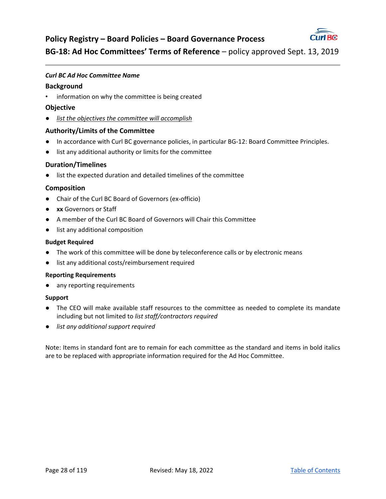

**BG‐18: Ad Hoc Committees' Terms of Reference** – policy approved Sept. 13, 2019

#### *Curl BC Ad Hoc Committee Name*

#### **Background**

• information on why the committee is being created

#### **Objective**

● *list the objectives the committee will accomplish* 

#### **Authority/Limits of the Committee**

- In accordance with Curl BC governance policies, in particular BG-12: Board Committee Principles.
- list any additional authority or limits for the committee

#### **Duration/Timelines**

● list the expected duration and detailed timelines of the committee

#### **Composition**

- Chair of the Curl BC Board of Governors (ex-officio)
- **xx** Governors or Staff
- A member of the Curl BC Board of Governors will Chair this Committee
- list any additional composition

#### **Budget Required**

- The work of this committee will be done by teleconference calls or by electronic means
- list any additional costs/reimbursement required

#### **Reporting Requirements**

● any reporting requirements

#### **Support**

- The CEO will make available staff resources to the committee as needed to complete its mandate including but not limited to *list staff/contractors required*
- *list any additional support required*

Note: Items in standard font are to remain for each committee as the standard and items in bold italics are to be replaced with appropriate information required for the Ad Hoc Committee.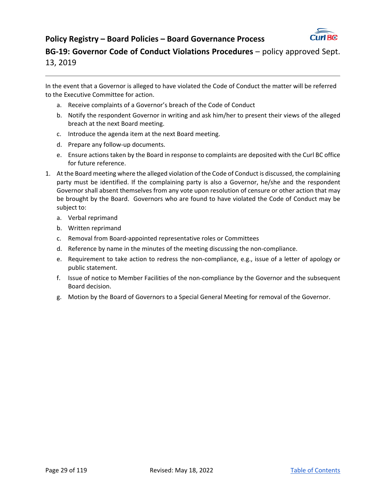

**BG-19: Governor Code of Conduct Violations Procedures – policy approved Sept.** 13, 2019

In the event that a Governor is alleged to have violated the Code of Conduct the matter will be referred to the Executive Committee for action.

- a. Receive complaints of a Governor's breach of the Code of Conduct
- b. Notify the respondent Governor in writing and ask him/her to present their views of the alleged breach at the next Board meeting.
- c. Introduce the agenda item at the next Board meeting.
- d. Prepare any follow‐up documents.
- e. Ensure actions taken by the Board in response to complaints are deposited with the Curl BC office for future reference.
- 1. At the Board meeting where the alleged violation of the Code of Conduct is discussed, the complaining party must be identified. If the complaining party is also a Governor, he/she and the respondent Governor shall absent themselves from any vote upon resolution of censure or other action that may be brought by the Board. Governors who are found to have violated the Code of Conduct may be subject to:
	- a. Verbal reprimand
	- b. Written reprimand
	- c. Removal from Board‐appointed representative roles or Committees
	- d. Reference by name in the minutes of the meeting discussing the non‐compliance.
	- e. Requirement to take action to redress the non‐compliance, e.g., issue of a letter of apology or public statement.
	- f. Issue of notice to Member Facilities of the non-compliance by the Governor and the subsequent Board decision.
	- g. Motion by the Board of Governors to a Special General Meeting for removal of the Governor.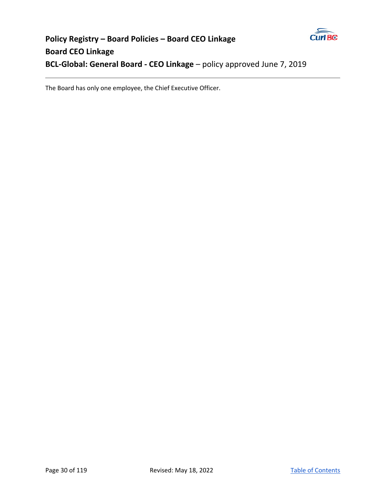

# **Policy Registry – Board Policies – Board CEO Linkage Board CEO Linkage BCL-Global: General Board - CEO Linkage - policy approved June 7, 2019**

The Board has only one employee, the Chief Executive Officer.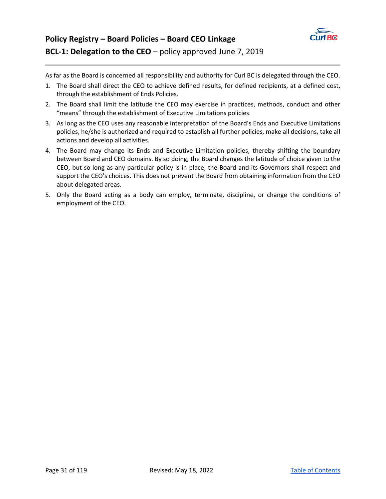

As far as the Board is concerned all responsibility and authority for Curl BC is delegated through the CEO.

- 1. The Board shall direct the CEO to achieve defined results, for defined recipients, at a defined cost, through the establishment of Ends Policies.
- 2. The Board shall limit the latitude the CEO may exercise in practices, methods, conduct and other "means" through the establishment of Executive Limitations policies.
- 3. As long as the CEO uses any reasonable interpretation of the Board's Ends and Executive Limitations policies, he/she is authorized and required to establish all further policies, make all decisions, take all actions and develop all activities.
- 4. The Board may change its Ends and Executive Limitation policies, thereby shifting the boundary between Board and CEO domains. By so doing, the Board changes the latitude of choice given to the CEO, but so long as any particular policy is in place, the Board and its Governors shall respect and support the CEO's choices. This does not prevent the Board from obtaining information from the CEO about delegated areas.
- 5. Only the Board acting as a body can employ, terminate, discipline, or change the conditions of employment of the CEO.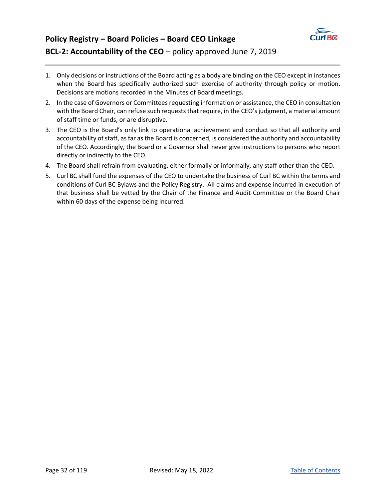

# **Policy Registry – Board Policies – Board CEO Linkage BCL‐2: Accountability of the CEO** – policy approved June 7, 2019

- 1. Only decisions or instructions of the Board acting as a body are binding on the CEO except in instances when the Board has specifically authorized such exercise of authority through policy or motion. Decisions are motions recorded in the Minutes of Board meetings.
- 2. In the case of Governors or Committees requesting information or assistance, the CEO in consultation with the Board Chair, can refuse such requests that require, in the CEO's judgment, a material amount of staff time or funds, or are disruptive.
- 3. The CEO is the Board's only link to operational achievement and conduct so that all authority and accountability of staff, as far as the Board is concerned, is considered the authority and accountability of the CEO. Accordingly, the Board or a Governor shall never give instructions to persons who report directly or indirectly to the CEO.
- 4. The Board shall refrain from evaluating, either formally or informally, any staff other than the CEO.
- 5. Curl BC shall fund the expenses of the CEO to undertake the business of Curl BC within the terms and conditions of Curl BC Bylaws and the Policy Registry. All claims and expense incurred in execution of that business shall be vetted by the Chair of the Finance and Audit Committee or the Board Chair within 60 days of the expense being incurred.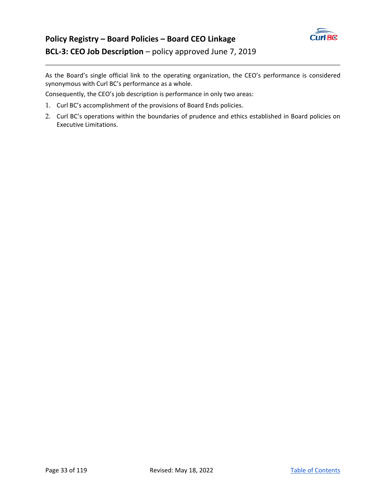

# **Policy Registry – Board Policies – Board CEO Linkage BCL‐3: CEO Job Description** – policy approved June 7, 2019

As the Board's single official link to the operating organization, the CEO's performance is considered synonymous with Curl BC's performance as a whole.

Consequently, the CEO's job description is performance in only two areas:

- 1. Curl BC's accomplishment of the provisions of Board Ends policies.
- 2. Curl BC's operations within the boundaries of prudence and ethics established in Board policies on Executive Limitations.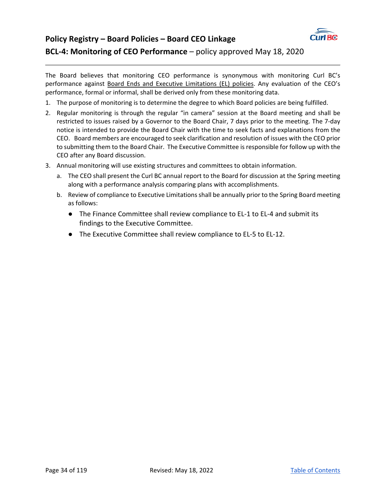

# **Policy Registry – Board Policies – Board CEO Linkage BCL‐4: Monitoring of CEO Performance** – policy approved May 18, 2020

The Board believes that monitoring CEO performance is synonymous with monitoring Curl BC's performance against Board Ends and Executive Limitations (EL) policies. Any evaluation of the CEO's performance, formal or informal, shall be derived only from these monitoring data.

- 1. The purpose of monitoring is to determine the degree to which Board policies are being fulfilled.
- 2. Regular monitoring is through the regular "in camera" session at the Board meeting and shall be restricted to issues raised by a Governor to the Board Chair, 7 days prior to the meeting. The 7‐day notice is intended to provide the Board Chair with the time to seek facts and explanations from the CEO. Board members are encouraged to seek clarification and resolution of issues with the CEO prior to submitting them to the Board Chair. The Executive Committee is responsible for follow up with the CEO after any Board discussion.
- 3. Annual monitoring will use existing structures and committees to obtain information.
	- a. The CEO shall present the Curl BC annual report to the Board for discussion at the Spring meeting along with a performance analysis comparing plans with accomplishments.
	- b. Review of compliance to Executive Limitations shall be annually prior to the Spring Board meeting as follows:
		- The Finance Committee shall review compliance to EL-1 to EL-4 and submit its findings to the Executive Committee.
		- The Executive Committee shall review compliance to EL-5 to EL-12.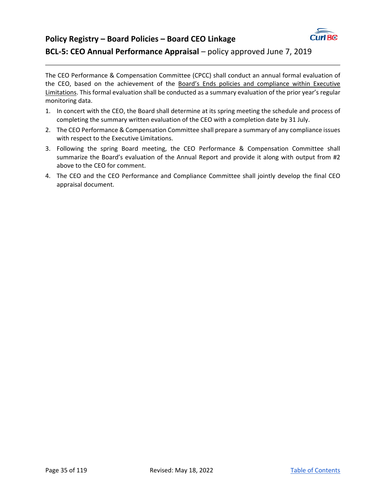

# **Policy Registry – Board Policies – Board CEO Linkage BCL-5: CEO Annual Performance Appraisal** – policy approved June 7, 2019

The CEO Performance & Compensation Committee (CPCC) shall conduct an annual formal evaluation of the CEO, based on the achievement of the Board's Ends policies and compliance within Executive Limitations. This formal evaluation shall be conducted as a summary evaluation of the prior year's regular monitoring data.

- 1. In concert with the CEO, the Board shall determine at its spring meeting the schedule and process of completing the summary written evaluation of the CEO with a completion date by 31 July.
- 2. The CEO Performance & Compensation Committee shall prepare a summary of any compliance issues with respect to the Executive Limitations.
- 3. Following the spring Board meeting, the CEO Performance & Compensation Committee shall summarize the Board's evaluation of the Annual Report and provide it along with output from #2 above to the CEO for comment.
- 4. The CEO and the CEO Performance and Compliance Committee shall jointly develop the final CEO appraisal document.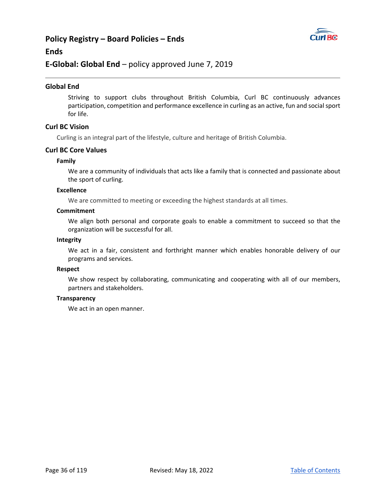## **Policy Registry – Board Policies – Ends**



#### **Ends**

#### **E‐Global: Global End** – policy approved June 7, 2019

#### **Global End**

Striving to support clubs throughout British Columbia, Curl BC continuously advances participation, competition and performance excellence in curling as an active, fun and social sport for life.

#### **Curl BC Vision**

Curling is an integral part of the lifestyle, culture and heritage of British Columbia.

#### **Curl BC Core Values**

#### **Family**

We are a community of individuals that acts like a family that is connected and passionate about the sport of curling.

#### **Excellence**

We are committed to meeting or exceeding the highest standards at all times.

#### **Commitment**

We align both personal and corporate goals to enable a commitment to succeed so that the organization will be successful for all.

#### **Integrity**

We act in a fair, consistent and forthright manner which enables honorable delivery of our programs and services.

#### **Respect**

We show respect by collaborating, communicating and cooperating with all of our members, partners and stakeholders.

#### **Transparency**

We act in an open manner.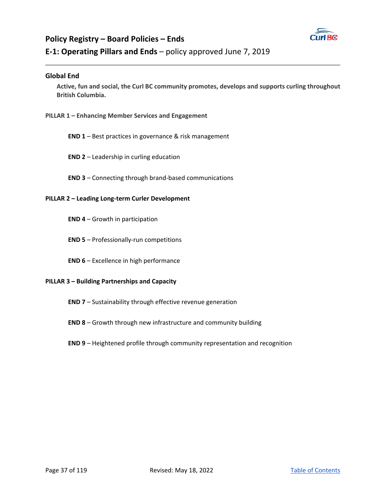

## **Policy Registry – Board Policies – Ends E‐1: Operating Pillars and Ends** – policy approved June 7, 2019

### **Global End**

**Active, fun and social, the Curl BC community promotes, develops and supports curling throughout British Columbia.** 

**PILLAR 1 – Enhancing Member Services and Engagement** 

**END 1** – Best practices in governance & risk management

**END 2** – Leadership in curling education

**END 3** – Connecting through brand‐based communications

### **PILLAR 2 – Leading Long‐term Curler Development**

**END 4** – Growth in participation

**END 5** – Professionally‐run competitions

**END 6** – Excellence in high performance

#### **PILLAR 3 – Building Partnerships and Capacity**

- **END 7** Sustainability through effective revenue generation
- **END 8** Growth through new infrastructure and community building

### **END 9** – Heightened profile through community representation and recognition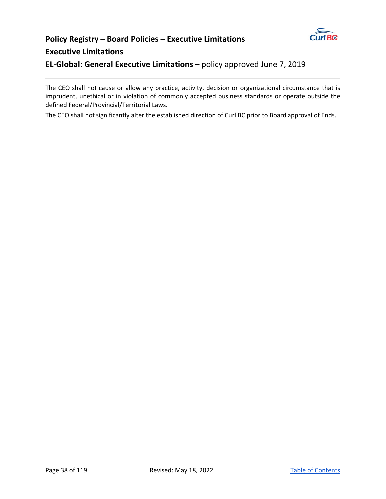

## **Policy Registry – Board Policies – Executive Limitations Executive Limitations**

**EL‐Global: General Executive Limitations** – policy approved June 7, 2019

The CEO shall not cause or allow any practice, activity, decision or organizational circumstance that is imprudent, unethical or in violation of commonly accepted business standards or operate outside the defined Federal/Provincial/Territorial Laws.

The CEO shall not significantly alter the established direction of Curl BC prior to Board approval of Ends.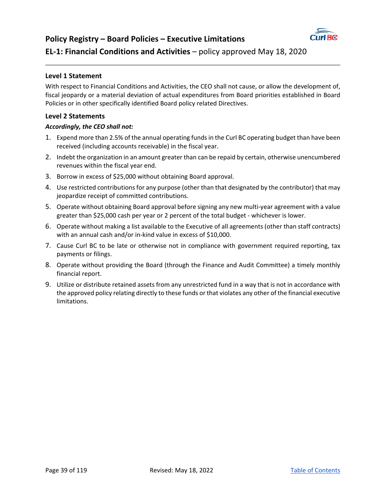

### **EL‐1: Financial Conditions and Activities** – policy approved May 18, 2020

### **Level 1 Statement**

With respect to Financial Conditions and Activities, the CEO shall not cause, or allow the development of, fiscal jeopardy or a material deviation of actual expenditures from Board priorities established in Board Policies or in other specifically identified Board policy related Directives.

### **Level 2 Statements**

- 1. Expend more than 2.5% of the annual operating funds in the Curl BC operating budget than have been received (including accounts receivable) in the fiscal year.
- 2. Indebt the organization in an amount greater than can be repaid by certain, otherwise unencumbered revenues within the fiscal year end.
- 3. Borrow in excess of \$25,000 without obtaining Board approval.
- 4. Use restricted contributions for any purpose (other than that designated by the contributor) that may jeopardize receipt of committed contributions.
- 5. Operate without obtaining Board approval before signing any new multi-year agreement with a value greater than \$25,000 cash per year or 2 percent of the total budget ‐ whichever is lower.
- 6. Operate without making a list available to the Executive of all agreements (other than staff contracts) with an annual cash and/or in‐kind value in excess of \$10,000.
- 7. Cause Curl BC to be late or otherwise not in compliance with government required reporting, tax payments or filings.
- 8. Operate without providing the Board (through the Finance and Audit Committee) a timely monthly financial report.
- 9. Utilize or distribute retained assets from any unrestricted fund in a way that is not in accordance with the approved policy relating directly to these funds or that violates any other of the financial executive limitations.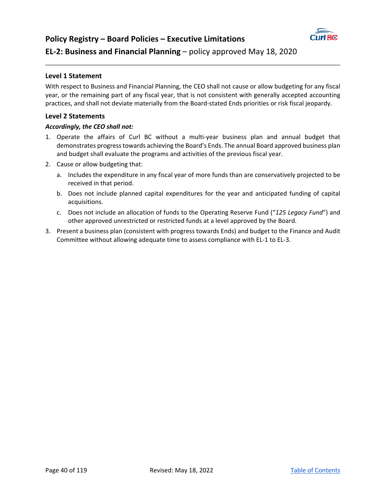

### **Level 1 Statement**

With respect to Business and Financial Planning, the CEO shall not cause or allow budgeting for any fiscal year, or the remaining part of any fiscal year, that is not consistent with generally accepted accounting practices, and shall not deviate materially from the Board‐stated Ends priorities or risk fiscal jeopardy.

### **Level 2 Statements**

- 1. Operate the affairs of Curl BC without a multi-year business plan and annual budget that demonstrates progress towards achieving the Board's Ends. The annual Board approved business plan and budget shall evaluate the programs and activities of the previous fiscal year.
- 2. Cause or allow budgeting that:
	- a. Includes the expenditure in any fiscal year of more funds than are conservatively projected to be received in that period.
	- b. Does not include planned capital expenditures for the year and anticipated funding of capital acquisitions.
	- c. Does not include an allocation of funds to the Operating Reserve Fund ("*125 Legacy Fund*") and other approved unrestricted or restricted funds at a level approved by the Board.
- 3. Present a business plan (consistent with progress towards Ends) and budget to the Finance and Audit Committee without allowing adequate time to assess compliance with EL‐1 to EL‐3.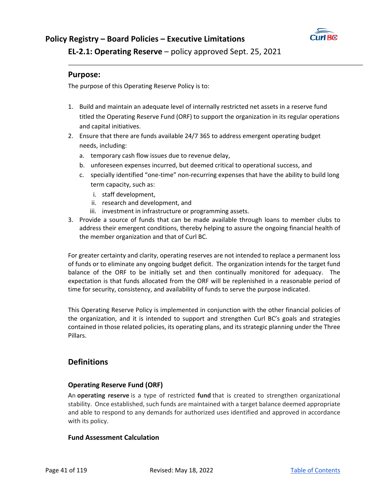

**EL‐2.1: Operating Reserve** – policy approved Sept. 25, 2021

### **Purpose:**

The purpose of this Operating Reserve Policy is to:

- 1. Build and maintain an adequate level of internally restricted net assets in a reserve fund titled the Operating Reserve Fund (ORF) to support the organization in its regular operations and capital initiatives.
- 2. Ensure that there are funds available 24/7 365 to address emergent operating budget needs, including:
	- a. temporary cash flow issues due to revenue delay,
	- b. unforeseen expenses incurred, but deemed critical to operational success, and
	- c. specially identified "one‐time" non‐recurring expenses that have the ability to build long term capacity, such as:
		- i. staff development,
		- ii. research and development, and
		- iii. investment in infrastructure or programming assets.
- 3. Provide a source of funds that can be made available through loans to member clubs to address their emergent conditions, thereby helping to assure the ongoing financial health of the member organization and that of Curl BC.

For greater certainty and clarity, operating reserves are not intended to replace a permanent loss of funds or to eliminate any ongoing budget deficit. The organization intends for the target fund balance of the ORF to be initially set and then continually monitored for adequacy. The expectation is that funds allocated from the ORF will be replenished in a reasonable period of time for security, consistency, and availability of funds to serve the purpose indicated.

This Operating Reserve Policy is implemented in conjunction with the other financial policies of the organization, and it is intended to support and strengthen Curl BC's goals and strategies contained in those related policies, its operating plans, and its strategic planning under the Three Pillars.

### **Definitions**

### **Operating Reserve Fund (ORF)**

An **operating reserve** is a type of restricted **fund** that is created to strengthen organizational stability. Once established, such funds are maintained with a target balance deemed appropriate and able to respond to any demands for authorized uses identified and approved in accordance with its policy.

### **Fund Assessment Calculation**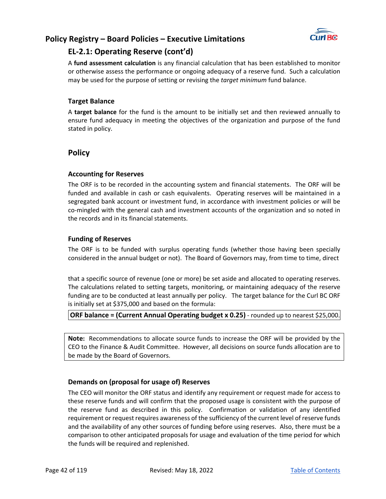

## **EL‐2.1: Operating Reserve (cont'd)**

A **fund assessment calculation** is any financial calculation that has been established to monitor or otherwise assess the performance or ongoing adequacy of a reserve fund. Such a calculation may be used for the purpose of setting or revising the *target minimum* fund balance.

### **Target Balance**

A **target balance** for the fund is the amount to be initially set and then reviewed annually to ensure fund adequacy in meeting the objectives of the organization and purpose of the fund stated in policy.

### **Policy**

### **Accounting for Reserves**

The ORF is to be recorded in the accounting system and financial statements. The ORF will be funded and available in cash or cash equivalents. Operating reserves will be maintained in a segregated bank account or investment fund, in accordance with investment policies or will be co-mingled with the general cash and investment accounts of the organization and so noted in the records and in its financial statements.

### **Funding of Reserves**

The ORF is to be funded with surplus operating funds (whether those having been specially considered in the annual budget or not). The Board of Governors may, from time to time, direct

that a specific source of revenue (one or more) be set aside and allocated to operating reserves. The calculations related to setting targets, monitoring, or maintaining adequacy of the reserve funding are to be conducted at least annually per policy. The target balance for the Curl BC ORF is initially set at \$375,000 and based on the formula:

### **ORF balance = (Current Annual Operating budget x 0.25)** - rounded up to nearest \$25,000.

**Note:** Recommendations to allocate source funds to increase the ORF will be provided by the CEO to the Finance & Audit Committee. However, all decisions on source funds allocation are to be made by the Board of Governors.

### **Demands on (proposal for usage of) Reserves**

The CEO will monitor the ORF status and identify any requirement or request made for access to these reserve funds and will confirm that the proposed usage is consistent with the purpose of the reserve fund as described in this policy. Confirmation or validation of any identified requirement or request requires awareness of the sufficiency of the current level of reserve funds and the availability of any other sources of funding before using reserves. Also, there must be a comparison to other anticipated proposals for usage and evaluation of the time period for which the funds will be required and replenished.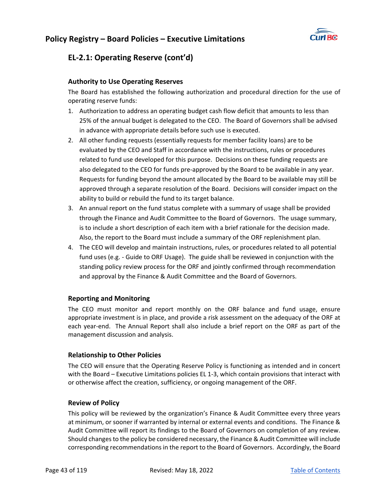

## **EL‐2.1: Operating Reserve (cont'd)**

### **Authority to Use Operating Reserves**

The Board has established the following authorization and procedural direction for the use of operating reserve funds:

- 1. Authorization to address an operating budget cash flow deficit that amounts to less than 25% of the annual budget is delegated to the CEO. The Board of Governors shall be advised in advance with appropriate details before such use is executed.
- 2. All other funding requests (essentially requests for member facility loans) are to be evaluated by the CEO and Staff in accordance with the instructions, rules or procedures related to fund use developed for this purpose. Decisions on these funding requests are also delegated to the CEO for funds pre‐approved by the Board to be available in any year. Requests for funding beyond the amount allocated by the Board to be available may still be approved through a separate resolution of the Board. Decisions will consider impact on the ability to build or rebuild the fund to its target balance.
- 3. An annual report on the fund status complete with a summary of usage shall be provided through the Finance and Audit Committee to the Board of Governors. The usage summary, is to include a short description of each item with a brief rationale for the decision made. Also, the report to the Board must include a summary of the ORF replenishment plan.
- 4. The CEO will develop and maintain instructions, rules, or procedures related to all potential fund uses (e.g. - Guide to ORF Usage). The guide shall be reviewed in conjunction with the standing policy review process for the ORF and jointly confirmed through recommendation and approval by the Finance & Audit Committee and the Board of Governors.

### **Reporting and Monitoring**

The CEO must monitor and report monthly on the ORF balance and fund usage, ensure appropriate investment is in place, and provide a risk assessment on the adequacy of the ORF at each year-end. The Annual Report shall also include a brief report on the ORF as part of the management discussion and analysis.

### **Relationship to Other Policies**

The CEO will ensure that the Operating Reserve Policy is functioning as intended and in concert with the Board – Executive Limitations policies EL 1-3, which contain provisions that interact with or otherwise affect the creation, sufficiency, or ongoing management of the ORF.

### **Review of Policy**

This policy will be reviewed by the organization's Finance & Audit Committee every three years at minimum, or sooner if warranted by internal or external events and conditions. The Finance & Audit Committee will report its findings to the Board of Governors on completion of any review. Should changes to the policy be considered necessary, the Finance & Audit Committee will include corresponding recommendations in the report to the Board of Governors. Accordingly, the Board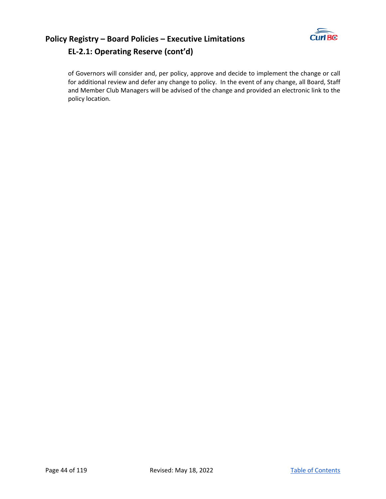

## **Policy Registry – Board Policies – Executive Limitations EL‐2.1: Operating Reserve (cont'd)**

of Governors will consider and, per policy, approve and decide to implement the change or call for additional review and defer any change to policy. In the event of any change, all Board, Staff and Member Club Managers will be advised of the change and provided an electronic link to the policy location.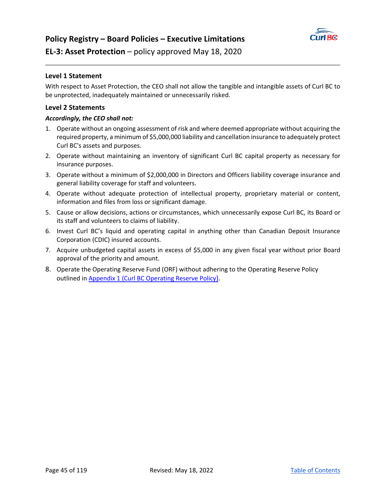

### **EL‐3: Asset Protection** – policy approved May 18, 2020

### **Level 1 Statement**

With respect to Asset Protection, the CEO shall not allow the tangible and intangible assets of Curl BC to be unprotected, inadequately maintained or unnecessarily risked.

### **Level 2 Statements**

- 1. Operate without an ongoing assessment of risk and where deemed appropriate without acquiring the required property, a minimum of \$5,000,000 liability and cancellation insurance to adequately protect Curl BC's assets and purposes.
- 2. Operate without maintaining an inventory of significant Curl BC capital property as necessary for insurance purposes.
- 3. Operate without a minimum of \$2,000,000 in Directors and Officers liability coverage insurance and general liability coverage for staff and volunteers.
- 4. Operate without adequate protection of intellectual property, proprietary material or content, information and files from loss or significant damage.
- 5. Cause or allow decisions, actions or circumstances, which unnecessarily expose Curl BC, its Board or its staff and volunteers to claims of liability.
- 6. Invest Curl BC's liquid and operating capital in anything other than Canadian Deposit Insurance Corporation (CDIC) insured accounts.
- 7. Acquire unbudgeted capital assets in excess of \$5,000 in any given fiscal year without prior Board approval of the priority and amount.
- 8. Operate the Operating Reserve Fund (ORF) without adhering to the Operating Reserve Policy outlined in Appendix 1 (Curl BC Operating Reserve Policy).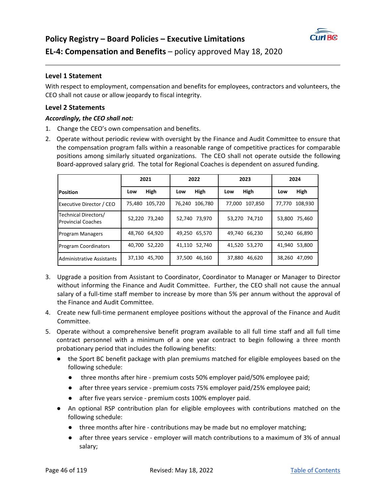

### **Level 1 Statement**

With respect to employment, compensation and benefits for employees, contractors and volunteers, the CEO shall not cause or allow jeopardy to fiscal integrity.

### **Level 2 Statements**

- 1. Change the CEO's own compensation and benefits.
- 2. Operate without periodic review with oversight by the Finance and Audit Committee to ensure that the compensation program falls within a reasonable range of competitive practices for comparable positions among similarly situated organizations. The CEO shall not operate outside the following Board‐approved salary grid. The total for Regional Coaches is dependent on assured funding.

|                                                   | 2021              | 2022           | 2023           | 2024           |
|---------------------------------------------------|-------------------|----------------|----------------|----------------|
| <b>Position</b>                                   | High<br>Low       | High<br>Low    | High<br>Low    | High<br>Low    |
| Executive Director / CEO                          | 105,720<br>75,480 | 76,240 106,780 | 77,000 107,850 | 77,770 108,930 |
| Technical Directors/<br><b>Provincial Coaches</b> | 52,220 73,240     | 52,740 73,970  | 53,270 74,710  | 53,800 75,460  |
| <b>Program Managers</b>                           | 48,760 64,920     | 49,250 65,570  | 49,740 66,230  | 50,240 66,890  |
| <b>Program Coordinators</b>                       | 40,700 52,220     | 41,110 52,740  | 41,520 53,270  | 41,940 53,800  |
| Administrative Assistants                         | 37,130 45,700     | 37,500 46,160  | 37,880 46,620  | 38,260 47,090  |

- 3. Upgrade a position from Assistant to Coordinator, Coordinator to Manager or Manager to Director without informing the Finance and Audit Committee. Further, the CEO shall not cause the annual salary of a full-time staff member to increase by more than 5% per annum without the approval of the Finance and Audit Committee.
- 4. Create new full‐time permanent employee positions without the approval of the Finance and Audit Committee.
- 5. Operate without a comprehensive benefit program available to all full time staff and all full time contract personnel with a minimum of a one year contract to begin following a three month probationary period that includes the following benefits:
	- the Sport BC benefit package with plan premiums matched for eligible employees based on the following schedule:
		- three months after hire premium costs 50% employer paid/50% employee paid;
		- after three years service premium costs 75% employer paid/25% employee paid;
		- after five years service premium costs 100% employer paid.
	- An optional RSP contribution plan for eligible employees with contributions matched on the following schedule:
		- three months after hire contributions may be made but no employer matching;
		- after three years service employer will match contributions to a maximum of 3% of annual salary;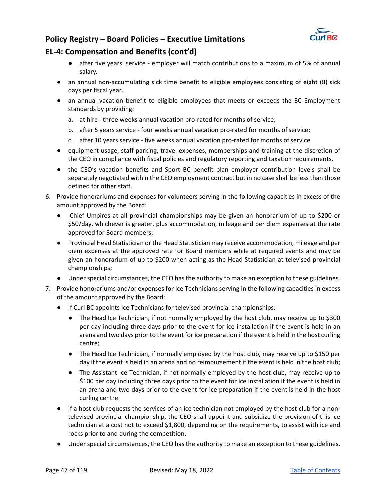

## **EL‐4: Compensation and Benefits (cont'd)**

- after five years' service employer will match contributions to a maximum of 5% of annual salary.
- an annual non-accumulating sick time benefit to eligible employees consisting of eight (8) sick days per fiscal year.
- an annual vacation benefit to eligible employees that meets or exceeds the BC Employment standards by providing:
	- a. at hire three weeks annual vacation pro-rated for months of service;
	- b. after 5 years service ‐ four weeks annual vacation pro‐rated for months of service;
	- c. after 10 years service ‐ five weeks annual vacation pro‐rated for months of service
- equipment usage, staff parking, travel expenses, memberships and training at the discretion of the CEO in compliance with fiscal policies and regulatory reporting and taxation requirements.
- the CEO's vacation benefits and Sport BC benefit plan employer contribution levels shall be separately negotiated within the CEO employment contract but in no case shall be less than those defined for other staff.
- 6. Provide honorariums and expenses for volunteers serving in the following capacities in excess of the amount approved by the Board:
	- Chief Umpires at all provincial championships may be given an honorarium of up to \$200 or \$50/day, whichever is greater, plus accommodation, mileage and per diem expenses at the rate approved for Board members;
	- Provincial Head Statistician or the Head Statistician may receive accommodation, mileage and per diem expenses at the approved rate for Board members while at required events and may be given an honorarium of up to \$200 when acting as the Head Statistician at televised provincial championships;
	- Under special circumstances, the CEO has the authority to make an exception to these guidelines.
- 7. Provide honorariums and/or expenses for Ice Technicians serving in the following capacities in excess of the amount approved by the Board:
	- If Curl BC appoints Ice Technicians for televised provincial championships:
		- The Head Ice Technician, if not normally employed by the host club, may receive up to \$300 per day including three days prior to the event for ice installation if the event is held in an arena and two days prior to the event for ice preparation if the event is held in the host curling centre;
		- The Head Ice Technician, if normally employed by the host club, may receive up to \$150 per day if the event is held in an arena and no reimbursement if the event is held in the host club;
		- The Assistant Ice Technician, if not normally employed by the host club, may receive up to \$100 per day including three days prior to the event for ice installation if the event is held in an arena and two days prior to the event for ice preparation if the event is held in the host curling centre.
	- If a host club requests the services of an ice technician not employed by the host club for a nontelevised provincial championship, the CEO shall appoint and subsidize the provision of this ice technician at a cost not to exceed \$1,800, depending on the requirements, to assist with ice and rocks prior to and during the competition.
	- Under special circumstances, the CEO has the authority to make an exception to these guidelines.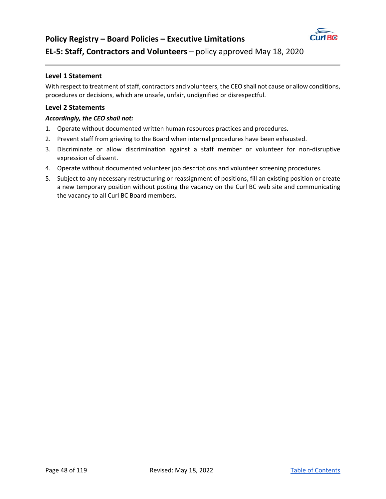

## **EL‐5: Staff, Contractors and Volunteers** – policy approved May 18, 2020

### **Level 1 Statement**

With respect to treatment of staff, contractors and volunteers, the CEO shall not cause or allow conditions, procedures or decisions, which are unsafe, unfair, undignified or disrespectful.

### **Level 2 Statements**

- 1. Operate without documented written human resources practices and procedures.
- 2. Prevent staff from grieving to the Board when internal procedures have been exhausted.
- 3. Discriminate or allow discrimination against a staff member or volunteer for non-disruptive expression of dissent.
- 4. Operate without documented volunteer job descriptions and volunteer screening procedures.
- 5. Subject to any necessary restructuring or reassignment of positions, fill an existing position or create a new temporary position without posting the vacancy on the Curl BC web site and communicating the vacancy to all Curl BC Board members.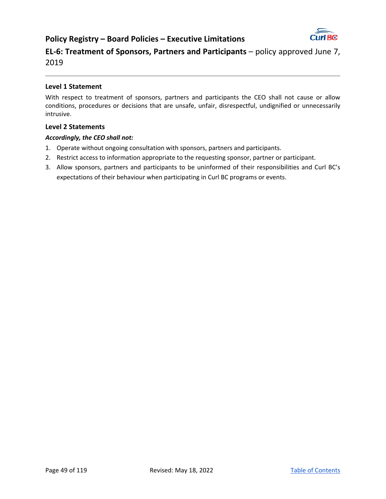

**EL‐6: Treatment of Sponsors, Partners and Participants** – policy approved June 7, 2019

### **Level 1 Statement**

With respect to treatment of sponsors, partners and participants the CEO shall not cause or allow conditions, procedures or decisions that are unsafe, unfair, disrespectful, undignified or unnecessarily intrusive.

### **Level 2 Statements**

- 1. Operate without ongoing consultation with sponsors, partners and participants.
- 2. Restrict access to information appropriate to the requesting sponsor, partner or participant.
- 3. Allow sponsors, partners and participants to be uninformed of their responsibilities and Curl BC's expectations of their behaviour when participating in Curl BC programs or events.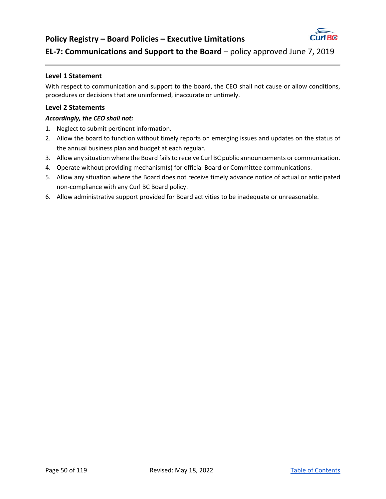

## **EL-7: Communications and Support to the Board** – policy approved June 7, 2019

### **Level 1 Statement**

With respect to communication and support to the board, the CEO shall not cause or allow conditions, procedures or decisions that are uninformed, inaccurate or untimely.

### **Level 2 Statements**

- 1. Neglect to submit pertinent information.
- 2. Allow the board to function without timely reports on emerging issues and updates on the status of the annual business plan and budget at each regular.
- 3. Allow any situation where the Board fails to receive Curl BC public announcements or communication.
- 4. Operate without providing mechanism(s) for official Board or Committee communications.
- 5. Allow any situation where the Board does not receive timely advance notice of actual or anticipated non‐compliance with any Curl BC Board policy.
- 6. Allow administrative support provided for Board activities to be inadequate or unreasonable.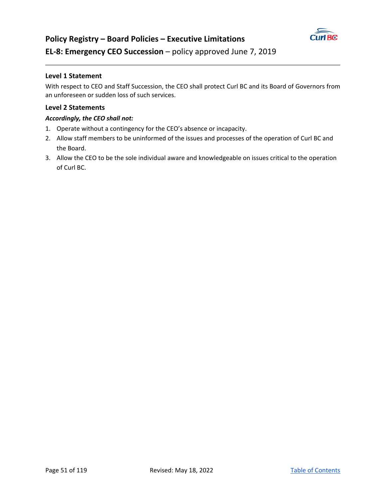

### **Level 1 Statement**

With respect to CEO and Staff Succession, the CEO shall protect Curl BC and its Board of Governors from an unforeseen or sudden loss of such services.

### **Level 2 Statements**

- 1. Operate without a contingency for the CEO's absence or incapacity.
- 2. Allow staff members to be uninformed of the issues and processes of the operation of Curl BC and the Board.
- 3. Allow the CEO to be the sole individual aware and knowledgeable on issues critical to the operation of Curl BC.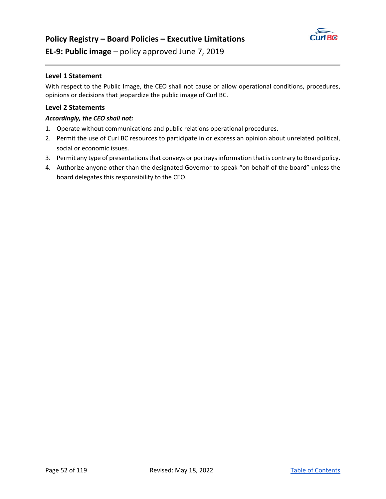

**EL‐9: Public image** – policy approved June 7, 2019

### **Level 1 Statement**

With respect to the Public Image, the CEO shall not cause or allow operational conditions, procedures, opinions or decisions that jeopardize the public image of Curl BC.

### **Level 2 Statements**

- 1. Operate without communications and public relations operational procedures.
- 2. Permit the use of Curl BC resources to participate in or express an opinion about unrelated political, social or economic issues.
- 3. Permit any type of presentations that conveys or portrays information that is contrary to Board policy.
- 4. Authorize anyone other than the designated Governor to speak "on behalf of the board" unless the board delegates this responsibility to the CEO.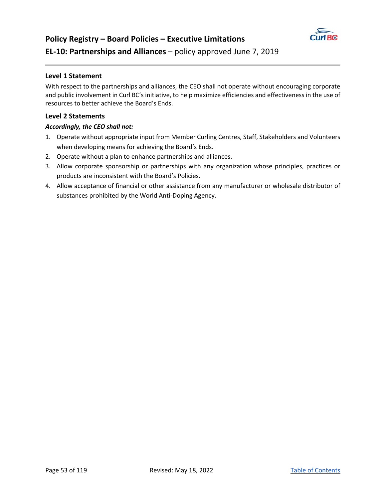

### **Level 1 Statement**

With respect to the partnerships and alliances, the CEO shall not operate without encouraging corporate and public involvement in Curl BC's initiative, to help maximize efficiencies and effectiveness in the use of resources to better achieve the Board's Ends.

### **Level 2 Statements**

- 1. Operate without appropriate input from Member Curling Centres, Staff, Stakeholders and Volunteers when developing means for achieving the Board's Ends.
- 2. Operate without a plan to enhance partnerships and alliances.
- 3. Allow corporate sponsorship or partnerships with any organization whose principles, practices or products are inconsistent with the Board's Policies.
- 4. Allow acceptance of financial or other assistance from any manufacturer or wholesale distributor of substances prohibited by the World Anti‐Doping Agency.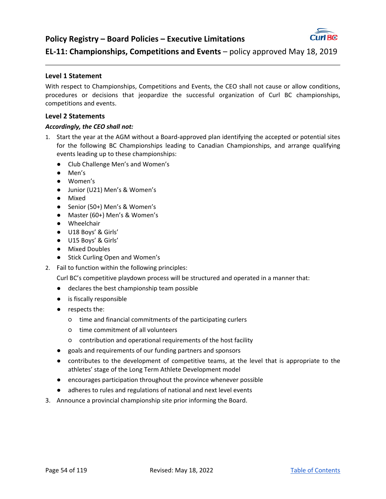

## **EL‐11: Championships, Competitions and Events** – policy approved May 18, 2019

### **Level 1 Statement**

With respect to Championships, Competitions and Events, the CEO shall not cause or allow conditions, procedures or decisions that jeopardize the successful organization of Curl BC championships, competitions and events.

### **Level 2 Statements**

### *Accordingly, the CEO shall not:*

- 1. Start the year at the AGM without a Board‐approved plan identifying the accepted or potential sites for the following BC Championships leading to Canadian Championships, and arrange qualifying events leading up to these championships:
	- Club Challenge Men's and Women's
	- Men's
	- Women's
	- Junior (U21) Men's & Women's
	- Mixed
	- Senior (50+) Men's & Women's
	- Master (60+) Men's & Women's
	- Wheelchair
	- U18 Boys' & Girls'
	- U15 Boys' & Girls'
	- Mixed Doubles
	- Stick Curling Open and Women's
- 2. Fail to function within the following principles:

Curl BC's competitive playdown process will be structured and operated in a manner that:

- declares the best championship team possible
- is fiscally responsible
- respects the:
	- time and financial commitments of the participating curlers
	- time commitment of all volunteers
	- contribution and operational requirements of the host facility
- goals and requirements of our funding partners and sponsors
- contributes to the development of competitive teams, at the level that is appropriate to the athletes' stage of the Long Term Athlete Development model
- encourages participation throughout the province whenever possible
- adheres to rules and regulations of national and next level events
- 3. Announce a provincial championship site prior informing the Board.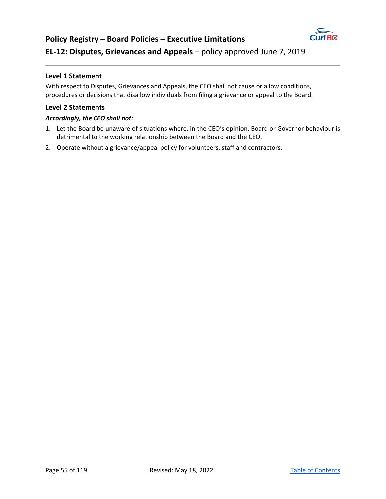

## **Level 1 Statement**

With respect to Disputes, Grievances and Appeals, the CEO shall not cause or allow conditions, procedures or decisions that disallow individuals from filing a grievance or appeal to the Board.

### **Level 2 Statements**

- 1. Let the Board be unaware of situations where, in the CEO's opinion, Board or Governor behaviour is detrimental to the working relationship between the Board and the CEO.
- 2. Operate without a grievance/appeal policy for volunteers, staff and contractors.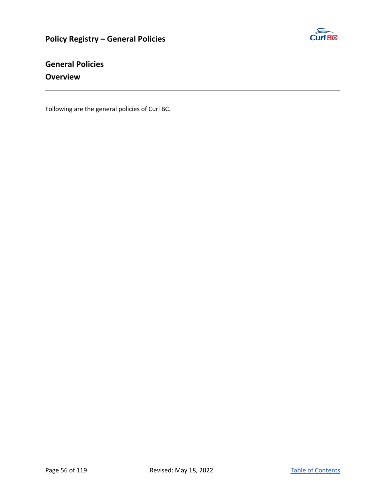

## **General Policies Overview**

Following are the general policies of Curl BC.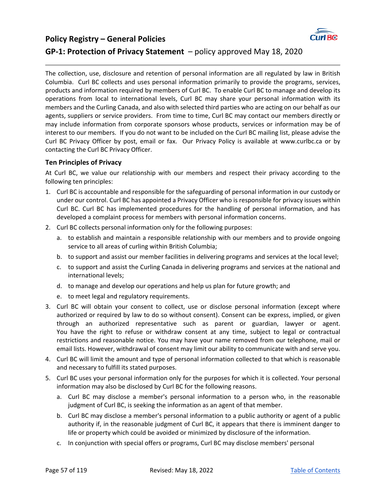## **Policy Registry – General Policies GP-1: Protection of Privacy Statement** – policy approved May 18, 2020



The collection, use, disclosure and retention of personal information are all regulated by law in British Columbia. Curl BC collects and uses personal information primarily to provide the programs, services, products and information required by members of Curl BC. To enable Curl BC to manage and develop its operations from local to international levels, Curl BC may share your personal information with its members and the Curling Canada, and also with selected third parties who are acting on our behalf as our agents, suppliers or service providers. From time to time, Curl BC may contact our members directly or may include information from corporate sponsors whose products, services or information may be of interest to our members. If you do not want to be included on the Curl BC mailing list, please advise the Curl BC Privacy Officer by post, email or fax. Our Privacy Policy is available at www.curlbc.ca or by contacting the Curl BC Privacy Officer.

### **Ten Principles of Privacy**

At Curl BC, we value our relationship with our members and respect their privacy according to the following ten principles:

- 1. Curl BC is accountable and responsible for the safeguarding of personal information in our custody or under our control. Curl BC has appointed a Privacy Officer who is responsible for privacy issues within Curl BC. Curl BC has implemented procedures for the handling of personal information, and has developed a complaint process for members with personal information concerns.
- 2. Curl BC collects personal information only for the following purposes:
	- a. to establish and maintain a responsible relationship with our members and to provide ongoing service to all areas of curling within British Columbia;
	- b. to support and assist our member facilities in delivering programs and services at the local level;
	- c. to support and assist the Curling Canada in delivering programs and services at the national and international levels;
	- d. to manage and develop our operations and help us plan for future growth; and
	- e. to meet legal and regulatory requirements.
- 3. Curl BC will obtain your consent to collect, use or disclose personal information (except where authorized or required by law to do so without consent). Consent can be express, implied, or given through an authorized representative such as parent or guardian, lawyer or agent. You have the right to refuse or withdraw consent at any time, subject to legal or contractual restrictions and reasonable notice. You may have your name removed from our telephone, mail or email lists. However, withdrawal of consent may limit our ability to communicate with and serve you.
- 4. Curl BC will limit the amount and type of personal information collected to that which is reasonable and necessary to fulfill its stated purposes.
- 5. Curl BC uses your personal information only for the purposes for which it is collected. Your personal information may also be disclosed by Curl BC for the following reasons.
	- a. Curl BC may disclose a member's personal information to a person who, in the reasonable judgment of Curl BC, is seeking the information as an agent of that member.
	- b. Curl BC may disclose a member's personal information to a public authority or agent of a public authority if, in the reasonable judgment of Curl BC, it appears that there is imminent danger to life or property which could be avoided or minimized by disclosure of the information.
	- c. In conjunction with special offers or programs, Curl BC may disclose members' personal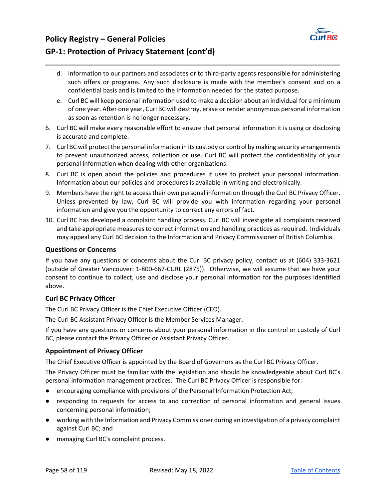## **Policy Registry – General Policies**



## **GP‐1: Protection of Privacy Statement (cont'd)**

- d. information to our partners and associates or to third-party agents responsible for administering such offers or programs. Any such disclosure is made with the member's consent and on a confidential basis and is limited to the information needed for the stated purpose.
- e. Curl BC will keep personal information used to make a decision about an individual for a minimum of one year. After one year, Curl BC will destroy, erase or render anonymous personal information as soon as retention is no longer necessary.
- 6. Curl BC will make every reasonable effort to ensure that personal information it is using or disclosing is accurate and complete.
- 7. Curl BC will protect the personal information in its custody or control by making security arrangements to prevent unauthorized access, collection or use. Curl BC will protect the confidentiality of your personal information when dealing with other organizations.
- 8. Curl BC is open about the policies and procedures it uses to protect your personal information. Information about our policies and procedures is available in writing and electronically.
- 9. Members have the right to access their own personal information through the Curl BC Privacy Officer. Unless prevented by law, Curl BC will provide you with information regarding your personal information and give you the opportunity to correct any errors of fact.
- 10. Curl BC has developed a complaint handling process. Curl BC will investigate all complaints received and take appropriate measures to correct information and handling practices as required. Individuals may appeal any Curl BC decision to the Information and Privacy Commissioner of British Columbia.

### **Questions or Concerns**

If you have any questions or concerns about the Curl BC privacy policy, contact us at (604) 333‐3621 (outside of Greater Vancouver: 1‐800‐667‐CURL (2875)). Otherwise, we will assume that we have your consent to continue to collect, use and disclose your personal information for the purposes identified above.

### **Curl BC Privacy Officer**

The Curl BC Privacy Officer is the Chief Executive Officer (CEO).

The Curl BC Assistant Privacy Officer is the Member Services Manager.

If you have any questions or concerns about your personal information in the control or custody of Curl BC, please contact the Privacy Officer or Assistant Privacy Officer.

### **Appointment of Privacy Officer**

The Chief Executive Officer is appointed by the Board of Governors as the Curl BC Privacy Officer.

The Privacy Officer must be familiar with the legislation and should be knowledgeable about Curl BC's personal information management practices. The Curl BC Privacy Officer is responsible for:

- encouraging compliance with provisions of the Personal Information Protection Act;
- responding to requests for access to and correction of personal information and general issues concerning personal information;
- working with the Information and Privacy Commissioner during an investigation of a privacy complaint against Curl BC; and
- managing Curl BC's complaint process.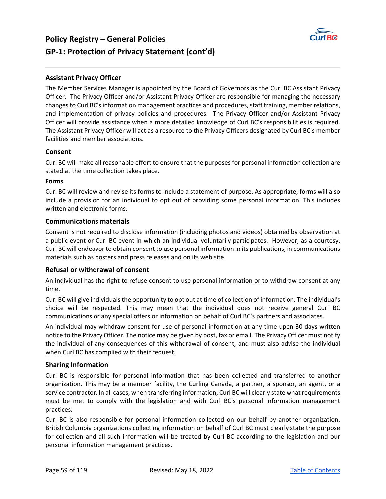

## **Policy Registry – General Policies GP‐1: Protection of Privacy Statement (cont'd)**

### **Assistant Privacy Officer**

The Member Services Manager is appointed by the Board of Governors as the Curl BC Assistant Privacy Officer. The Privacy Officer and/or Assistant Privacy Officer are responsible for managing the necessary changes to Curl BC's information management practices and procedures, staff training, member relations, and implementation of privacy policies and procedures. The Privacy Officer and/or Assistant Privacy Officer will provide assistance when a more detailed knowledge of Curl BC's responsibilities is required. The Assistant Privacy Officer will act as a resource to the Privacy Officers designated by Curl BC's member facilities and member associations.

### **Consent**

Curl BC will make all reasonable effort to ensure that the purposes for personal information collection are stated at the time collection takes place.

### **Forms**

Curl BC will review and revise its forms to include a statement of purpose. As appropriate, forms will also include a provision for an individual to opt out of providing some personal information. This includes written and electronic forms.

### **Communications materials**

Consent is not required to disclose information (including photos and videos) obtained by observation at a public event or Curl BC event in which an individual voluntarily participates. However, as a courtesy, Curl BC will endeavor to obtain consent to use personal information in its publications, in communications materials such as posters and press releases and on its web site.

### **Refusal or withdrawal of consent**

An individual has the right to refuse consent to use personal information or to withdraw consent at any time.

Curl BC will give individuals the opportunity to opt out at time of collection of information. The individual's choice will be respected. This may mean that the individual does not receive general Curl BC communications or any special offers or information on behalf of Curl BC's partners and associates.

An individual may withdraw consent for use of personal information at any time upon 30 days written notice to the Privacy Officer. The notice may be given by post, fax or email. The Privacy Officer must notify the individual of any consequences of this withdrawal of consent, and must also advise the individual when Curl BC has complied with their request.

### **Sharing Information**

Curl BC is responsible for personal information that has been collected and transferred to another organization. This may be a member facility, the Curling Canada, a partner, a sponsor, an agent, or a service contractor. In all cases, when transferring information, Curl BC will clearly state what requirements must be met to comply with the legislation and with Curl BC's personal information management practices.

Curl BC is also responsible for personal information collected on our behalf by another organization. British Columbia organizations collecting information on behalf of Curl BC must clearly state the purpose for collection and all such information will be treated by Curl BC according to the legislation and our personal information management practices.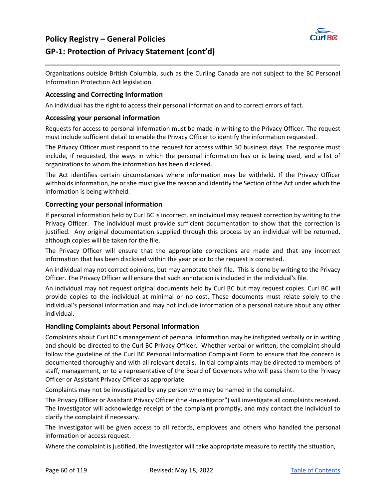

## **Policy Registry – General Policies GP‐1: Protection of Privacy Statement (cont'd)**

Organizations outside British Columbia, such as the Curling Canada are not subject to the BC Personal Information Protection Act legislation.

### **Accessing and Correcting Information**

An individual has the right to access their personal information and to correct errors of fact.

### **Accessing your personal information**

Requests for access to personal information must be made in writing to the Privacy Officer. The request must include sufficient detail to enable the Privacy Officer to identify the information requested.

The Privacy Officer must respond to the request for access within 30 business days. The response must include, if requested, the ways in which the personal information has or is being used, and a list of organizations to whom the information has been disclosed.

The Act identifies certain circumstances where information may be withheld. If the Privacy Officer withholds information, he or she must give the reason and identify the Section of the Act under which the information is being withheld.

### **Correcting your personal information**

If personal information held by Curl BC is incorrect, an individual may request correction by writing to the Privacy Officer. The individual must provide sufficient documentation to show that the correction is justified. Any original documentation supplied through this process by an individual will be returned, although copies will be taken for the file.

The Privacy Officer will ensure that the appropriate corrections are made and that any incorrect information that has been disclosed within the year prior to the request is corrected.

An individual may not correct opinions, but may annotate their file. This is done by writing to the Privacy Officer. The Privacy Officer will ensure that such annotation is included in the individual's file.

An individual may not request original documents held by Curl BC but may request copies. Curl BC will provide copies to the individual at minimal or no cost. These documents must relate solely to the individual's personal information and may not include information of a personal nature about any other individual.

### **Handling Complaints about Personal Information**

Complaints about Curl BC's management of personal information may be instigated verbally or in writing and should be directed to the Curl BC Privacy Officer. Whether verbal or written, the complaint should follow the guideline of the Curl BC Personal Information Complaint Form to ensure that the concern is documented thoroughly and with all relevant details. Initial complaints may be directed to members of staff, management, or to a representative of the Board of Governors who will pass them to the Privacy Officer or Assistant Privacy Officer as appropriate.

Complaints may not be investigated by any person who may be named in the complaint.

The Privacy Officer or Assistant Privacy Officer (the ‐Investigator") will investigate all complaints received. The Investigator will acknowledge receipt of the complaint promptly, and may contact the individual to clarify the complaint if necessary.

The Investigator will be given access to all records, employees and others who handled the personal information or access request.

Where the complaint is justified, the Investigator will take appropriate measure to rectify the situation,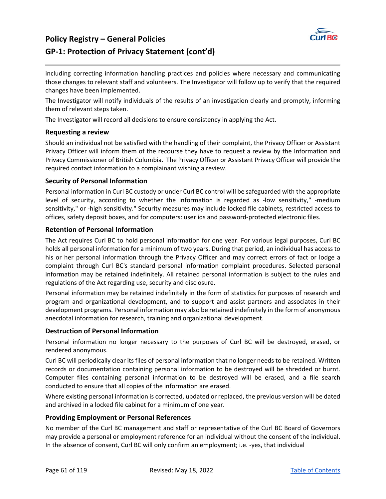## **Policy Registry – General Policies**



### **GP‐1: Protection of Privacy Statement (cont'd)**

including correcting information handling practices and policies where necessary and communicating those changes to relevant staff and volunteers. The Investigator will follow up to verify that the required changes have been implemented.

The Investigator will notify individuals of the results of an investigation clearly and promptly, informing them of relevant steps taken.

The Investigator will record all decisions to ensure consistency in applying the Act.

### **Requesting a review**

Should an individual not be satisfied with the handling of their complaint, the Privacy Officer or Assistant Privacy Officer will inform them of the recourse they have to request a review by the Information and Privacy Commissioner of British Columbia. The Privacy Officer or Assistant Privacy Officer will provide the required contact information to a complainant wishing a review.

### **Security of Personal Information**

Personal information in Curl BC custody or under Curl BC control will be safeguarded with the appropriate level of security, according to whether the information is regarded as -low sensitivity," -medium sensitivity," or ‐high sensitivity." Security measures may include locked file cabinets, restricted access to offices, safety deposit boxes, and for computers: user ids and password‐protected electronic files.

### **Retention of Personal Information**

The Act requires Curl BC to hold personal information for one year. For various legal purposes, Curl BC holds all personal information for a minimum of two years. During that period, an individual has access to his or her personal information through the Privacy Officer and may correct errors of fact or lodge a complaint through Curl BC's standard personal information complaint procedures. Selected personal information may be retained indefinitely. All retained personal information is subject to the rules and regulations of the Act regarding use, security and disclosure.

Personal information may be retained indefinitely in the form of statistics for purposes of research and program and organizational development, and to support and assist partners and associates in their development programs. Personal information may also be retained indefinitely in the form of anonymous anecdotal information for research, training and organizational development.

### **Destruction of Personal Information**

Personal information no longer necessary to the purposes of Curl BC will be destroyed, erased, or rendered anonymous.

Curl BC will periodically clear its files of personal information that no longer needs to be retained. Written records or documentation containing personal information to be destroyed will be shredded or burnt. Computer files containing personal information to be destroyed will be erased, and a file search conducted to ensure that all copies of the information are erased.

Where existing personal information is corrected, updated or replaced, the previous version will be dated and archived in a locked file cabinet for a minimum of one year.

#### **Providing Employment or Personal References**

No member of the Curl BC management and staff or representative of the Curl BC Board of Governors may provide a personal or employment reference for an individual without the consent of the individual. In the absence of consent, Curl BC will only confirm an employment; i.e. ‐yes, that individual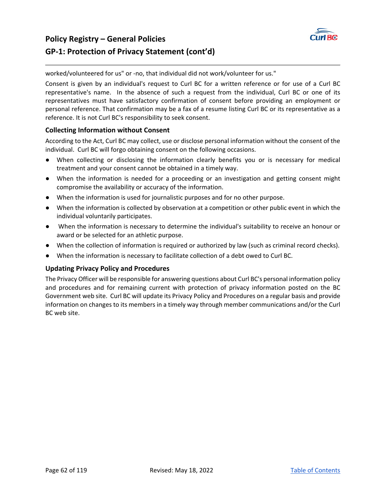

## **Policy Registry – General Policies GP‐1: Protection of Privacy Statement (cont'd)**

worked/volunteered for us" or ‐no, that individual did not work/volunteer for us."

Consent is given by an individual's request to Curl BC for a written reference or for use of a Curl BC representative's name. In the absence of such a request from the individual, Curl BC or one of its representatives must have satisfactory confirmation of consent before providing an employment or personal reference. That confirmation may be a fax of a resume listing Curl BC or its representative as a reference. It is not Curl BC's responsibility to seek consent.

### **Collecting Information without Consent**

According to the Act, Curl BC may collect, use or disclose personal information without the consent of the individual. Curl BC will forgo obtaining consent on the following occasions.

- When collecting or disclosing the information clearly benefits you or is necessary for medical treatment and your consent cannot be obtained in a timely way.
- When the information is needed for a proceeding or an investigation and getting consent might compromise the availability or accuracy of the information.
- When the information is used for journalistic purposes and for no other purpose.
- When the information is collected by observation at a competition or other public event in which the individual voluntarily participates.
- When the information is necessary to determine the individual's suitability to receive an honour or award or be selected for an athletic purpose.
- When the collection of information is required or authorized by law (such as criminal record checks).
- When the information is necessary to facilitate collection of a debt owed to Curl BC.

### **Updating Privacy Policy and Procedures**

The Privacy Officer will be responsible for answering questions about Curl BC's personal information policy and procedures and for remaining current with protection of privacy information posted on the BC Government web site. Curl BC will update its Privacy Policy and Procedures on a regular basis and provide information on changes to its members in a timely way through member communications and/or the Curl BC web site.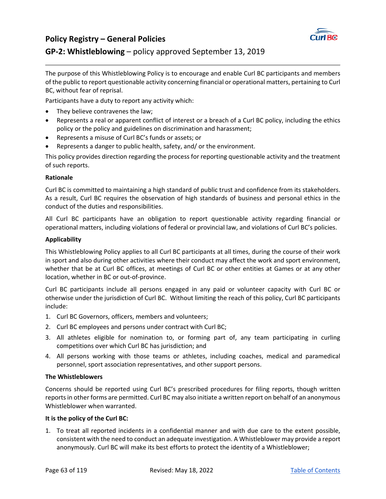

## **GP‐2: Whistleblowing** – policy approved September 13, 2019

The purpose of this Whistleblowing Policy is to encourage and enable Curl BC participants and members of the public to report questionable activity concerning financial or operational matters, pertaining to Curl BC, without fear of reprisal.

Participants have a duty to report any activity which:

- They believe contravenes the law;
- Represents a real or apparent conflict of interest or a breach of a Curl BC policy, including the ethics policy or the policy and guidelines on discrimination and harassment;
- Represents a misuse of Curl BC's funds or assets; or
- Represents a danger to public health, safety, and/ or the environment.

This policy provides direction regarding the process for reporting questionable activity and the treatment of such reports.

### **Rationale**

Curl BC is committed to maintaining a high standard of public trust and confidence from its stakeholders. As a result, Curl BC requires the observation of high standards of business and personal ethics in the conduct of the duties and responsibilities.

All Curl BC participants have an obligation to report questionable activity regarding financial or operational matters, including violations of federal or provincial law, and violations of Curl BC's policies.

### **Applicability**

This Whistleblowing Policy applies to all Curl BC participants at all times, during the course of their work in sport and also during other activities where their conduct may affect the work and sport environment, whether that be at Curl BC offices, at meetings of Curl BC or other entities at Games or at any other location, whether in BC or out‐of‐province.

Curl BC participants include all persons engaged in any paid or volunteer capacity with Curl BC or otherwise under the jurisdiction of Curl BC. Without limiting the reach of this policy, Curl BC participants include:

- 1. Curl BC Governors, officers, members and volunteers;
- 2. Curl BC employees and persons under contract with Curl BC;
- 3. All athletes eligible for nomination to, or forming part of, any team participating in curling competitions over which Curl BC has jurisdiction; and
- 4. All persons working with those teams or athletes, including coaches, medical and paramedical personnel, sport association representatives, and other support persons.

#### **The Whistleblowers**

Concerns should be reported using Curl BC's prescribed procedures for filing reports, though written reports in other forms are permitted. Curl BC may also initiate a written report on behalf of an anonymous Whistleblower when warranted.

#### **It is the policy of the Curl BC:**

1. To treat all reported incidents in a confidential manner and with due care to the extent possible, consistent with the need to conduct an adequate investigation. A Whistleblower may provide a report anonymously. Curl BC will make its best efforts to protect the identity of a Whistleblower;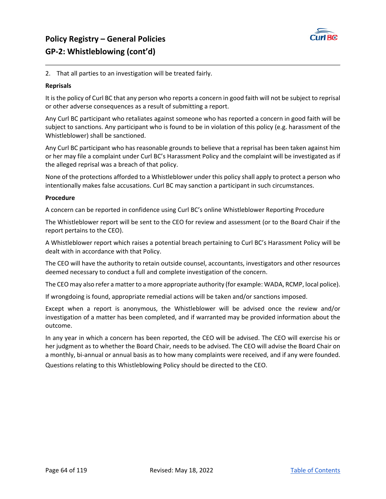

### 2. That all parties to an investigation will be treated fairly.

#### **Reprisals**

It is the policy of Curl BC that any person who reports a concern in good faith will not be subject to reprisal or other adverse consequences as a result of submitting a report.

Any Curl BC participant who retaliates against someone who has reported a concern in good faith will be subject to sanctions. Any participant who is found to be in violation of this policy (e.g. harassment of the Whistleblower) shall be sanctioned.

Any Curl BC participant who has reasonable grounds to believe that a reprisal has been taken against him or her may file a complaint under Curl BC's Harassment Policy and the complaint will be investigated as if the alleged reprisal was a breach of that policy.

None of the protections afforded to a Whistleblower under this policy shall apply to protect a person who intentionally makes false accusations. Curl BC may sanction a participant in such circumstances.

#### **Procedure**

A concern can be reported in confidence using Curl BC's online Whistleblower Reporting Procedure

The Whistleblower report will be sent to the CEO for review and assessment (or to the Board Chair if the report pertains to the CEO).

A Whistleblower report which raises a potential breach pertaining to Curl BC's Harassment Policy will be dealt with in accordance with that Policy.

The CEO will have the authority to retain outside counsel, accountants, investigators and other resources deemed necessary to conduct a full and complete investigation of the concern.

The CEO may also refer a matter to a more appropriate authority (for example: WADA, RCMP, local police).

If wrongdoing is found, appropriate remedial actions will be taken and/or sanctions imposed.

Except when a report is anonymous, the Whistleblower will be advised once the review and/or investigation of a matter has been completed, and if warranted may be provided information about the outcome.

In any year in which a concern has been reported, the CEO will be advised. The CEO will exercise his or her judgment as to whether the Board Chair, needs to be advised. The CEO will advise the Board Chair on a monthly, bi‐annual or annual basis as to how many complaints were received, and if any were founded. Questions relating to this Whistleblowing Policy should be directed to the CEO.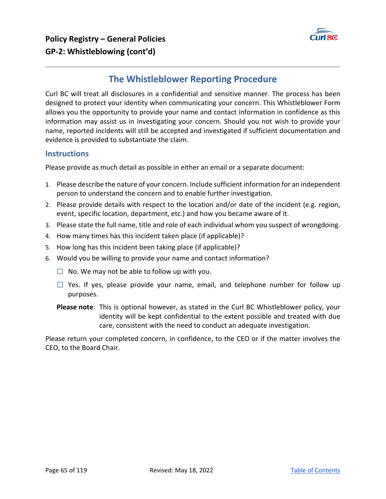

## **The Whistleblower Reporting Procedure**

Curl BC will treat all disclosures in a confidential and sensitive manner. The process has been designed to protect your identity when communicating your concern. This Whistleblower Form allows you the opportunity to provide your name and contact information in confidence as this information may assist us in investigating your concern. Should you not wish to provide your name, reported incidents will still be accepted and investigated if sufficient documentation and evidence is provided to substantiate the claim.

### **Instructions**

Please provide as much detail as possible in either an email or a separate document:

- 1. Please describe the nature of your concern. Include sufficient information for an independent person to understand the concern and to enable further investigation.
- 2. Please provide details with respect to the location and/or date of the incident (e.g. region, event, specific location, department, etc.) and how you became aware of it.
- 3. Please state the full name, title and role of each individual whom you suspect of wrongdoing.
- 4. How many times has this incident taken place (if applicable)?
- 5. How long has this incident been taking place (if applicable)?
- 6. Would you be willing to provide your name and contact information?
	- $\Box$  No. We may not be able to follow up with you.
	- $\Box$  Yes. If yes, please provide your name, email, and telephone number for follow up purposes.
	- **Please note**: This is optional however, as stated in the Curl BC Whistleblower policy, your identity will be kept confidential to the extent possible and treated with due care, consistent with the need to conduct an adequate investigation.

Please return your completed concern, in confidence, to the CEO or if the matter involves the CEO, to the Board Chair.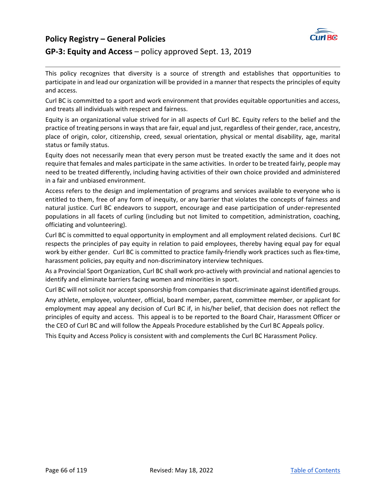### **Policy Registry – General Policies**



### **GP‐3: Equity and Access** – policy approved Sept. 13, 2019

This policy recognizes that diversity is a source of strength and establishes that opportunities to participate in and lead our organization will be provided in a manner that respects the principles of equity and access.

Curl BC is committed to a sport and work environment that provides equitable opportunities and access, and treats all individuals with respect and fairness.

Equity is an organizational value strived for in all aspects of Curl BC. Equity refers to the belief and the practice of treating persons in ways that are fair, equal and just, regardless of their gender, race, ancestry, place of origin, color, citizenship, creed, sexual orientation, physical or mental disability, age, marital status or family status.

Equity does not necessarily mean that every person must be treated exactly the same and it does not require that females and males participate in the same activities. In order to be treated fairly, people may need to be treated differently, including having activities of their own choice provided and administered in a fair and unbiased environment.

Access refers to the design and implementation of programs and services available to everyone who is entitled to them, free of any form of inequity, or any barrier that violates the concepts of fairness and natural justice. Curl BC endeavors to support, encourage and ease participation of under‐represented populations in all facets of curling (including but not limited to competition, administration, coaching, officiating and volunteering).

Curl BC is committed to equal opportunity in employment and all employment related decisions. Curl BC respects the principles of pay equity in relation to paid employees, thereby having equal pay for equal work by either gender. Curl BC is committed to practice family-friendly work practices such as flex-time, harassment policies, pay equity and non‐discriminatory interview techniques.

As a Provincial Sport Organization, Curl BC shall work pro‐actively with provincial and national agencies to identify and eliminate barriers facing women and minorities in sport.

Curl BC will not solicit nor accept sponsorship from companies that discriminate against identified groups.

Any athlete, employee, volunteer, official, board member, parent, committee member, or applicant for employment may appeal any decision of Curl BC if, in his/her belief, that decision does not reflect the principles of equity and access. This appeal is to be reported to the Board Chair, Harassment Officer or the CEO of Curl BC and will follow the Appeals Procedure established by the Curl BC Appeals policy.

This Equity and Access Policy is consistent with and complements the Curl BC Harassment Policy.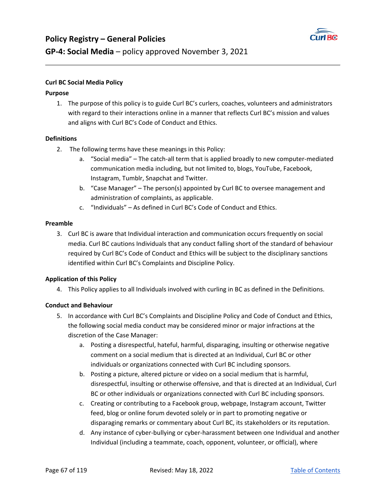

### **Curl BC Social Media Policy**

### **Purpose**

1. The purpose of this policy is to guide Curl BC's curlers, coaches, volunteers and administrators with regard to their interactions online in a manner that reflects Curl BC's mission and values and aligns with Curl BC's Code of Conduct and Ethics.

### **Definitions**

- 2. The following terms have these meanings in this Policy:
	- a. "Social media" The catch-all term that is applied broadly to new computer-mediated communication media including, but not limited to, blogs, YouTube, Facebook, Instagram, Tumblr, Snapchat and Twitter.
	- b. "Case Manager" The person(s) appointed by Curl BC to oversee management and administration of complaints, as applicable.
	- c. "Individuals" As defined in Curl BC's Code of Conduct and Ethics.

#### **Preamble**

3. Curl BC is aware that Individual interaction and communication occurs frequently on social media. Curl BC cautions Individuals that any conduct falling short of the standard of behaviour required by Curl BC's Code of Conduct and Ethics will be subject to the disciplinary sanctions identified within Curl BC's Complaints and Discipline Policy.

### **Application of this Policy**

4. This Policy applies to all Individuals involved with curling in BC as defined in the Definitions.

### **Conduct and Behaviour**

- 5. In accordance with Curl BC's Complaints and Discipline Policy and Code of Conduct and Ethics, the following social media conduct may be considered minor or major infractions at the discretion of the Case Manager:
	- a. Posting a disrespectful, hateful, harmful, disparaging, insulting or otherwise negative comment on a social medium that is directed at an Individual, Curl BC or other individuals or organizations connected with Curl BC including sponsors.
	- b. Posting a picture, altered picture or video on a social medium that is harmful, disrespectful, insulting or otherwise offensive, and that is directed at an Individual, Curl BC or other individuals or organizations connected with Curl BC including sponsors.
	- c. Creating or contributing to a Facebook group, webpage, Instagram account, Twitter feed, blog or online forum devoted solely or in part to promoting negative or disparaging remarks or commentary about Curl BC, its stakeholders or its reputation.
	- d. Any instance of cyber‐bullying or cyber‐harassment between one Individual and another Individual (including a teammate, coach, opponent, volunteer, or official), where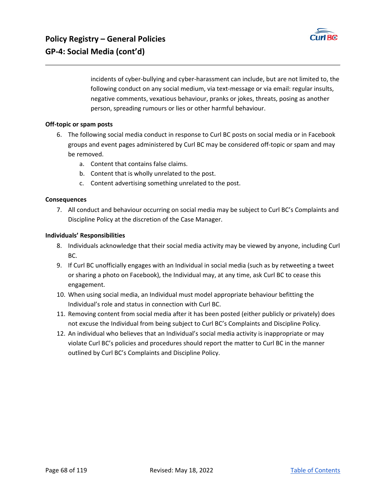

incidents of cyber‐bullying and cyber‐harassment can include, but are not limited to, the following conduct on any social medium, via text-message or via email: regular insults, negative comments, vexatious behaviour, pranks or jokes, threats, posing as another person, spreading rumours or lies or other harmful behaviour.

### **Off‐topic or spam posts**

- 6. The following social media conduct in response to Curl BC posts on social media or in Facebook groups and event pages administered by Curl BC may be considered off‐topic or spam and may be removed.
	- a. Content that contains false claims.
	- b. Content that is wholly unrelated to the post.
	- c. Content advertising something unrelated to the post.

#### **Consequences**

7. All conduct and behaviour occurring on social media may be subject to Curl BC's Complaints and Discipline Policy at the discretion of the Case Manager.

#### **Individuals' Responsibilities**

- 8. Individuals acknowledge that their social media activity may be viewed by anyone, including Curl BC.
- 9. If Curl BC unofficially engages with an Individual in social media (such as by retweeting a tweet or sharing a photo on Facebook), the Individual may, at any time, ask Curl BC to cease this engagement.
- 10. When using social media, an Individual must model appropriate behaviour befitting the Individual's role and status in connection with Curl BC.
- 11. Removing content from social media after it has been posted (either publicly or privately) does not excuse the Individual from being subject to Curl BC's Complaints and Discipline Policy.
- 12. An individual who believes that an Individual's social media activity is inappropriate or may violate Curl BC's policies and procedures should report the matter to Curl BC in the manner outlined by Curl BC's Complaints and Discipline Policy.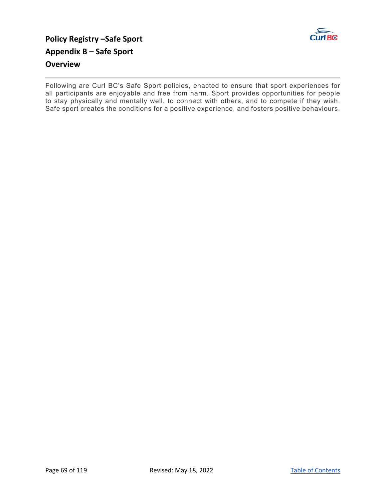

## **Policy Registry –Safe Sport Appendix B – Safe Sport Overview**

Following are Curl BC's Safe Sport policies, enacted to ensure that sport experiences for all participants are enjoyable and free from harm. Sport provides opportunities for people to stay physically and mentally well, to connect with others, and to compete if they wish. Safe sport creates the conditions for a positive experience, and fosters positive behaviours.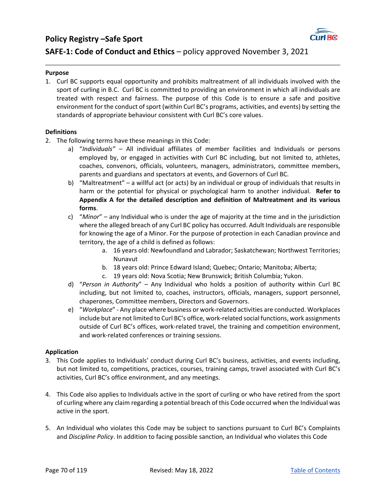### **Policy Registry –Safe Sport**



### **SAFE-1: Code of Conduct and Ethics** – policy approved November 3, 2021

#### **Purpose**

1. Curl BC supports equal opportunity and prohibits maltreatment of all individuals involved with the sport of curling in B.C. Curl BC is committed to providing an environment in which all individuals are treated with respect and fairness. The purpose of this Code is to ensure a safe and positive environment for the conduct of sport (within Curl BC's programs, activities, and events) by setting the standards of appropriate behaviour consistent with Curl BC's core values.

### **Definitions**

- 2. The following terms have these meanings in this Code:
	- a) "*Individuals"* All individual affiliates of member facilities and Individuals or persons employed by, or engaged in activities with Curl BC including, but not limited to, athletes, coaches, convenors, officials, volunteers, managers, administrators, committee members, parents and guardians and spectators at events, and Governors of Curl BC.
	- b) "Maltreatment" a willful act (or acts) by an individual or group of individuals that results in harm or the potential for physical or psychological harm to another individual. **Refer to Appendix A for the detailed description and definition of Maltreatment and its various forms**.
	- c) "*Minor*" any Individual who is under the age of majority at the time and in the jurisdiction where the alleged breach of any Curl BC policy has occurred. Adult Individuals are responsible for knowing the age of a Minor. For the purpose of protection in each Canadian province and territory, the age of a child is defined as follows:
		- a. 16 years old: Newfoundland and Labrador; Saskatchewan; Northwest Territories; Nunavut
		- b. 18 years old: Prince Edward Island; Quebec; Ontario; Manitoba; Alberta;
		- c. 19 years old: Nova Scotia; New Brunswick; British Columbia; Yukon.
	- d) "*Person in Authority*" Any Individual who holds a position of authority within Curl BC including, but not limited to, coaches, instructors, officials, managers, support personnel, chaperones, Committee members, Directors and Governors.
	- e) "*Workplace*" ‐ Any place where business or work‐related activities are conducted. Workplaces include but are not limited to Curl BC's office, work‐related social functions, work assignments outside of Curl BC's offices, work‐related travel, the training and competition environment, and work‐related conferences or training sessions.

#### **Application**

- 3. This Code applies to Individuals' conduct during Curl BC's business, activities, and events including, but not limited to, competitions, practices, courses, training camps, travel associated with Curl BC's activities, Curl BC's office environment, and any meetings.
- 4. This Code also applies to Individuals active in the sport of curling or who have retired from the sport of curling where any claim regarding a potential breach of this Code occurred when the Individual was active in the sport.
- 5. An Individual who violates this Code may be subject to sanctions pursuant to Curl BC's Complaints and *Discipline Policy*. In addition to facing possible sanction*,* an Individual who violates this Code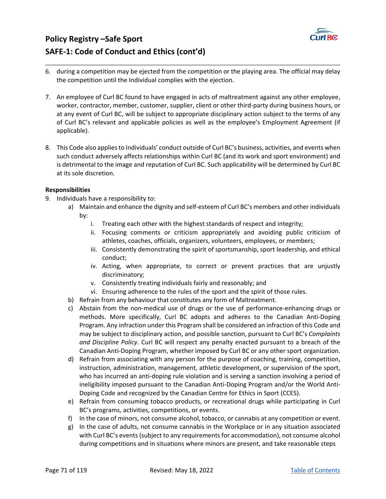

## **Policy Registry –Safe Sport SAFE‐1: Code of Conduct and Ethics (cont'd)**

- 6. during a competition may be ejected from the competition or the playing area. The official may delay the competition until the Individual complies with the ejection.
- 7. An employee of Curl BC found to have engaged in acts of maltreatment against any other employee, worker, contractor, member, customer, supplier, client or other third-party during business hours, or at any event of Curl BC, will be subject to appropriate disciplinary action subject to the terms of any of Curl BC's relevant and applicable policies as well as the employee's Employment Agreement (if applicable).
- 8. This Code also applies to Individuals' conduct outside of Curl BC's business, activities, and events when such conduct adversely affects relationships within Curl BC (and its work and sport environment) and is detrimental to the image and reputation of Curl BC. Such applicability will be determined by Curl BC at its sole discretion.

### **Responsibilities**

- 9. Individuals have a responsibility to:
	- a) Maintain and enhance the dignity and self‐esteem of Curl BC's members and other individuals by:
		- i. Treating each other with the highest standards of respect and integrity;
		- ii. Focusing comments or criticism appropriately and avoiding public criticism of athletes, coaches, officials, organizers, volunteers, employees, or members;
		- iii. Consistently demonstrating the spirit of sportsmanship, sport leadership, and ethical conduct;
		- iv. Acting, when appropriate, to correct or prevent practices that are unjustly discriminatory;
		- v. Consistently treating individuals fairly and reasonably; and
		- vi. Ensuring adherence to the rules of the sport and the spirit of those rules.
	- b) Refrain from any behaviour that constitutes any form of Maltreatment.
	- c) Abstain from the non-medical use of drugs or the use of performance-enhancing drugs or methods. More specifically, Curl BC adopts and adheres to the Canadian Anti‐Doping Program. Any infraction under this Program shall be considered an infraction of this Code and may be subject to disciplinary action, and possible sanction, pursuant to Curl BC's *Complaints and Discipline Policy*. Curl BC will respect any penalty enacted pursuant to a breach of the Canadian Anti‐Doping Program, whether imposed by Curl BC or any other sport organization.
	- d) Refrain from associating with any person for the purpose of coaching, training, competition, instruction, administration, management, athletic development, or supervision of the sport, who has incurred an anti-doping rule violation and is serving a sanction involving a period of ineligibility imposed pursuant to the Canadian Anti‐Doping Program and/or the World Anti‐ Doping Code and recognized by the Canadian Centre for Ethics in Sport (CCES).
	- e) Refrain from consuming tobacco products, or recreational drugs while participating in Curl BC's programs, activities, competitions, or events.
	- f) In the case of minors, not consume alcohol, tobacco, or cannabis at any competition or event.
	- g) In the case of adults, not consume cannabis in the Workplace or in any situation associated with Curl BC's events (subject to any requirements for accommodation), not consume alcohol during competitions and in situations where minors are present, and take reasonable steps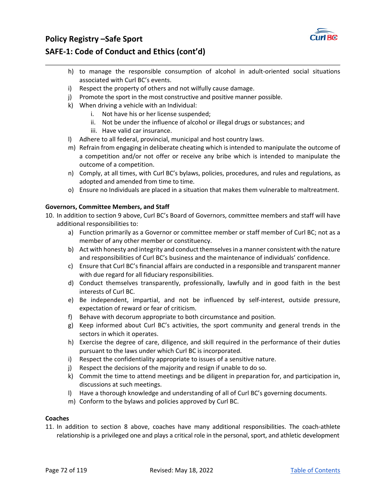

## **Policy Registry –Safe Sport SAFE‐1: Code of Conduct and Ethics (cont'd)**

- h) to manage the responsible consumption of alcohol in adult-oriented social situations associated with Curl BC's events.
- i) Respect the property of others and not wilfully cause damage.
- j) Promote the sport in the most constructive and positive manner possible.
- k) When driving a vehicle with an Individual:
	- i. Not have his or her license suspended;
	- ii. Not be under the influence of alcohol or illegal drugs or substances; and
	- iii. Have valid car insurance.
- l) Adhere to all federal, provincial, municipal and host country laws.
- m) Refrain from engaging in deliberate cheating which is intended to manipulate the outcome of a competition and/or not offer or receive any bribe which is intended to manipulate the outcome of a competition.
- n) Comply, at all times, with Curl BC's bylaws, policies, procedures, and rules and regulations, as adopted and amended from time to time.
- o) Ensure no Individuals are placed in a situation that makes them vulnerable to maltreatment.

### **Governors, Committee Members, and Staff**

- 10. In addition to section 9 above, Curl BC's Board of Governors, committee members and staff will have additional responsibilities to:
	- a) Function primarily as a Governor or committee member or staff member of Curl BC; not as a member of any other member or constituency.
	- b) Act with honesty and integrity and conduct themselves in a manner consistent with the nature and responsibilities of Curl BC's business and the maintenance of individuals' confidence.
	- c) Ensure that Curl BC's financial affairs are conducted in a responsible and transparent manner with due regard for all fiduciary responsibilities.
	- d) Conduct themselves transparently, professionally, lawfully and in good faith in the best interests of Curl BC.
	- e) Be independent, impartial, and not be influenced by self-interest, outside pressure, expectation of reward or fear of criticism.
	- f) Behave with decorum appropriate to both circumstance and position.
	- g) Keep informed about Curl BC's activities, the sport community and general trends in the sectors in which it operates.
	- h) Exercise the degree of care, diligence, and skill required in the performance of their duties pursuant to the laws under which Curl BC is incorporated.
	- i) Respect the confidentiality appropriate to issues of a sensitive nature.
	- j) Respect the decisions of the majority and resign if unable to do so.
	- k) Commit the time to attend meetings and be diligent in preparation for, and participation in, discussions at such meetings.
	- l) Have a thorough knowledge and understanding of all of Curl BC's governing documents.
	- m) Conform to the bylaws and policies approved by Curl BC.

### **Coaches**

11. In addition to section 8 above, coaches have many additional responsibilities. The coach‐athlete relationship is a privileged one and plays a critical role in the personal, sport, and athletic development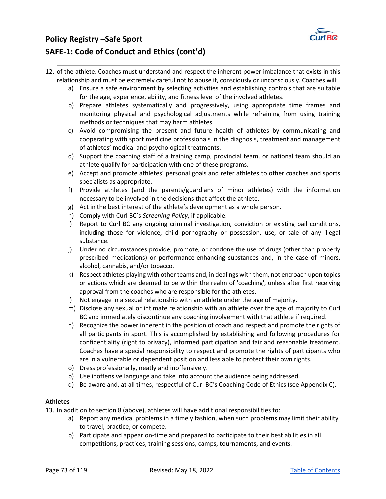

# **Policy Registry –Safe Sport SAFE‐1: Code of Conduct and Ethics (cont'd)**

- 12. of the athlete. Coaches must understand and respect the inherent power imbalance that exists in this relationship and must be extremely careful not to abuse it, consciously or unconsciously. Coaches will:
	- a) Ensure a safe environment by selecting activities and establishing controls that are suitable for the age, experience, ability, and fitness level of the involved athletes.
	- b) Prepare athletes systematically and progressively, using appropriate time frames and monitoring physical and psychological adjustments while refraining from using training methods or techniques that may harm athletes.
	- c) Avoid compromising the present and future health of athletes by communicating and cooperating with sport medicine professionals in the diagnosis, treatment and management of athletes' medical and psychological treatments.
	- d) Support the coaching staff of a training camp, provincial team, or national team should an athlete qualify for participation with one of these programs.
	- e) Accept and promote athletes' personal goals and refer athletes to other coaches and sports specialists as appropriate.
	- f) Provide athletes (and the parents/guardians of minor athletes) with the information necessary to be involved in the decisions that affect the athlete.
	- g) Act in the best interest of the athlete's development as a whole person.
	- h) Comply with Curl BC's *Screening Policy*, if applicable.
	- i) Report to Curl BC any ongoing criminal investigation, conviction or existing bail conditions, including those for violence, child pornography or possession, use, or sale of any illegal substance.
	- j) Under no circumstances provide, promote, or condone the use of drugs (other than properly prescribed medications) or performance‐enhancing substances and, in the case of minors, alcohol, cannabis, and/or tobacco.
	- k) Respect athletes playing with other teams and, in dealings with them, not encroach upon topics or actions which are deemed to be within the realm of 'coaching', unless after first receiving approval from the coaches who are responsible for the athletes.
	- l) Not engage in a sexual relationship with an athlete under the age of majority.
	- m) Disclose any sexual or intimate relationship with an athlete over the age of majority to Curl BC and immediately discontinue any coaching involvement with that athlete if required.
	- n) Recognize the power inherent in the position of coach and respect and promote the rights of all participants in sport. This is accomplished by establishing and following procedures for confidentiality (right to privacy), informed participation and fair and reasonable treatment. Coaches have a special responsibility to respect and promote the rights of participants who are in a vulnerable or dependent position and less able to protect their own rights.
	- o) Dress professionally, neatly and inoffensively.
	- p) Use inoffensive language and take into account the audience being addressed.
	- q) Be aware and, at all times, respectful of Curl BC's Coaching Code of Ethics (see Appendix C).

### **Athletes**

13. In addition to section 8 (above), athletes will have additional responsibilities to:

- a) Report any medical problems in a timely fashion, when such problems may limit their ability to travel, practice, or compete.
- b) Participate and appear on-time and prepared to participate to their best abilities in all competitions, practices, training sessions, camps, tournaments, and events.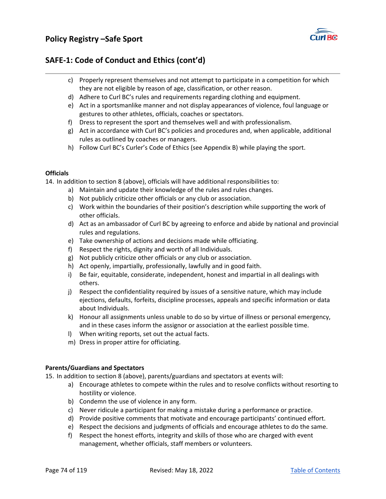

## **SAFE‐1: Code of Conduct and Ethics (cont'd)**

- c) Properly represent themselves and not attempt to participate in a competition for which they are not eligible by reason of age, classification, or other reason.
- d) Adhere to Curl BC's rules and requirements regarding clothing and equipment.
- e) Act in a sportsmanlike manner and not display appearances of violence, foul language or gestures to other athletes, officials, coaches or spectators.
- f) Dress to represent the sport and themselves well and with professionalism.
- g) Act in accordance with Curl BC's policies and procedures and, when applicable, additional rules as outlined by coaches or managers.
- h) Follow Curl BC's Curler's Code of Ethics (see Appendix B) while playing the sport.

#### **Officials**

14. In addition to section 8 (above), officials will have additional responsibilities to:

- a) Maintain and update their knowledge of the rules and rules changes.
- b) Not publicly criticize other officials or any club or association.
- c) Work within the boundaries of their position's description while supporting the work of other officials.
- d) Act as an ambassador of Curl BC by agreeing to enforce and abide by national and provincial rules and regulations.
- e) Take ownership of actions and decisions made while officiating.
- f) Respect the rights, dignity and worth of all Individuals.
- g) Not publicly criticize other officials or any club or association.
- h) Act openly, impartially, professionally, lawfully and in good faith.
- i) Be fair, equitable, considerate, independent, honest and impartial in all dealings with others.
- j) Respect the confidentiality required by issues of a sensitive nature, which may include ejections, defaults, forfeits, discipline processes, appeals and specific information or data about Individuals.
- k) Honour all assignments unless unable to do so by virtue of illness or personal emergency, and in these cases inform the assignor or association at the earliest possible time.
- l) When writing reports, set out the actual facts.
- m) Dress in proper attire for officiating.

#### **Parents/Guardians and Spectators**

15. In addition to section 8 (above), parents/guardians and spectators at events will:

- a) Encourage athletes to compete within the rules and to resolve conflicts without resorting to hostility or violence.
- b) Condemn the use of violence in any form.
- c) Never ridicule a participant for making a mistake during a performance or practice.
- d) Provide positive comments that motivate and encourage participants' continued effort.
- e) Respect the decisions and judgments of officials and encourage athletes to do the same.
- f) Respect the honest efforts, integrity and skills of those who are charged with event management, whether officials, staff members or volunteers.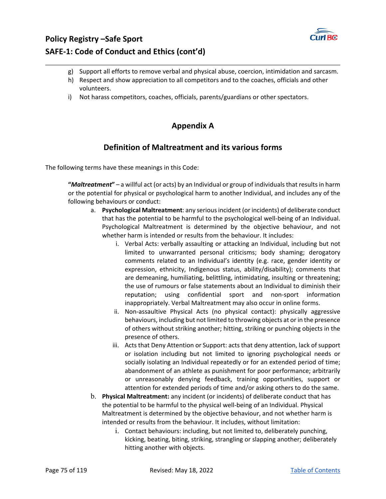

# **Policy Registry –Safe Sport SAFE‐1: Code of Conduct and Ethics (cont'd)**

- g) Support all efforts to remove verbal and physical abuse, coercion, intimidation and sarcasm.
- h) Respect and show appreciation to all competitors and to the coaches, officials and other volunteers.
- i) Not harass competitors, coaches, officials, parents/guardians or other spectators.

## **Appendix A**

## **Definition of Maltreatment and its various forms**

The following terms have these meanings in this Code:

**"***Maltreatment***"** – a willful act (or acts) by an Individual or group of individuals that results in harm or the potential for physical or psychological harm to another Individual, and includes any of the following behaviours or conduct:

- a. **Psychological Maltreatment**: any serious incident (or incidents) of deliberate conduct that has the potential to be harmful to the psychological well‐being of an Individual. Psychological Maltreatment is determined by the objective behaviour, and not whether harm is intended or results from the behaviour. It includes:
	- i. Verbal Acts: verbally assaulting or attacking an Individual, including but not limited to unwarranted personal criticisms; body shaming; derogatory comments related to an Individual's identity (e.g. race, gender identity or expression, ethnicity, Indigenous status, ability/disability); comments that are demeaning, humiliating, belittling, intimidating, insulting or threatening; the use of rumours or false statements about an Individual to diminish their reputation; using confidential sport and non‐sport information inappropriately. Verbal Maltreatment may also occur in online forms.
	- ii. Non-assaultive Physical Acts (no physical contact): physically aggressive behaviours, including but not limited to throwing objects at or in the presence of others without striking another; hitting, striking or punching objects in the presence of others.
	- iii. Acts that Deny Attention or Support: acts that deny attention, lack of support or isolation including but not limited to ignoring psychological needs or socially isolating an Individual repeatedly or for an extended period of time; abandonment of an athlete as punishment for poor performance; arbitrarily or unreasonably denying feedback, training opportunities, support or attention for extended periods of time and/or asking others to do the same.
- b. **Physical Maltreatment:** any incident (or incidents) of deliberate conduct that has the potential to be harmful to the physical well‐being of an Individual. Physical Maltreatment is determined by the objective behaviour, and not whether harm is intended or results from the behaviour. It includes, without limitation:
	- i. Contact behaviours: including, but not limited to, deliberately punching, kicking, beating, biting, striking, strangling or slapping another; deliberately hitting another with objects.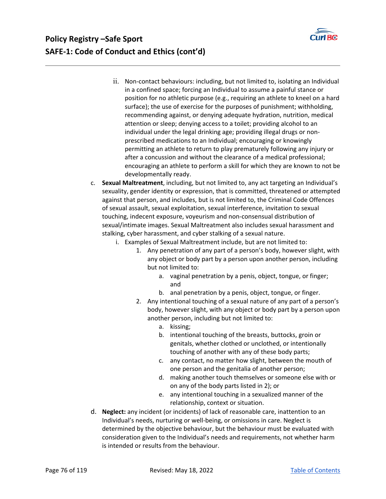

- ii. Non‐contact behaviours: including, but not limited to, isolating an Individual in a confined space; forcing an Individual to assume a painful stance or position for no athletic purpose (e.g., requiring an athlete to kneel on a hard surface); the use of exercise for the purposes of punishment; withholding, recommending against, or denying adequate hydration, nutrition, medical attention or sleep; denying access to a toilet; providing alcohol to an individual under the legal drinking age; providing illegal drugs or non‐ prescribed medications to an Individual; encouraging or knowingly permitting an athlete to return to play prematurely following any injury or after a concussion and without the clearance of a medical professional; encouraging an athlete to perform a skill for which they are known to not be developmentally ready.
- c. **Sexual Maltreatment**, including, but not limited to, any act targeting an Individual's sexuality, gender identity or expression, that is committed, threatened or attempted against that person, and includes, but is not limited to, the Criminal Code Offences of sexual assault, sexual exploitation, sexual interference, invitation to sexual touching, indecent exposure, voyeurism and non‐consensual distribution of sexual/intimate images. Sexual Maltreatment also includes sexual harassment and stalking, cyber harassment, and cyber stalking of a sexual nature.
	- i. Examples of Sexual Maltreatment include, but are not limited to:
		- 1. Any penetration of any part of a person's body, however slight, with any object or body part by a person upon another person, including but not limited to:
			- a. vaginal penetration by a penis, object, tongue, or finger; and
			- b. anal penetration by a penis, object, tongue, or finger.
		- 2. Any intentional touching of a sexual nature of any part of a person's body, however slight, with any object or body part by a person upon another person, including but not limited to:
			- a. kissing;
			- b. intentional touching of the breasts, buttocks, groin or genitals, whether clothed or unclothed, or intentionally touching of another with any of these body parts;
			- c. any contact, no matter how slight, between the mouth of one person and the genitalia of another person;
			- d. making another touch themselves or someone else with or on any of the body parts listed in 2); or
			- e. any intentional touching in a sexualized manner of the relationship, context or situation.
- d. **Neglect:** any incident (or incidents) of lack of reasonable care, inattention to an Individual's needs, nurturing or well‐being, or omissions in care. Neglect is determined by the objective behaviour, but the behaviour must be evaluated with consideration given to the Individual's needs and requirements, not whether harm is intended or results from the behaviour.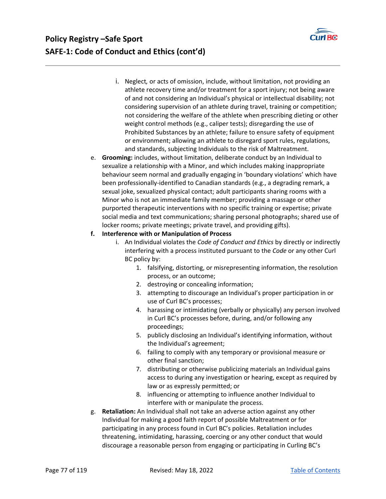

- i. Neglect*,* or acts of omission, include, without limitation, not providing an athlete recovery time and/or treatment for a sport injury; not being aware of and not considering an Individual's physical or intellectual disability; not considering supervision of an athlete during travel, training or competition; not considering the welfare of the athlete when prescribing dieting or other weight control methods (e.g., caliper tests); disregarding the use of Prohibited Substances by an athlete; failure to ensure safety of equipment or environment; allowing an athlete to disregard sport rules, regulations, and standards, subjecting Individuals to the risk of Maltreatment.
- e. **Grooming:** includes, without limitation, deliberate conduct by an Individual to sexualize a relationship with a Minor, and which includes making inappropriate behaviour seem normal and gradually engaging in 'boundary violations' which have been professionally‐identified to Canadian standards (e.g., a degrading remark, a sexual joke, sexualized physical contact; adult participants sharing rooms with a Minor who is not an immediate family member; providing a massage or other purported therapeutic interventions with no specific training or expertise; private social media and text communications; sharing personal photographs; shared use of locker rooms; private meetings; private travel, and providing gifts).

#### **f. Interference with or Manipulation of Process**

- i. An Individual violates the *Code of Conduct and Ethics* by directly or indirectly interfering with a process instituted pursuant to the *Code* or any other Curl BC policy by:
	- 1. falsifying, distorting, or misrepresenting information, the resolution process, or an outcome;
	- 2. destroying or concealing information;
	- 3. attempting to discourage an Individual's proper participation in or use of Curl BC's processes;
	- 4. harassing or intimidating (verbally or physically) any person involved in Curl BC's processes before, during, and/or following any proceedings;
	- 5. publicly disclosing an Individual's identifying information, without the Individual's agreement;
	- 6. failing to comply with any temporary or provisional measure or other final sanction;
	- 7. distributing or otherwise publicizing materials an Individual gains access to during any investigation or hearing, except as required by law or as expressly permitted; or
	- 8. influencing or attempting to influence another Individual to interfere with or manipulate the process.
- g. **Retaliation:** An Individual shall not take an adverse action against any other Individual for making a good faith report of possible Maltreatment or for participating in any process found in Curl BC's policies. Retaliation includes threatening, intimidating, harassing, coercing or any other conduct that would discourage a reasonable person from engaging or participating in Curling BC's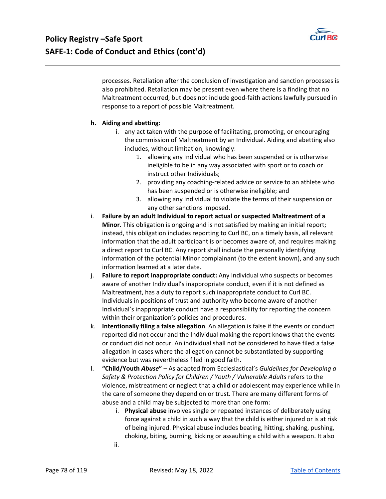

processes. Retaliation after the conclusion of investigation and sanction processes is also prohibited. Retaliation may be present even where there is a finding that no Maltreatment occurred, but does not include good‐faith actions lawfully pursued in response to a report of possible Maltreatment*.* 

### **h. Aiding and abetting:**

- i. any act taken with the purpose of facilitating, promoting, or encouraging the commission of Maltreatment by an Individual. Aiding and abetting also includes, without limitation, knowingly:
	- 1. allowing any Individual who has been suspended or is otherwise ineligible to be in any way associated with sport or to coach or instruct other Individuals;
	- 2. providing any coaching‐related advice or service to an athlete who has been suspended or is otherwise ineligible; and
	- 3. allowing any Individual to violate the terms of their suspension or any other sanctions imposed.
- i. **Failure by an adult Individual to report actual or suspected Maltreatment of a Minor.** This obligation is ongoing and is not satisfied by making an initial report; instead, this obligation includes reporting to Curl BC, on a timely basis, all relevant information that the adult participant is or becomes aware of, and requires making a direct report to Curl BC. Any report shall include the personally identifying information of the potential Minor complainant (to the extent known), and any such information learned at a later date.
- j. **Failure to report inappropriate conduct:** Any Individual who suspects or becomes aware of another Individual's inappropriate conduct, even if it is not defined as Maltreatment, has a duty to report such inappropriate conduct to Curl BC. Individuals in positions of trust and authority who become aware of another Individual's inappropriate conduct have a responsibility for reporting the concern within their organization's policies and procedures.
- k. **Intentionally filing a false allegation**. An allegation is false if the events or conduct reported did not occur and the Individual making the report knows that the events or conduct did not occur. An individual shall not be considered to have filed a false allegation in cases where the allegation cannot be substantiated by supporting evidence but was nevertheless filed in good faith.
- l. **"Child/Youth** *Abuse***"** As adapted from Ecclesiastical's *Guidelines for Developing a Safety & Protection Policy for Children / Youth / Vulnerable Adults* refers to the violence, mistreatment or neglect that a child or adolescent may experience while in the care of someone they depend on or trust. There are many different forms of abuse and a child may be subjected to more than one form:
	- i. **Physical abuse** involves single or repeated instances of deliberately using force against a child in such a way that the child is either injured or is at risk of being injured. Physical abuse includes beating, hitting, shaking, pushing, choking, biting, burning, kicking or assaulting a child with a weapon. It also
	- ii.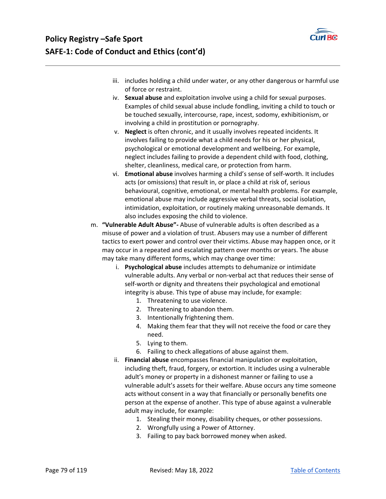

- iii. includes holding a child under water, or any other dangerous or harmful use of force or restraint.
- iv. **Sexual abuse** and exploitation involve using a child for sexual purposes. Examples of child sexual abuse include fondling, inviting a child to touch or be touched sexually, intercourse, rape, incest, sodomy, exhibitionism, or involving a child in prostitution or pornography.
- v. **Neglect** is often chronic, and it usually involves repeated incidents. It involves failing to provide what a child needs for his or her physical, psychological or emotional development and wellbeing. For example, neglect includes failing to provide a dependent child with food, clothing, shelter, cleanliness, medical care, or protection from harm.
- vi. **Emotional abuse** involves harming a child's sense of self‐worth. It includes acts (or omissions) that result in, or place a child at risk of, serious behavioural, cognitive, emotional, or mental health problems. For example, emotional abuse may include aggressive verbal threats, social isolation, intimidation, exploitation, or routinely making unreasonable demands. It also includes exposing the child to violence.
- m. **"Vulnerable Adult Abuse"‐** Abuse of vulnerable adults is often described as a misuse of power and a violation of trust. Abusers may use a number of different tactics to exert power and control over their victims. Abuse may happen once, or it may occur in a repeated and escalating pattern over months or years. The abuse may take many different forms, which may change over time:
	- i. **Psychological abuse** includes attempts to dehumanize or intimidate vulnerable adults. Any verbal or non‐verbal act that reduces their sense of self‐worth or dignity and threatens their psychological and emotional integrity is abuse. This type of abuse may include, for example:
		- 1. Threatening to use violence.
		- 2. Threatening to abandon them.
		- 3. Intentionally frightening them.
		- 4. Making them fear that they will not receive the food or care they need.
		- 5. Lying to them.
		- 6. Failing to check allegations of abuse against them.
	- ii. **Financial abuse** encompasses financial manipulation or exploitation, including theft, fraud, forgery, or extortion. It includes using a vulnerable adult's money or property in a dishonest manner or failing to use a vulnerable adult's assets for their welfare. Abuse occurs any time someone acts without consent in a way that financially or personally benefits one person at the expense of another. This type of abuse against a vulnerable adult may include, for example:
		- 1. Stealing their money, disability cheques, or other possessions.
		- 2. Wrongfully using a Power of Attorney.
		- 3. Failing to pay back borrowed money when asked.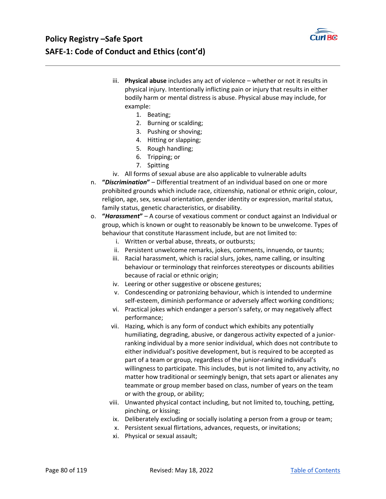

- iii. **Physical abuse** includes any act of violence whether or not it results in physical injury. Intentionally inflicting pain or injury that results in either bodily harm or mental distress is abuse. Physical abuse may include, for example:
	- 1. Beating;
	- 2. Burning or scalding;
	- 3. Pushing or shoving;
	- 4. Hitting or slapping;
	- 5. Rough handling;
	- 6. Tripping; or
	- 7. Spitting
- iv. All forms of sexual abuse are also applicable to vulnerable adults
- n. **"***Discrimination***"** Differential treatment of an individual based on one or more prohibited grounds which include race, citizenship, national or ethnic origin, colour, religion, age, sex, sexual orientation, gender identity or expression, marital status, family status, genetic characteristics, or disability.
- o. **"***Harassment***"** A course of vexatious comment or conduct against an Individual or group, which is known or ought to reasonably be known to be unwelcome. Types of behaviour that constitute Harassment include, but are not limited to:
	- i. Written or verbal abuse, threats, or outbursts;
	- ii. Persistent unwelcome remarks, jokes, comments, innuendo, or taunts;
	- iii. Racial harassment, which is racial slurs, jokes, name calling, or insulting behaviour or terminology that reinforces stereotypes or discounts abilities because of racial or ethnic origin;
	- iv. Leering or other suggestive or obscene gestures;
	- v. Condescending or patronizing behaviour, which is intended to undermine self-esteem, diminish performance or adversely affect working conditions;
	- vi. Practical jokes which endanger a person's safety, or may negatively affect performance;
	- vii. Hazing, which is any form of conduct which exhibits any potentially humiliating, degrading, abusive, or dangerous activity expected of a junior‐ ranking individual by a more senior individual, which does not contribute to either individual's positive development, but is required to be accepted as part of a team or group, regardless of the junior-ranking individual's willingness to participate. This includes, but is not limited to, any activity, no matter how traditional or seemingly benign, that sets apart or alienates any teammate or group member based on class, number of years on the team or with the group, or ability;
	- viii. Unwanted physical contact including, but not limited to, touching, petting, pinching, or kissing;
	- ix. Deliberately excluding or socially isolating a person from a group or team;
	- x. Persistent sexual flirtations, advances, requests, or invitations;
	- xi. Physical or sexual assault;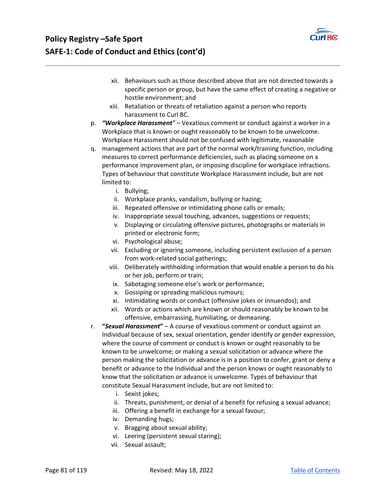

# **Policy Registry –Safe Sport SAFE‐1: Code of Conduct and Ethics (cont'd)**

- xii. Behaviours such as those described above that are not directed towards a specific person or group, but have the same effect of creating a negative or hostile environment; and
- xiii. Retaliation or threats of retaliation against a person who reports harassment to Curl BC.
- p. *"Workplace Harassment"* Vexatious comment or conduct against a worker in a Workplace that is known or ought reasonably to be known to be unwelcome. Workplace Harassment should not be confused with legitimate, reasonable
- q. management actions that are part of the normal work/training function, including measures to correct performance deficiencies, such as placing someone on a performance improvement plan, or imposing discipline for workplace infractions. Types of behaviour that constitute Workplace Harassment include, but are not limited to:
	- i. Bullying;
	- ii. Workplace pranks, vandalism, bullying or hazing;
	- iii. Repeated offensive or intimidating phone calls or emails;
	- iv. Inappropriate sexual touching, advances, suggestions or requests;
	- v. Displaying or circulating offensive pictures, photographs or materials in printed or electronic form;
	- vi. Psychological abuse;
	- vii. Excluding or ignoring someone, including persistent exclusion of a person from work-related social gatherings;
	- viii. Deliberately withholding information that would enable a person to do his or her job, perform or train;
	- ix. Sabotaging someone else's work or performance;
	- x. Gossiping or spreading malicious rumours;
	- xi. Intimidating words or conduct (offensive jokes or innuendos); and
	- xii. Words or actions which are known or should reasonably be known to be offensive, embarrassing, humiliating, or demeaning.
- r. **"***Sexual Harassment***"** A course of vexatious comment or conduct against an Individual because of sex, sexual orientation, gender identify or gender expression, where the course of comment or conduct is known or ought reasonably to be known to be unwelcome; or making a sexual solicitation or advance where the person making the solicitation or advance is in a position to confer, grant or deny a benefit or advance to the Individual and the person knows or ought reasonably to know that the solicitation or advance is unwelcome. Types of behaviour that constitute Sexual Harassment include, but are not limited to:
	- i. Sexist jokes;
	- ii. Threats, punishment, or denial of a benefit for refusing a sexual advance;
	- iii. Offering a benefit in exchange for a sexual favour;
	- iv. Demanding hugs;
	- v. Bragging about sexual ability;
	- vi. Leering (persistent sexual staring);
	- vii. Sexual assault;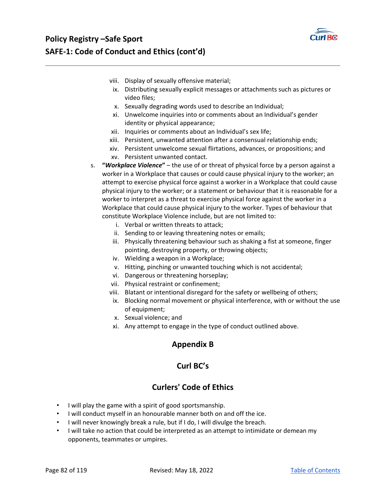

- viii. Display of sexually offensive material;
- ix. Distributing sexually explicit messages or attachments such as pictures or video files;
- x. Sexually degrading words used to describe an Individual;
- xi. Unwelcome inquiries into or comments about an Individual's gender identity or physical appearance;
- xii. Inquiries or comments about an Individual's sex life;
- xiii. Persistent, unwanted attention after a consensual relationship ends;
- xiv. Persistent unwelcome sexual flirtations, advances, or propositions; and xv. Persistent unwanted contact.
- s. **"***Workplace Violence***"** the use of or threat of physical force by a person against a worker in a Workplace that causes or could cause physical injury to the worker; an attempt to exercise physical force against a worker in a Workplace that could cause physical injury to the worker; or a statement or behaviour that it is reasonable for a worker to interpret as a threat to exercise physical force against the worker in a Workplace that could cause physical injury to the worker. Types of behaviour that constitute Workplace Violence include, but are not limited to:
	- i. Verbal or written threats to attack;
	- ii. Sending to or leaving threatening notes or emails;
	- iii. Physically threatening behaviour such as shaking a fist at someone, finger pointing, destroying property, or throwing objects;
	- iv. Wielding a weapon in a Workplace;
	- v. Hitting, pinching or unwanted touching which is not accidental;
	- vi. Dangerous or threatening horseplay;
	- vii. Physical restraint or confinement;
	- viii. Blatant or intentional disregard for the safety or wellbeing of others;
	- ix. Blocking normal movement or physical interference, with or without the use of equipment;
	- x. Sexual violence; and
	- xi. Any attempt to engage in the type of conduct outlined above.

## **Appendix B**

## **Curl BC's**

## **Curlers' Code of Ethics**

- I will play the game with a spirit of good sportsmanship.
- I will conduct myself in an honourable manner both on and off the ice.
- I will never knowingly break a rule, but if I do, I will divulge the breach.
- I will take no action that could be interpreted as an attempt to intimidate or demean my opponents, teammates or umpires.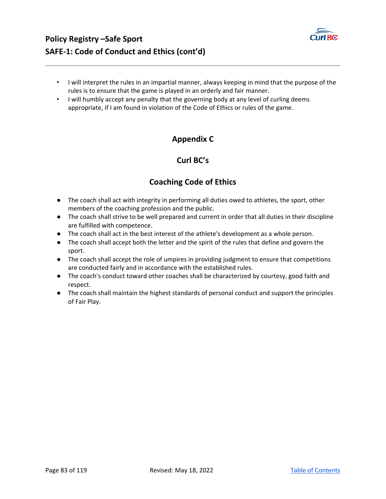

- I will interpret the rules in an impartial manner, always keeping in mind that the purpose of the rules is to ensure that the game is played in an orderly and fair manner.
- I will humbly accept any penalty that the governing body at any level of curling deems appropriate, if I am found in violation of the Code of Ethics or rules of the game.

# **Appendix C**

# **Curl BC's**

# **Coaching Code of Ethics**

- The coach shall act with integrity in performing all duties owed to athletes, the sport, other members of the coaching profession and the public.
- The coach shall strive to be well prepared and current in order that all duties in their discipline are fulfilled with competence.
- The coach shall act in the best interest of the athlete's development as a whole person.
- The coach shall accept both the letter and the spirit of the rules that define and govern the sport.
- The coach shall accept the role of umpires in providing judgment to ensure that competitions are conducted fairly and in accordance with the established rules.
- The coach's conduct toward other coaches shall be characterized by courtesy, good faith and respect.
- The coach shall maintain the highest standards of personal conduct and support the principles of Fair Play.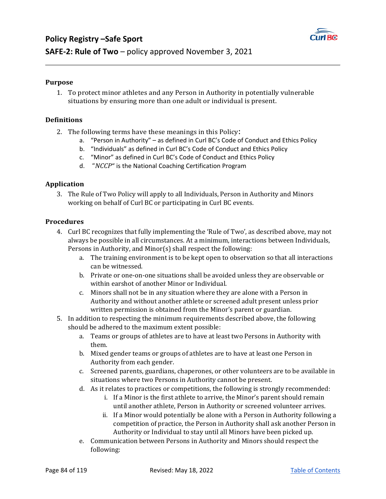

### **Purpose**

**Policy Registry –Safe Sport** 

1. To protect minor athletes and any Person in Authority in potentially vulnerable situations by ensuring more than one adult or individual is present.

### **Definitions**

- 2. The following terms have these meanings in this Policy:
	- a. "Person in Authority" as defined in Curl BC's Code of Conduct and Ethics Policy
	- b. "Individuals" as defined in Curl BC's Code of Conduct and Ethics Policy
	- c. "Minor" as defined in Curl BC's Code of Conduct and Ethics Policy
	- d. "*NCCP*" is the National Coaching Certification Program

### **Application**

3. The Rule of Two Policy will apply to all Individuals, Person in Authority and Minors working on behalf of Curl BC or participating in Curl BC events.

### **Procedures**

- 4. Curl BC recognizes that fully implementing the 'Rule of Two', as described above, may not always be possible in all circumstances. At a minimum, interactions between Individuals, Persons in Authority, and Minor(s) shall respect the following:
	- a. The training environment is to be kept open to observation so that all interactions can be witnessed.
	- b. Private or one-on-one situations shall be avoided unless they are observable or within earshot of another Minor or Individual.
	- c. Minors shall not be in any situation where they are alone with a Person in Authority and without another athlete or screened adult present unless prior written permission is obtained from the Minor's parent or guardian.
- 5. In addition to respecting the minimum requirements described above, the following should be adhered to the maximum extent possible:
	- a. Teams or groups of athletes are to have at least two Persons in Authority with them.
	- b. Mixed gender teams or groups of athletes are to have at least one Person in Authority from each gender.
	- c. Screened parents, guardians, chaperones, or other volunteers are to be available in situations where two Persons in Authority cannot be present.
	- d. As it relates to practices or competitions, the following is strongly recommended:
		- i. If a Minor is the first athlete to arrive, the Minor's parent should remain until another athlete, Person in Authority or screened volunteer arrives.
		- ii. If a Minor would potentially be alone with a Person in Authority following a competition of practice, the Person in Authority shall ask another Person in Authority or Individual to stay until all Minors have been picked up.
	- e. Communication between Persons in Authority and Minors should respect the following: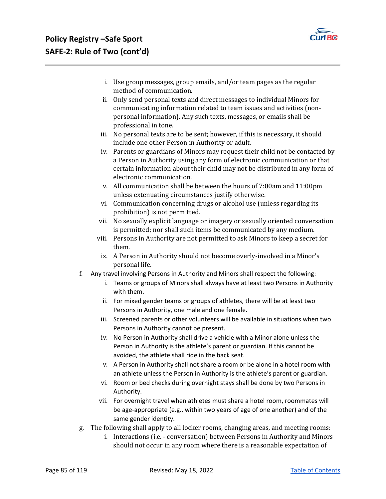

- i. Use group messages, group emails, and/or team pages as the regular method of communication.
- ii. Only send personal texts and direct messages to individual Minors for communicating information related to team issues and activities (nonpersonal information). Any such texts, messages, or emails shall be professional in tone.
- iii. No personal texts are to be sent; however, if this is necessary, it should include one other Person in Authority or adult.
- iv. Parents or guardians of Minors may request their child not be contacted by a Person in Authority using any form of electronic communication or that certain information about their child may not be distributed in any form of electronic communication.
- v. All communication shall be between the hours of 7:00am and 11:00pm unless extenuating circumstances justify otherwise.
- vi. Communication concerning drugs or alcohol use (unless regarding its prohibition) is not permitted.
- vii. No sexually explicit language or imagery or sexually oriented conversation is permitted; nor shall such items be communicated by any medium.
- viii. Persons in Authority are not permitted to ask Minors to keep a secret for them.
- ix. A Person in Authority should not become overly-involved in a Minor's personal life.
- f. Any travel involving Persons in Authority and Minors shall respect the following:
	- i. Teams or groups of Minors shall always have at least two Persons in Authority with them.
	- ii. For mixed gender teams or groups of athletes, there will be at least two Persons in Authority, one male and one female.
	- iii. Screened parents or other volunteers will be available in situations when two Persons in Authority cannot be present.
	- iv. No Person in Authority shall drive a vehicle with a Minor alone unless the Person in Authority is the athlete's parent or guardian. If this cannot be avoided, the athlete shall ride in the back seat.
	- v. A Person in Authority shall not share a room or be alone in a hotel room with an athlete unless the Person in Authority is the athlete's parent or guardian.
	- vi. Room or bed checks during overnight stays shall be done by two Persons in Authority.
	- vii. For overnight travel when athletes must share a hotel room, roommates will be age-appropriate (e.g., within two years of age of one another) and of the same gender identity.
- g. The following shall apply to all locker rooms, changing areas, and meeting rooms:
	- i. Interactions (i.e. conversation) between Persons in Authority and Minors should not occur in any room where there is a reasonable expectation of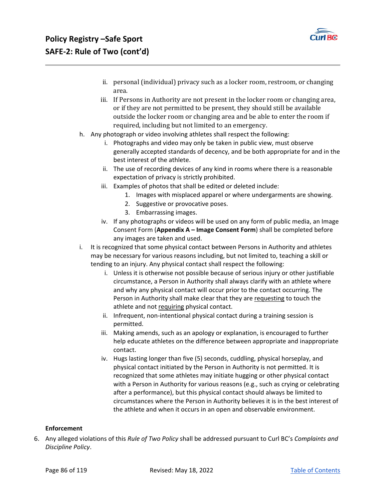

- ii. personal (individual) privacy such as a locker room, restroom, or changing area.
- iii. If Persons in Authority are not present in the locker room or changing area, or if they are not permitted to be present, they should still be available outside the locker room or changing area and be able to enter the room if required, including but not limited to an emergency.
- h. Any photograph or video involving athletes shall respect the following:
	- i. Photographs and video may only be taken in public view, must observe generally accepted standards of decency, and be both appropriate for and in the best interest of the athlete.
	- ii. The use of recording devices of any kind in rooms where there is a reasonable expectation of privacy is strictly prohibited.
	- iii. Examples of photos that shall be edited or deleted include:
		- 1. Images with misplaced apparel or where undergarments are showing.
		- 2. Suggestive or provocative poses.
		- 3. Embarrassing images.
	- iv. If any photographs or videos will be used on any form of public media, an Image Consent Form (**Appendix A – Image Consent Form**) shall be completed before any images are taken and used.
- i. It is recognized that some physical contact between Persons in Authority and athletes may be necessary for various reasons including, but not limited to, teaching a skill or tending to an injury. Any physical contact shall respect the following:
	- i. Unless it is otherwise not possible because of serious injury or other justifiable circumstance, a Person in Authority shall always clarify with an athlete where and why any physical contact will occur prior to the contact occurring. The Person in Authority shall make clear that they are requesting to touch the athlete and not requiring physical contact.
	- ii. Infrequent, non-intentional physical contact during a training session is permitted.
	- iii. Making amends, such as an apology or explanation, is encouraged to further help educate athletes on the difference between appropriate and inappropriate contact.
	- iv. Hugs lasting longer than five (5) seconds, cuddling, physical horseplay, and physical contact initiated by the Person in Authority is not permitted. It is recognized that some athletes may initiate hugging or other physical contact with a Person in Authority for various reasons (e.g., such as crying or celebrating after a performance), but this physical contact should always be limited to circumstances where the Person in Authority believes it is in the best interest of the athlete and when it occurs in an open and observable environment.

#### **Enforcement**

6. Any alleged violations of this *Rule of Two Policy* shall be addressed pursuant to Curl BC's *Complaints and Discipline Policy*.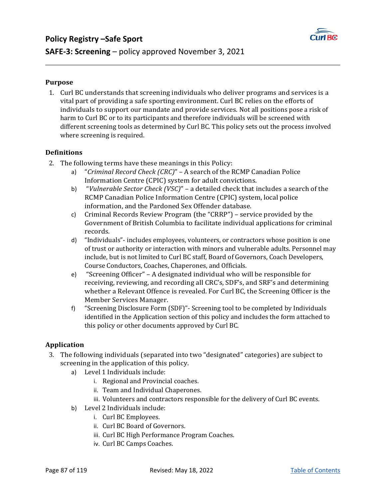

### **Purpose**

1. Curl BC understands that screening individuals who deliver programs and services is a vital part of providing a safe sporting environment. Curl BC relies on the efforts of individuals to support our mandate and provide services. Not all positions pose a risk of harm to Curl BC or to its participants and therefore individuals will be screened with different screening tools as determined by Curl BC. This policy sets out the process involved where screening is required.

### **Definitions**

- 2. The following terms have these meanings in this Policy:
	- a) "*Criminal Record Check (CRC)*" A search of the RCMP Canadian Police Information Centre (CPIC) system for adult convictions.
	- b) "*Vulnerable Sector Check (VSC)*" a detailed check that includes a search of the RCMP Canadian Police Information Centre (CPIC) system, local police information, and the Pardoned Sex Offender database.
	- c) Criminal Records Review Program (the "CRRP") service provided by the Government of British Columbia to facilitate individual applications for criminal records.
	- d) "Individuals"- includes employees, volunteers, or contractors whose position is one of trust or authority or interaction with minors and vulnerable adults. Personnel may include, but is not limited to Curl BC staff, Board of Governors, Coach Developers, Course Conductors, Coaches, Chaperones, and Officials.
	- e) "Screening Officer" A designated individual who will be responsible for receiving, reviewing, and recording all CRC's, SDF's, and SRF's and determining whether a Relevant Offence is revealed. For Curl BC, the Screening Officer is the Member Services Manager.
	- f) "Screening Disclosure Form (SDF)"- Screening tool to be completed by Individuals identified in the Application section of this policy and includes the form attached to this policy or other documents approved by Curl BC.

### **Application**

- 3. The following individuals (separated into two "designated" categories) are subject to screening in the application of this policy.
	- a) Level 1 Individuals include:
		- i. Regional and Provincial coaches.
		- ii. Team and Individual Chaperones.
		- iii. Volunteers and contractors responsible for the delivery of Curl BC events.
	- b) Level 2 Individuals include:
		- i. Curl BC Employees.
		- ii. Curl BC Board of Governors.
		- iii. Curl BC High Performance Program Coaches.
		- iv. Curl BC Camps Coaches.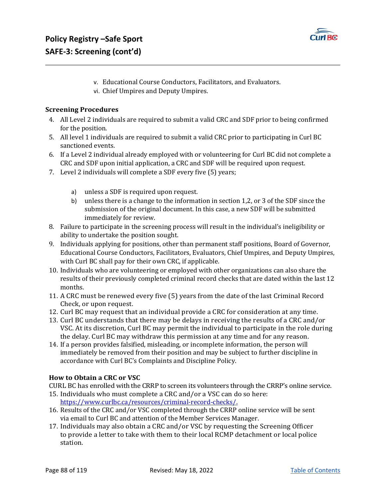

- v. Educational Course Conductors, Facilitators, and Evaluators.
- vi. Chief Umpires and Deputy Umpires.

### **Screening Procedures**

- 4. All Level 2 individuals are required to submit a valid CRC and SDF prior to being confirmed for the position.
- 5. All level 1 individuals are required to submit a valid CRC prior to participating in Curl BC sanctioned events.
- 6. If a Level 2 individual already employed with or volunteering for Curl BC did not complete a CRC and SDF upon initial application, a CRC and SDF will be required upon request.
- 7. Level 2 individuals will complete a SDF every five (5) years;
	- a) unless a SDF is required upon request.
	- b) unless there is a change to the information in section 1,2, or 3 of the SDF since the submission of the original document. In this case, a new SDF will be submitted immediately for review.
- 8. Failure to participate in the screening process will result in the individual's ineligibility or ability to undertake the position sought.
- 9. Individuals applying for positions, other than permanent staff positions, Board of Governor, Educational Course Conductors, Facilitators, Evaluators, Chief Umpires, and Deputy Umpires, with Curl BC shall pay for their own CRC, if applicable.
- 10. Individuals who are volunteering or employed with other organizations can also share the results of their previously completed criminal record checks that are dated within the last 12 months.
- 11. A CRC must be renewed every five (5) years from the date of the last Criminal Record Check, or upon request.
- 12. Curl BC may request that an individual provide a CRC for consideration at any time.
- 13. Curl BC understands that there may be delays in receiving the results of a CRC and/or VSC. At its discretion, Curl BC may permit the individual to participate in the role during the delay. Curl BC may withdraw this permission at any time and for any reason.
- 14. If a person provides falsified, misleading, or incomplete information, the person will immediately be removed from their position and may be subject to further discipline in accordance with Curl BC's Complaints and Discipline Policy.

### **How to Obtain a CRC or VSC**

CURL BC has enrolled with the CRRP to screen its volunteers through the CRRP's online service.

- 15. Individuals who must complete a CRC and/or a VSC can do so here: https://www.curlbc.ca/resources/criminal-record-checks/.
- 16. Results of the CRC and/or VSC completed through the CRRP online service will be sent via email to Curl BC and attention of the Member Services Manager.
- 17. Individuals may also obtain a CRC and/or VSC by requesting the Screening Officer to provide a letter to take with them to their local RCMP detachment or local police station.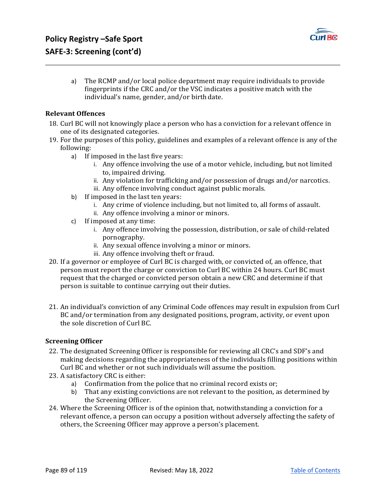

a) The RCMP and/or local police department may require individuals to provide fingerprints if the CRC and/or the VSC indicates a positive match with the individual's name, gender, and/or birth date.

### **Relevant Offences**

- 18. Curl BC will not knowingly place a person who has a conviction for a relevant offence in one of its designated categories.
- 19. For the purposes of this policy, guidelines and examples of a relevant offence is any of the following:
	- a) If imposed in the last five years:
		- i. Any offence involving the use of a motor vehicle, including, but not limited to, impaired driving.
		- ii. Any violation for trafficking and/or possession of drugs and/or narcotics.
		- iii. Any offence involving conduct against public morals.
	- b) If imposed in the last ten years:
		- i. Any crime of violence including, but not limited to, all forms of assault.
		- ii. Any offence involving a minor or minors.
	- c) If imposed at any time:
		- i. Any offence involving the possession, distribution, or sale of child-related pornography.
		- ii. Any sexual offence involving a minor or minors.
		- iii. Any offence involving theft or fraud.
- 20. If a governor or employee of Curl BC is charged with, or convicted of, an offence, that person must report the charge or conviction to Curl BC within 24 hours. Curl BC must request that the charged or convicted person obtain a new CRC and determine if that person is suitable to continue carrying out their duties.
- 21. An individual's conviction of any Criminal Code offences may result in expulsion from Curl BC and/or termination from any designated positions, program, activity, or event upon the sole discretion of Curl BC.

### **Screening Officer**

- 22. The designated Screening Officer is responsible for reviewing all CRC's and SDF's and making decisions regarding the appropriateness of the individuals filling positions within Curl BC and whether or not such individuals will assume the position.
- 23. A satisfactory CRC is either:
	- a) Confirmation from the police that no criminal record exists or;
	- b) That any existing convictions are not relevant to the position, as determined by the Screening Officer.
- 24. Where the Screening Officer is of the opinion that, notwithstanding a conviction for a relevant offence, a person can occupy a position without adversely affecting the safety of others, the Screening Officer may approve a person's placement.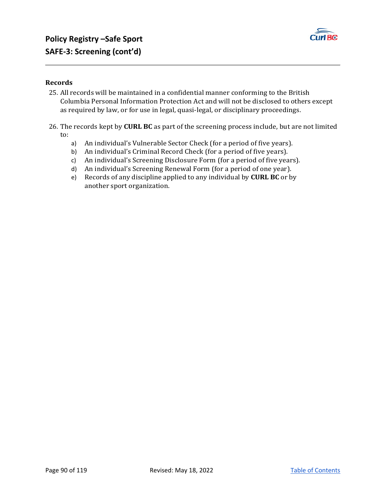

### **Records**

- 25. All records will be maintained in a confidential manner conforming to the British Columbia Personal Information Protection Act and will not be disclosed to others except as required by law, or for use in legal, quasi-legal, or disciplinary proceedings.
- 26. The records kept by **CURL BC** as part of the screening process include, but are not limited to:
	- a) An individual's Vulnerable Sector Check (for a period of five years).
	- b) An individual's Criminal Record Check (for a period of five years).
	- c) An individual's Screening Disclosure Form (for a period of five years).
	- d) An individual's Screening Renewal Form (for a period of one year).
	- e) Records of any discipline applied to any individual by **CURL BC** or by another sport organization.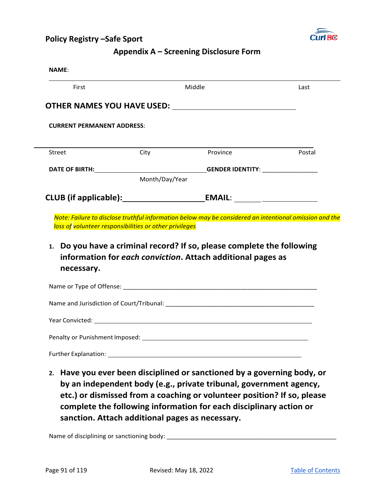

### **Appendix A – Screening Disclosure Form**

| First                                                  |                | Middle                                                                                                                                                                                                                         | Last   |
|--------------------------------------------------------|----------------|--------------------------------------------------------------------------------------------------------------------------------------------------------------------------------------------------------------------------------|--------|
|                                                        |                |                                                                                                                                                                                                                                |        |
| <b>CURRENT PERMANENT ADDRESS:</b>                      |                |                                                                                                                                                                                                                                |        |
| Street                                                 | City           | Province                                                                                                                                                                                                                       | Postal |
|                                                        |                |                                                                                                                                                                                                                                |        |
|                                                        | Month/Day/Year |                                                                                                                                                                                                                                |        |
|                                                        |                |                                                                                                                                                                                                                                |        |
| loss of volunteer responsibilities or other privileges |                | Note: Failure to disclose truthful information below may be considered an intentional omission and the<br>1. Do you have a criminal record? If so, please complete the following                                               |        |
|                                                        |                | information for each conviction. Attach additional pages as                                                                                                                                                                    |        |
| necessary.                                             |                | Name or Type of Offense: Name of Type of Offense:                                                                                                                                                                              |        |
|                                                        |                |                                                                                                                                                                                                                                |        |
|                                                        |                | Year Convicted: New York and Separate and Separate and Separate and Separate and Separate and Separate and Separate and Separate and Separate and Separate and Separate and Separate and Separate and Separate and Separate an |        |
|                                                        |                |                                                                                                                                                                                                                                |        |

**by an independent body (e.g., private tribunal, government agency, etc.) or dismissed from a coaching or volunteer position? If so, please complete the following information for each disciplinary action or sanction. Attach additional pages as necessary.**

Name of disciplining or sanctioning body: \_\_\_\_\_\_\_\_\_\_\_\_\_\_\_\_\_\_\_\_\_\_\_\_\_\_\_\_\_\_\_\_\_\_\_\_\_\_\_\_\_\_\_\_\_\_\_\_\_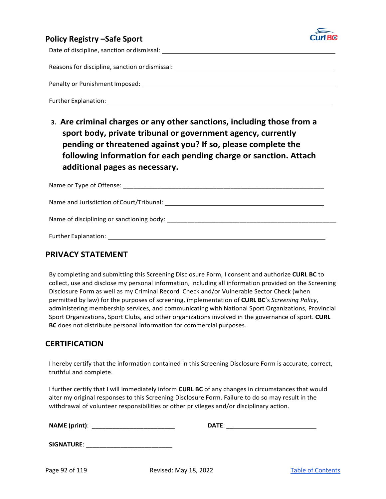

Date of discipline, sanction or dismissal:

Reasons for discipline, sanction or dismissal:

Penalty or Punishment Imposed: \_\_\_\_\_\_

Further Explanation:

**3. Are criminal charges or any other sanctions, including those from a sport body, private tribunal or government agency, currently pending or threatened against you? If so, please complete the following information for each pending charge or sanction. Attach additional pages as necessary.**

| Name and Jurisdiction of Court/Tribunal: Law and American control of Court and American control of the United States |
|----------------------------------------------------------------------------------------------------------------------|
|                                                                                                                      |
|                                                                                                                      |

### **PRIVACY STATEMENT**

By completing and submitting this Screening Disclosure Form, I consent and authorize **CURL BC** to collect, use and disclose my personal information, including all information provided on the Screening Disclosure Form as well as my Criminal Record Check and/or Vulnerable Sector Check (when permitted by law) for the purposes of screening, implementation of **CURL BC**'s *Screening Policy*, administering membership services, and communicating with National Sport Organizations, Provincial Sport Organizations, Sport Clubs, and other organizations involved in the governance of sport. **CURL BC** does not distribute personal information for commercial purposes.

### **CERTIFICATION**

I hereby certify that the information contained in this Screening Disclosure Form is accurate, correct, truthful and complete.

I further certify that I will immediately inform **CURL BC** of any changes in circumstances that would alter my original responses to this Screening Disclosure Form. Failure to do so may result in the withdrawal of volunteer responsibilities or other privileges and/or disciplinary action.

| <b>NAME</b> (print): |  | DATE: |
|----------------------|--|-------|
|----------------------|--|-------|

| DATE: |  |
|-------|--|
|       |  |

| <b>SIGNATURE:</b> |  |
|-------------------|--|
|                   |  |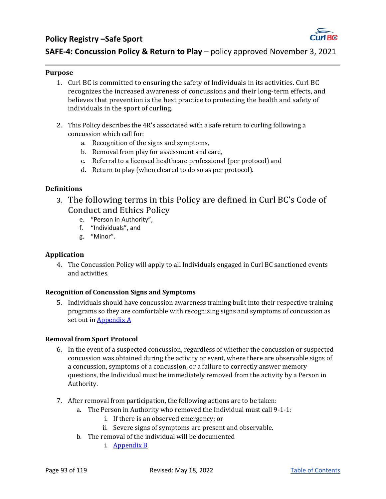

**SAFE-4: Concussion Policy & Return to Play** – policy approved November 3, 2021

### **Purpose**

- 1. Curl BC is committed to ensuring the safety of Individuals in its activities. Curl BC recognizes the increased awareness of concussions and their long-term effects, and believes that prevention is the best practice to protecting the health and safety of individuals in the sport of curling.
- 2. This Policy describes the 4R's associated with a safe return to curling following a concussion which call for:
	- a. Recognition of the signs and symptoms,
	- b. Removal from play for assessment and care,
	- c. Referral to a licensed healthcare professional (per protocol) and
	- d. Return to play (when cleared to do so as per protocol).

### **Definitions**

- 3. The following terms in this Policy are defined in Curl BC's Code of Conduct and Ethics Policy
	- e. "Person in Authority",
	- f. "Individuals", and
	- g. "Minor".

### **Application**

4. The Concussion Policy will apply to all Individuals engaged in Curl BC sanctioned events and activities.

### **Recognition of Concussion Signs and Symptoms**

5. Individuals should have concussion awareness training built into their respective training programs so they are comfortable with recognizing signs and symptoms of concussion as set out in **Appendix A** 

### **Removal from Sport Protocol**

- 6. In the event of a suspected concussion, regardless of whether the concussion or suspected concussion was obtained during the activity or event, where there are observable signs of a concussion, symptoms of a concussion, or a failure to correctly answer memory questions, the Individual must be immediately removed from the activity by a Person in Authority.
- 7. After removal from participation, the following actions are to be taken:
	- a. The Person in Authority who removed the Individual must call 9-1-1:
		- i. If there is an observed emergency; or
		- ii. Severe signs of symptoms are present and observable.
	- b. The removal of the individual will be documented
		- i. Appendix B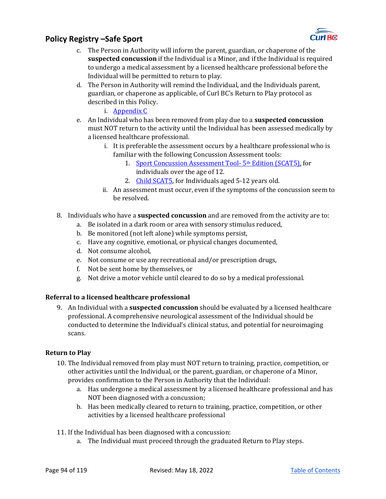

- c. The Person in Authority will inform the parent, guardian, or chaperone of the **suspected concussion** if the Individual is a Minor, and if the Individual is required to undergo a medical assessment by a licensed healthcare professional before the Individual will be permitted to return to play.
- d. The Person in Authority will remind the Individual, and the Individuals parent, guardian, or chaperone as applicable, of Curl BC's Return to Play protocol as described in this Policy.
	- i. Appendix C
- e. An Individual who has been removed from play due to a **suspected concussion** must NOT return to the activity until the Individual has been assessed medically by a licensed healthcare professional.
	- i. It is preferable the assessment occurs by a healthcare professional who is familiar with the following Concussion Assessment tools:
		- 1. Sport Concussion Assessment Tool-5<sup>th</sup> Edition (SCAT5), for individuals over the age of 12.
		- 2. Child SCAT5, for Individuals aged 5-12 years old.
	- ii. An assessment must occur, even if the symptoms of the concussion seem to be resolved.
- 8. Individuals who have a **suspected concussion** and are removed from the activity are to:
	- a. Be isolated in a dark room or area with sensory stimulus reduced,
	- b. Be monitored (not left alone) while symptoms persist,
	- c. Have any cognitive, emotional, or physical changes documented,
	- d. Not consume alcohol,
	- e. Not consume or use any recreational and/or prescription drugs,
	- f. Not be sent home by themselves, or
	- g. Not drive a motor vehicle until cleared to do so by a medical professional.

### **Referral to a licensed healthcare professional**

9. An Individual with a **suspected concussion** should be evaluated by a licensed healthcare professional. A comprehensive neurological assessment of the Individual should be conducted to determine the Individual's clinical status, and potential for neuroimaging scans.

### **Return to Play**

- 10. The Individual removed from play must NOT return to training, practice, competition, or other activities until the Individual, or the parent, guardian, or chaperone of a Minor, provides confirmation to the Person in Authority that the Individual:
	- a. Has undergone a medical assessment by a licensed healthcare professional and has NOT been diagnosed with a concussion;
	- b. Has been medically cleared to return to training, practice, competition, or other activities by a licensed healthcare professional
- 11. If the Individual has been diagnosed with a concussion:
	- a. The Individual must proceed through the graduated Return to Play steps.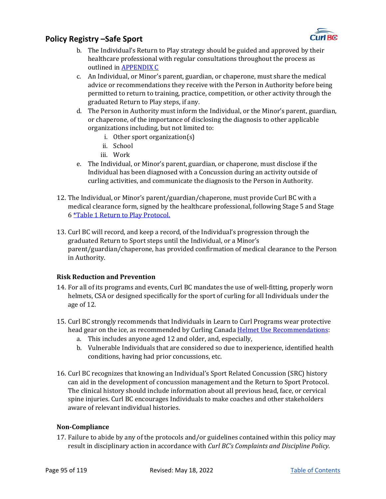

- b. The Individual's Return to Play strategy should be guided and approved by their healthcare professional with regular consultations throughout the process as outlined in APPENDIX C
- c. An Individual, or Minor's parent, guardian, or chaperone, must share the medical advice or recommendations they receive with the Person in Authority before being permitted to return to training, practice, competition, or other activity through the graduated Return to Play steps, if any.
- d. The Person in Authority must inform the Individual, or the Minor's parent, guardian, or chaperone, of the importance of disclosing the diagnosis to other applicable organizations including, but not limited to:
	- i. Other sport organization(s)
	- ii. School
	- iii. Work
- e. The Individual, or Minor's parent, guardian, or chaperone, must disclose if the Individual has been diagnosed with a Concussion during an activity outside of curling activities, and communicate the diagnosis to the Person in Authority.
- 12. The Individual, or Minor's parent/guardian/chaperone, must provide Curl BC with a medical clearance form, signed by the healthcare professional, following Stage 5 and Stage 6 *\*Table 1 Return to Play Protocol.*
- 13. Curl BC will record, and keep a record, of the Individual's progression through the graduated Return to Sport steps until the Individual, or a Minor's parent/guardian/chaperone, has provided confirmation of medical clearance to the Person in Authority.

### **Risk Reduction and Prevention**

- 14. For all of its programs and events, Curl BC mandates the use of well-fitting, properly worn helmets, CSA or designed specifically for the sport of curling for all Individuals under the age of 12.
- 15. Curl BC strongly recommends that Individuals in Learn to Curl Programs wear protective head gear on the ice, as recommended by Curling Canada Helmet Use Recommendations:
	- a. This includes anyone aged 12 and older, and, especially,
	- b. Vulnerable Individuals that are considered so due to inexperience, identified health conditions, having had prior concussions, etc.
- 16. Curl BC recognizes that knowing an Individual's Sport Related Concussion (SRC) history can aid in the development of concussion management and the Return to Sport Protocol. The clinical history should include information about all previous head, face, or cervical spine injuries. Curl BC encourages Individuals to make coaches and other stakeholders aware of relevant individual histories.

### **Non‐Compliance**

17. Failure to abide by any of the protocols and/or guidelines contained within this policy may result in disciplinary action in accordance with *Curl BC's Complaints and Discipline Policy*.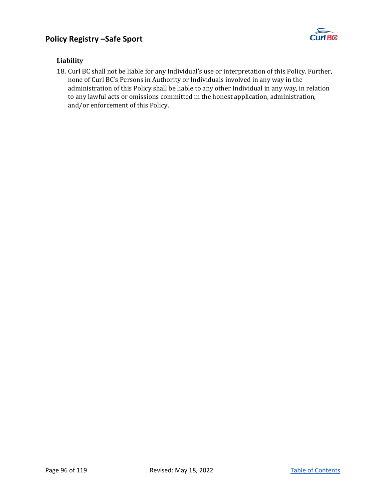

### **Liability**

18. Curl BC shall not be liable for any Individual's use or interpretation of this Policy. Further, none of Curl BC's Persons in Authority or Individuals involved in any way in the administration of this Policy shall be liable to any other Individual in any way, in relation to any lawful acts or omissions committed in the honest application, administration, and/or enforcement of this Policy.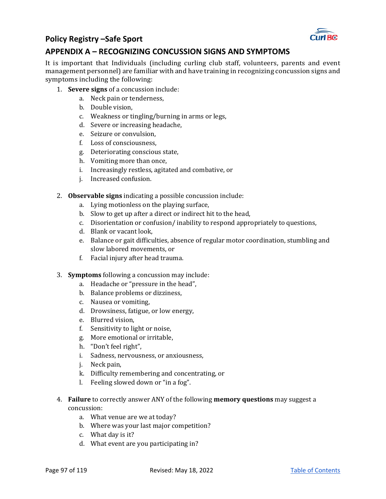

## **APPENDIX A – RECOGNIZING CONCUSSION SIGNS AND SYMPTOMS**

It is important that Individuals (including curling club staff, volunteers, parents and event management personnel) are familiar with and have training in recognizing concussion signs and symptoms including the following:

- 1. **Severe signs** of a concussion include:
	- a. Neck pain or tenderness,
	- b. Double vision,
	- c. Weakness or tingling/burning in arms or legs,
	- d. Severe or increasing headache,
	- e. Seizure or convulsion,
	- f. Loss of consciousness,
	- g. Deteriorating conscious state,
	- h. Vomiting more than once,
	- i. Increasingly restless, agitated and combative, or
	- j. Increased confusion.
- 2. **Observable signs** indicating a possible concussion include:
	- a. Lying motionless on the playing surface,
	- b. Slow to get up after a direct or indirect hit to the head,
	- c. Disorientation or confusion/ inability to respond appropriately to questions,
	- d. Blank or vacant look,
	- e. Balance or gait difficulties, absence of regular motor coordination, stumbling and slow labored movements, or
	- f. Facial injury after head trauma.
- 3. **Symptoms** following a concussion may include:
	- a. Headache or "pressure in the head",
	- b. Balance problems or dizziness,
	- c. Nausea or vomiting,
	- d. Drowsiness, fatigue, or low energy,
	- e. Blurred vision,
	- f. Sensitivity to light or noise,
	- g. More emotional or irritable,
	- h. "Don't feel right",
	- i. Sadness, nervousness, or anxiousness,
	- j. Neck pain,
	- k. Difficulty remembering and concentrating, or
	- l. Feeling slowed down or "in a fog".
- 4. **Failure** to correctly answer ANY of the following **memory questions** may suggest a concussion:
	- a. What venue are we at today?
	- b. Where was your last major competition?
	- c. What day is it?
	- d. What event are you participating in?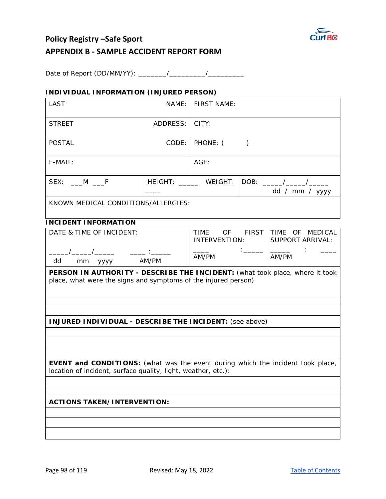

# **Policy Registry –Safe Sport APPENDIX B ‐ SAMPLE ACCIDENT REPORT FORM**

Date of Report (DD/MM/YY): \_\_\_\_\_\_\_/\_\_\_\_\_\_\_\_\_/\_\_\_\_\_\_\_\_\_

### **INDIVIDUAL INFORMATION (INJURED PERSON)**

| LAST                                                                                                                                                    | NAME:                                                               | <b>FIRST NAME:</b>                                    |           |                         |
|---------------------------------------------------------------------------------------------------------------------------------------------------------|---------------------------------------------------------------------|-------------------------------------------------------|-----------|-------------------------|
| ADDRESS:<br><b>STREET</b>                                                                                                                               |                                                                     | CITY:                                                 |           |                         |
| <b>POSTAL</b>                                                                                                                                           | CODE:                                                               | PHONE: (                                              | $\lambda$ |                         |
| E-MAIL:                                                                                                                                                 |                                                                     | AGE:                                                  |           |                         |
| SEX: ____M ____F                                                                                                                                        |                                                                     |                                                       |           | dd / mm / yyyy          |
| KNOWN MEDICAL CONDITIONS/ALLERGIES:                                                                                                                     |                                                                     |                                                       |           |                         |
| <b>INCIDENT INFORMATION</b>                                                                                                                             |                                                                     |                                                       |           |                         |
| DATE & TIME OF INCIDENT:                                                                                                                                |                                                                     | TIME OF FIRST TIME OF MEDICAL<br><b>INTERVENTION:</b> |           | <b>SUPPORT ARRIVAL:</b> |
| dd<br>mm yyyy                                                                                                                                           | $\frac{1}{2}$ and $\frac{1}{2}$ . The set of $\frac{1}{2}$<br>AM/PM | AM/PM                                                 |           | AM/PM                   |
| PERSON IN AUTHORITY - DESCRIBE THE INCIDENT: (what took place, where it took<br>place, what were the signs and symptoms of the injured person)          |                                                                     |                                                       |           |                         |
|                                                                                                                                                         |                                                                     |                                                       |           |                         |
|                                                                                                                                                         |                                                                     |                                                       |           |                         |
| <b>INJURED INDIVIDUAL - DESCRIBE THE INCIDENT:</b> (see above)                                                                                          |                                                                     |                                                       |           |                         |
|                                                                                                                                                         |                                                                     |                                                       |           |                         |
|                                                                                                                                                         |                                                                     |                                                       |           |                         |
|                                                                                                                                                         |                                                                     |                                                       |           |                         |
| <b>EVENT and CONDITIONS:</b> (what was the event during which the incident took place,<br>location of incident, surface quality, light, weather, etc.): |                                                                     |                                                       |           |                         |
|                                                                                                                                                         |                                                                     |                                                       |           |                         |
|                                                                                                                                                         |                                                                     |                                                       |           |                         |
| <b>ACTIONS TAKEN/INTERVENTION:</b>                                                                                                                      |                                                                     |                                                       |           |                         |
|                                                                                                                                                         |                                                                     |                                                       |           |                         |
|                                                                                                                                                         |                                                                     |                                                       |           |                         |
|                                                                                                                                                         |                                                                     |                                                       |           |                         |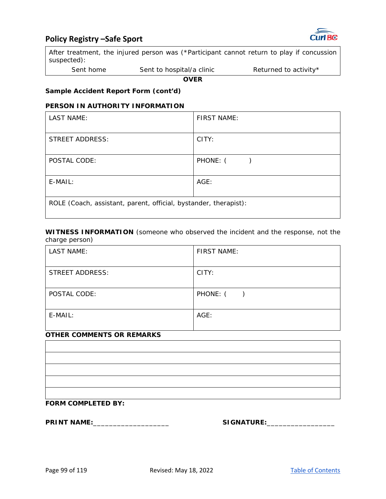



After treatment, the injured person was (\*Participant cannot return to play if concussion suspected):

Sent home Sent to hospital/a clinic Returned to activity\*

**OVER** 

### **Sample Accident Report Form (cont'd)**

### **PERSON IN AUTHORITY INFORMATION**

| LAST NAME:                                                       | <b>FIRST NAME:</b>                   |  |
|------------------------------------------------------------------|--------------------------------------|--|
| STREET ADDRESS:                                                  | CITY:                                |  |
| POSTAL CODE:                                                     | PHONE: (<br>$\overline{\phantom{a}}$ |  |
| E-MAIL:                                                          | AGE:                                 |  |
| ROLE (Coach, assistant, parent, official, bystander, therapist): |                                      |  |

**WITNESS INFORMATION** (someone who observed the incident and the response, not the charge person)

| LAST NAME:             | FIRST NAME: |
|------------------------|-------------|
| <b>STREET ADDRESS:</b> | CITY:       |
| POSTAL CODE:           | PHONE: ()   |
| E-MAIL:                | $AGE$ :     |

### **OTHER COMMENTS OR REMARKS**

| __________________ |  |  |
|--------------------|--|--|

### **FORM COMPLETED BY:**

**PRINT NAME:**\_\_\_\_\_\_\_\_\_\_\_\_\_\_\_\_\_\_\_ **SIGNATURE:**\_\_\_\_\_\_\_\_\_\_\_\_\_\_\_\_\_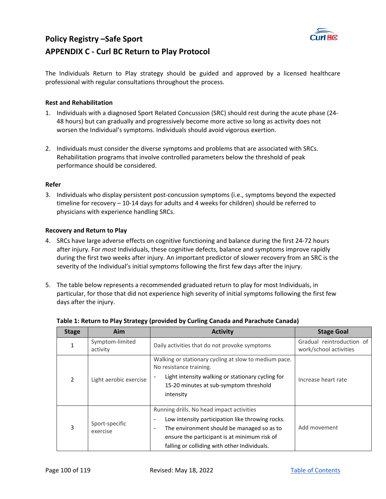

# **Policy Registry –Safe Sport APPENDIX C ‐ Curl BC Return to Play Protocol**

The Individuals Return to Play strategy should be guided and approved by a licensed healthcare professional with regular consultations throughout the process.

#### **Rest and Rehabilitation**

- 1. Individuals with a diagnosed Sport Related Concussion (SRC) should rest during the acute phase (24‐ 48 hours) but can gradually and progressively become more active so long as activity does not worsen the Individual's symptoms. Individuals should avoid vigorous exertion.
- 2. Individuals must consider the diverse symptoms and problems that are associated with SRCs. Rehabilitation programs that involve controlled parameters below the threshold of peak performance should be considered.

#### **Refer**

3. Individuals who display persistent post‐concussion symptoms (i.e., symptoms beyond the expected timeline for recovery – 10‐14 days for adults and 4 weeks for children) should be referred to physicians with experience handling SRCs.

#### **Recovery and Return to Play**

- 4. SRCs have large adverse effects on cognitive functioning and balance during the first 24‐72 hours after injury. For *most* Individuals, these cognitive defects, balance and symptoms improve rapidly during the first two weeks after injury. An important predictor of slower recovery from an SRC is the severity of the Individual's initial symptoms following the first few days after the injury.
- 5. The table below represents a recommended graduated return to play for most Individuals, in particular, for those that did not experience high severity of initial symptoms following the first few days after the injury.

| <b>Stage</b> | Aim                         | <b>Activity</b>                                                                                                                                                                                                                                                              | <b>Stage Goal</b>                                   |
|--------------|-----------------------------|------------------------------------------------------------------------------------------------------------------------------------------------------------------------------------------------------------------------------------------------------------------------------|-----------------------------------------------------|
|              | Symptom-limited<br>activity | Daily activities that do not provoke symptoms                                                                                                                                                                                                                                | Gradual reintroduction of<br>work/school activities |
| 2            | Light aerobic exercise      | Walking or stationary cycling at slow to medium pace.<br>No resistance training.<br>Light intensity walking or stationary cycling for<br>15-20 minutes at sub-symptom threshold<br>intensity                                                                                 | Increase heart rate                                 |
| 3            | Sport-specific<br>exercise  | Running drills. No head impact activities<br>Low intensity participation like throwing rocks.<br>$\overline{\phantom{a}}$<br>The environment should be managed so as to<br>٠<br>ensure the participant is at minimum risk of<br>falling or colliding with other Individuals. | Add movement                                        |

#### **Table 1: Return to Play Strategy (provided by Curling Canada and Parachute Canada)**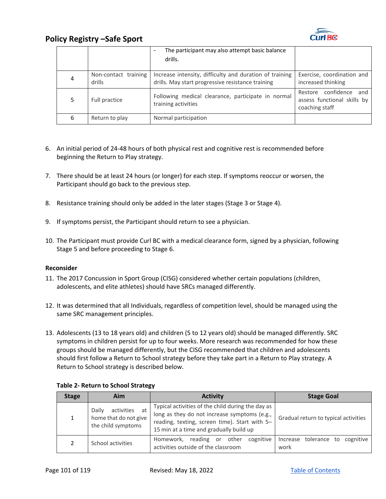

|   |                                | The participant may also attempt basic balance<br>-<br>drills.                                               |                                                                            |
|---|--------------------------------|--------------------------------------------------------------------------------------------------------------|----------------------------------------------------------------------------|
| 4 | Non-contact training<br>drills | Increase intensity, difficulty and duration of training<br>drills. May start progressive resistance training | Exercise, coordination and<br>increased thinking                           |
|   | Full practice                  | Following medical clearance, participate in normal<br>training activities                                    | Restore confidence<br>and<br>assess functional skills by<br>coaching staff |
| 6 | Return to play                 | Normal participation                                                                                         |                                                                            |

- 6. An initial period of 24‐48 hours of both physical rest and cognitive rest is recommended before beginning the Return to Play strategy.
- 7. There should be at least 24 hours (or longer) for each step. If symptoms reoccur or worsen, the Participant should go back to the previous step.
- 8. Resistance training should only be added in the later stages (Stage 3 or Stage 4).
- 9. If symptoms persist, the Participant should return to see a physician.
- 10. The Participant must provide Curl BC with a medical clearance form, signed by a physician, following Stage 5 and before proceeding to Stage 6.

#### **Reconsider**

- 11. The 2017 Concussion in Sport Group (CISG) considered whether certain populations (children, adolescents, and elite athletes) should have SRCs managed differently.
- 12. It was determined that all Individuals, regardless of competition level, should be managed using the same SRC management principles.
- 13. Adolescents (13 to 18 years old) and children (5 to 12 years old) should be managed differently. SRC symptoms in children persist for up to four weeks. More research was recommended for how these groups should be managed differently, but the CISG recommended that children and adolescents should first follow a Return to School strategy before they take part in a Return to Play strategy. A Return to School strategy is described below.

| <b>Stage</b> | Aim                                                                      | <b>Activity</b>                                                                                                                                                                               | <b>Stage Goal</b>                          |
|--------------|--------------------------------------------------------------------------|-----------------------------------------------------------------------------------------------------------------------------------------------------------------------------------------------|--------------------------------------------|
|              | activities<br>Daily<br>at<br>home that do not give<br>the child symptoms | Typical activities of the child during the day as<br>long as they do not increase symptoms (e.g.,<br>reading, texting, screen time). Start with 5-<br>15 min at a time and gradually build up | Gradual return to typical activities       |
|              | School activities                                                        | reading or<br>cognitive<br>Homework,<br>other<br>activities outside of the classroom                                                                                                          | cognitive<br>Increase tolerance to<br>work |

#### **Table 2‐ Return to School Strategy**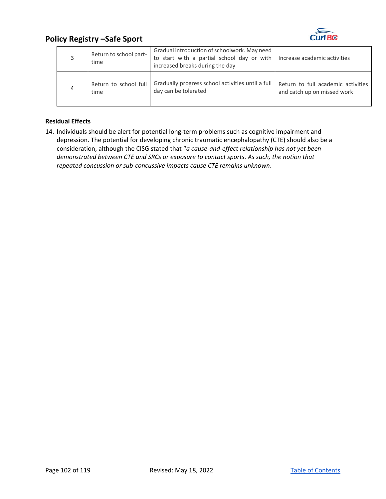

|   | Return to school part-<br>time | Gradual introduction of schoolwork. May need<br>to start with a partial school day or with<br>increased breaks during the day | Increase academic activities       |
|---|--------------------------------|-------------------------------------------------------------------------------------------------------------------------------|------------------------------------|
| 4 | Return to school full          | Gradually progress school activities until a full                                                                             | Return to full academic activities |
|   | time                           | day can be tolerated                                                                                                          | and catch up on missed work        |

### **Residual Effects**

14. Individuals should be alert for potential long-term problems such as cognitive impairment and depression. The potential for developing chronic traumatic encephalopathy (CTE) should also be a consideration, although the CISG stated that "*a cause‐and‐effect relationship has not yet been demonstrated between CTE and SRCs or exposure to contact sports. As such, the notion that repeated concussion or sub‐concussive impacts cause CTE remains unknown*.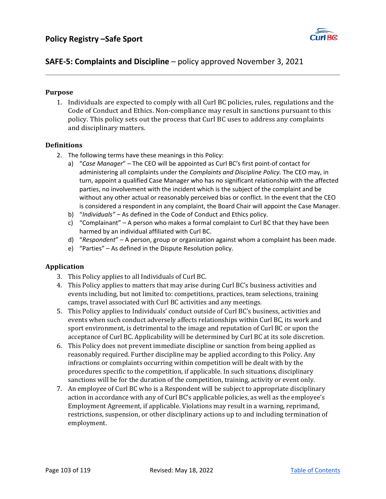

## **SAFE‐5: Complaints and Discipline** – policy approved November 3, 2021

### **Purpose**

1. Individuals are expected to comply with all Curl BC policies, rules, regulations and the Code of Conduct and Ethics. Non-compliance may result in sanctions pursuant to this policy. This policy sets out the process that Curl BC uses to address any complaints and disciplinary matters.

### **Definitions**

- 2. The following terms have these meanings in this Policy:
	- a) "*Case Manager*" The CEO will be appointed as Curl BC's first point‐of contact for administering all complaints under the *Complaints and Discipline Policy.* The CEO may, in turn, appoint a qualified Case Manager who has no significant relationship with the affected parties, no involvement with the incident which is the subject of the complaint and be without any other actual or reasonably perceived bias or conflict. In the event that the CEO is considered a respondent in any complaint, the Board Chair will appoint the Case Manager.
	- b) "*Individuals"* As defined in the Code of Conduct and Ethics policy.
	- c) "Complainant" A person who makes a formal complaint to Curl BC that they have been harmed by an individual affiliated with Curl BC.
	- d) "*Respondent*" A person, group or organization against whom a complaint has been made.
	- e) "Parties" As defined in the Dispute Resolution policy.

### **Application**

- 3. This Policy applies to all Individuals of Curl BC.
- 4. This Policy applies to matters that may arise during Curl BC's business activities and events including, but not limited to: competitions, practices, team selections, training camps, travel associated with Curl BC activities and any meetings.
- 5. This Policy applies to Individuals' conduct outside of Curl BC's business, activities and events when such conduct adversely affects relationships within Curl BC, its work and sport environment, is detrimental to the image and reputation of Curl BC or upon the acceptance of Curl BC. Applicability will be determined by Curl BC at its sole discretion.
- 6. This Policy does not prevent immediate discipline or sanction from being applied as reasonably required. Further discipline may be applied according to this Policy. Any infractions or complaints occurring within competition will be dealt with by the procedures specific to the competition, if applicable. In such situations, disciplinary sanctions will be for the duration of the competition, training, activity or event only.
- 7. An employee of Curl BC who is a Respondent will be subject to appropriate disciplinary action in accordance with any of Curl BC's applicable policies, as well as the employee's Employment Agreement, if applicable. Violations may result in a warning, reprimand, restrictions, suspension, or other disciplinary actions up to and including termination of employment.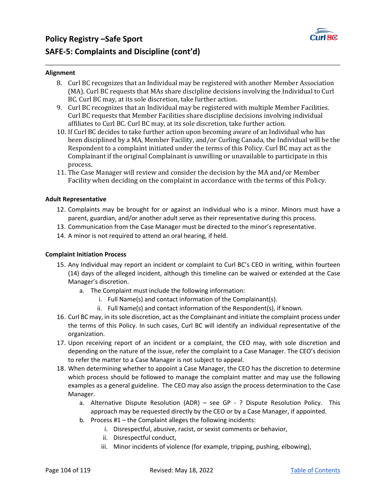

#### **Alignment**

- 8. Curl BC recognizes that an Individual may be registered with another Member Association (MA). Curl BC requests that MAs share discipline decisions involving the Individual to Curl BC. Curl BC may, at its sole discretion, take further action.
- 9. Curl BC recognizes that an Individual may be registered with multiple Member Facilities. Curl BC requests that Member Facilities share discipline decisions involving individual affiliates to Curl BC. Curl BC may, at its sole discretion, take further action.
- 10. If Curl BC decides to take further action upon becoming aware of an Individual who has been disciplined by a MA, Member Facility, and/or Curling Canada, the Individual will be the Respondent to a complaint initiated under the terms of this Policy. Curl BC may act as the Complainant if the original Complainant is unwilling or unavailable to participate in this process.
- 11. The Case Manager will review and consider the decision by the MA and/or Member Facility when deciding on the complaint in accordance with the terms of this Policy.

#### **Adult Representative**

- 12. Complaints may be brought for or against an Individual who is a minor. Minors must have a parent, guardian, and/or another adult serve as their representative during this process.
- 13. Communication from the Case Manager must be directed to the minor's representative.
- 14. A minor is not required to attend an oral hearing, if held.

#### **Complaint Initiation Process**

- 15. Any Individual may report an incident or complaint to Curl BC's CEO in writing, within fourteen (14) days of the alleged incident, although this timeline can be waived or extended at the Case Manager's discretion.
	- a. The Complaint must include the following information:
		- i. Full Name(s) and contact information of the Complainant(s).
		- ii. Full Name(s) and contact information of the Respondent(s), if known.
- 16. Curl BC may, in its sole discretion, act as the Complainant and initiate the complaint process under the terms of this Policy. In such cases, Curl BC will identify an individual representative of the organization.
- 17. Upon receiving report of an incident or a complaint, the CEO may, with sole discretion and depending on the nature of the issue, refer the complaint to a Case Manager. The CEO's decision to refer the matter to a Case Manager is not subject to appeal.
- 18. When determining whether to appoint a Case Manager, the CEO has the discretion to determine which process should be followed to manage the complaint matter and may use the following examples as a general guideline. The CEO may also assign the process determination to the Case Manager.
	- a. Alternative Dispute Resolution (ADR) see GP ? Dispute Resolution Policy. This approach may be requested directly by the CEO or by a Case Manager, if appointed.
	- b. Process #1 the Complaint alleges the following incidents:
		- i. Disrespectful, abusive, racist, or sexist comments or behavior,
		- ii. Disrespectful conduct,
		- iii. Minor incidents of violence (for example, tripping, pushing, elbowing),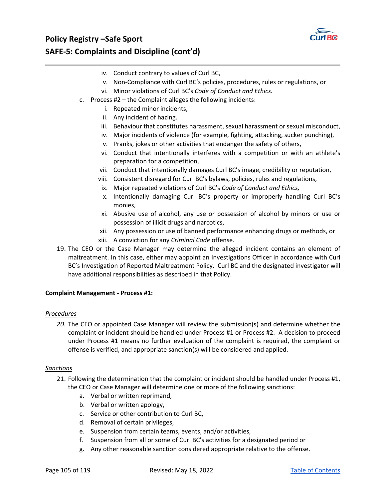

# **Policy Registry –Safe Sport SAFE‐5: Complaints and Discipline (cont'd)**

- iv. Conduct contrary to values of Curl BC,
- v. Non‐Compliance with Curl BC's policies, procedures, rules or regulations, or
- vi. Minor violations of Curl BC's *Code of Conduct and Ethics.*
- c. Process #2 the Complaint alleges the following incidents:
	- i. Repeated minor incidents,
	- ii. Any incident of hazing.
	- iii. Behaviour that constitutes harassment, sexual harassment or sexual misconduct,
	- iv. Major incidents of violence (for example, fighting, attacking, sucker punching),
	- v. Pranks, jokes or other activities that endanger the safety of others,
	- vi. Conduct that intentionally interferes with a competition or with an athlete's preparation for a competition,
	- vii. Conduct that intentionally damages Curl BC's image, credibility or reputation,
	- viii. Consistent disregard for Curl BC's bylaws, policies, rules and regulations,
	- ix. Major repeated violations of Curl BC's *Code of Conduct and Ethics,*
	- x. Intentionally damaging Curl BC's property or improperly handling Curl BC's monies,
	- xi. Abusive use of alcohol, any use or possession of alcohol by minors or use or possession of illicit drugs and narcotics,
	- xii. Any possession or use of banned performance enhancing drugs or methods, or
	- xiii. A conviction for any *Criminal Code* offense.
- 19. The CEO or the Case Manager may determine the alleged incident contains an element of maltreatment. In this case, either may appoint an Investigations Officer in accordance with Curl BC's Investigation of Reported Maltreatment Policy. Curl BC and the designated investigator will have additional responsibilities as described in that Policy.

#### **Complaint Management ‐ Process #1:**

#### *Procedures*

*20.* The CEO or appointed Case Manager will review the submission(s) and determine whether the complaint or incident should be handled under Process #1 or Process #2. A decision to proceed under Process #1 means no further evaluation of the complaint is required, the complaint or offense is verified, and appropriate sanction(s) will be considered and applied.

#### *Sanctions*

- 21. Following the determination that the complaint or incident should be handled under Process #1, the CEO or Case Manager will determine one or more of the following sanctions:
	- a. Verbal or written reprimand,
	- b. Verbal or written apology,
	- c. Service or other contribution to Curl BC,
	- d. Removal of certain privileges,
	- e. Suspension from certain teams, events, and/or activities,
	- f. Suspension from all or some of Curl BC's activities for a designated period or
	- g. Any other reasonable sanction considered appropriate relative to the offense.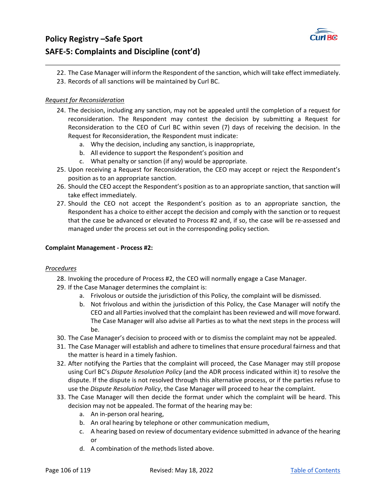

# **Policy Registry –Safe Sport SAFE‐5: Complaints and Discipline (cont'd)**

- 22. The Case Manager will inform the Respondent of the sanction, which will take effect immediately.
- 23. Records of all sanctions will be maintained by Curl BC.

### *Request for Reconsideration*

- 24. The decision, including any sanction, may not be appealed until the completion of a request for reconsideration. The Respondent may contest the decision by submitting a Request for Reconsideration to the CEO of Curl BC within seven (7) days of receiving the decision. In the Request for Reconsideration, the Respondent must indicate:
	- a. Why the decision, including any sanction, is inappropriate,
	- b. All evidence to support the Respondent's position and
	- c. What penalty or sanction (if any) would be appropriate.
- 25. Upon receiving a Request for Reconsideration, the CEO may accept or reject the Respondent's position as to an appropriate sanction.
- 26. Should the CEO accept the Respondent's position as to an appropriate sanction, that sanction will take effect immediately.
- 27. Should the CEO not accept the Respondent's position as to an appropriate sanction, the Respondent has a choice to either accept the decision and comply with the sanction or to request that the case be advanced or elevated to Process #2 and, if so, the case will be re‐assessed and managed under the process set out in the corresponding policy section.

### **Complaint Management ‐ Process #2:**

### *Procedures*

- 28. Invoking the procedure of Process #2, the CEO will normally engage a Case Manager.
- 29. If the Case Manager determines the complaint is:
	- a. Frivolous or outside the jurisdiction of this Policy, the complaint will be dismissed.
	- b. Not frivolous and within the jurisdiction of this Policy, the Case Manager will notify the CEO and all Parties involved that the complaint has been reviewed and will move forward. The Case Manager will also advise all Parties as to what the next steps in the process will be.
- 30. The Case Manager's decision to proceed with or to dismiss the complaint may not be appealed.
- 31. The Case Manager will establish and adhere to timelines that ensure procedural fairness and that the matter is heard in a timely fashion.
- 32. After notifying the Parties that the complaint will proceed, the Case Manager may still propose using Curl BC's *Dispute Resolution Policy* (and the ADR process indicated within it) to resolve the dispute. If the dispute is not resolved through this alternative process, or if the parties refuse to use the *Dispute Resolution Policy*, the Case Manager will proceed to hear the complaint.
- 33. The Case Manager will then decide the format under which the complaint will be heard. This decision may not be appealed. The format of the hearing may be:
	- a. An in‐person oral hearing,
	- b. An oral hearing by telephone or other communication medium,
	- c. A hearing based on review of documentary evidence submitted in advance of the hearing or
	- d. A combination of the methods listed above.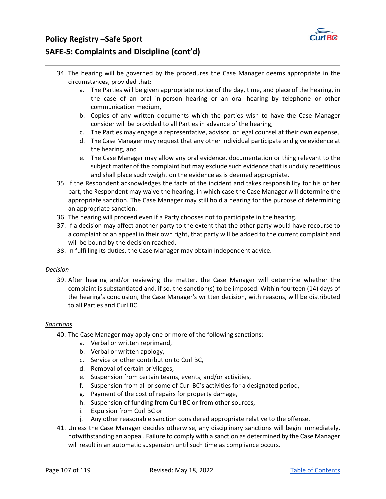

# **Policy Registry –Safe Sport SAFE‐5: Complaints and Discipline (cont'd)**

- 34. The hearing will be governed by the procedures the Case Manager deems appropriate in the circumstances, provided that:
	- a. The Parties will be given appropriate notice of the day, time, and place of the hearing, in the case of an oral in-person hearing or an oral hearing by telephone or other communication medium,
	- b. Copies of any written documents which the parties wish to have the Case Manager consider will be provided to all Parties in advance of the hearing,
	- c. The Parties may engage a representative, advisor, or legal counsel at their own expense,
	- d. The Case Manager may request that any other individual participate and give evidence at the hearing, and
	- e. The Case Manager may allow any oral evidence, documentation or thing relevant to the subject matter of the complaint but may exclude such evidence that is unduly repetitious and shall place such weight on the evidence as is deemed appropriate.
- 35. If the Respondent acknowledges the facts of the incident and takes responsibility for his or her part, the Respondent may waive the hearing, in which case the Case Manager will determine the appropriate sanction. The Case Manager may still hold a hearing for the purpose of determining an appropriate sanction.
- 36. The hearing will proceed even if a Party chooses not to participate in the hearing.
- 37. If a decision may affect another party to the extent that the other party would have recourse to a complaint or an appeal in their own right, that party will be added to the current complaint and will be bound by the decision reached.
- 38. In fulfilling its duties, the Case Manager may obtain independent advice.

### *Decision*

39. After hearing and/or reviewing the matter, the Case Manager will determine whether the complaint is substantiated and, if so, the sanction(s) to be imposed. Within fourteen (14) days of the hearing's conclusion, the Case Manager's written decision, with reasons, will be distributed to all Parties and Curl BC.

### *Sanctions*

- 40. The Case Manager may apply one or more of the following sanctions:
	- a. Verbal or written reprimand,
	- b. Verbal or written apology,
	- c. Service or other contribution to Curl BC,
	- d. Removal of certain privileges,
	- e. Suspension from certain teams, events, and/or activities,
	- f. Suspension from all or some of Curl BC's activities for a designated period,
	- g. Payment of the cost of repairs for property damage,
	- h. Suspension of funding from Curl BC or from other sources,
	- i. Expulsion from Curl BC or
	- j. Any other reasonable sanction considered appropriate relative to the offense.
- 41. Unless the Case Manager decides otherwise, any disciplinary sanctions will begin immediately, notwithstanding an appeal. Failure to comply with a sanction as determined by the Case Manager will result in an automatic suspension until such time as compliance occurs.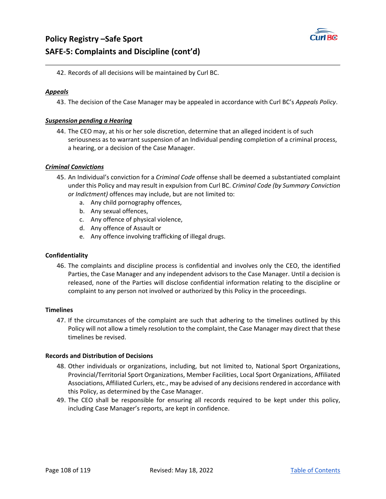

42. Records of all decisions will be maintained by Curl BC.

### *Appeals*

43. The decision of the Case Manager may be appealed in accordance with Curl BC's *Appeals Policy*.

### *Suspension pending a Hearing*

44. The CEO may, at his or her sole discretion, determine that an alleged incident is of such seriousness as to warrant suspension of an Individual pending completion of a criminal process, a hearing, or a decision of the Case Manager.

### *Criminal Convictions*

- 45. An Individual's conviction for a *Criminal Code* offense shall be deemed a substantiated complaint under this Policy and may result in expulsion from Curl BC. *Criminal Code (by Summary Conviction or Indictment)* offences may include, but are not limited to:
	- a. Any child pornography offences,
	- b. Any sexual offences,
	- c. Any offence of physical violence,
	- d. Any offence of Assault or
	- e. Any offence involving trafficking of illegal drugs.

### **Confidentiality**

46. The complaints and discipline process is confidential and involves only the CEO, the identified Parties, the Case Manager and any independent advisors to the Case Manager. Until a decision is released, none of the Parties will disclose confidential information relating to the discipline or complaint to any person not involved or authorized by this Policy in the proceedings.

### **Timelines**

47. If the circumstances of the complaint are such that adhering to the timelines outlined by this Policy will not allow a timely resolution to the complaint, the Case Manager may direct that these timelines be revised.

### **Records and Distribution of Decisions**

- 48. Other individuals or organizations, including, but not limited to, National Sport Organizations, Provincial/Territorial Sport Organizations, Member Facilities, Local Sport Organizations, Affiliated Associations, Affiliated Curlers, etc., may be advised of any decisions rendered in accordance with this Policy, as determined by the Case Manager.
- 49. The CEO shall be responsible for ensuring all records required to be kept under this policy, including Case Manager's reports, are kept in confidence.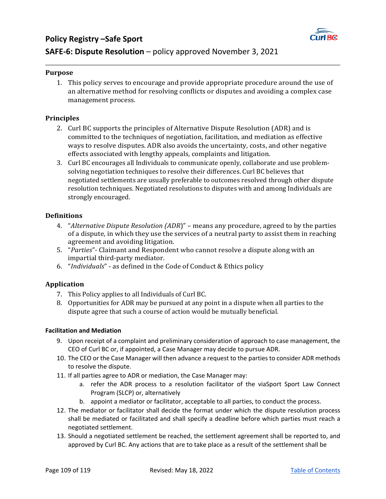

## **Purpose**

1. This policy serves to encourage and provide appropriate procedure around the use of an alternative method for resolving conflicts or disputes and avoiding a complex case management process.

# **Principles**

- 2. Curl BC supports the principles of Alternative Dispute Resolution (ADR) and is committed to the techniques of negotiation, facilitation, and mediation as effective ways to resolve disputes. ADR also avoids the uncertainty, costs, and other negative effects associated with lengthy appeals, complaints and litigation.
- 3. Curl BC encourages all Individuals to communicate openly, collaborate and use problemsolving negotiation techniques to resolve their differences. Curl BC believes that negotiated settlements are usually preferable to outcomes resolved through other dispute resolution techniques. Negotiated resolutions to disputes with and among Individuals are strongly encouraged.

### **Definitions**

- 4. "*Alternative Dispute Resolution (ADR*)" means any procedure, agreed to by the parties of a dispute, in which they use the services of a neutral party to assist them in reaching agreement and avoiding litigation.
- 5. "*Parties*"- Claimant and Respondent who cannot resolve a dispute along with an impartial third-party mediator.
- 6. "*Individuals*" as defined in the Code of Conduct & Ethics policy

# **Application**

- 7. This Policy applies to all Individuals of Curl BC.
- 8. Opportunities for ADR may be pursued at any point in a dispute when all parties to the dispute agree that such a course of action would be mutually beneficial.

### **Facilitation and Mediation**

- 9. Upon receipt of a complaint and preliminary consideration of approach to case management, the CEO of Curl BC or, if appointed, a Case Manager may decide to pursue ADR.
- 10. The CEO or the Case Manager will then advance a request to the parties to consider ADR methods to resolve the dispute.
- 11. If all parties agree to ADR or mediation, the Case Manager may:
	- a. refer the ADR process to a resolution facilitator of the viaSport Sport Law Connect Program (SLCP) or, alternatively
	- b. appoint a mediator or facilitator, acceptable to all parties, to conduct the process.
- 12. The mediator or facilitator shall decide the format under which the dispute resolution process shall be mediated or facilitated and shall specify a deadline before which parties must reach a negotiated settlement.
- 13. Should a negotiated settlement be reached, the settlement agreement shall be reported to, and approved by Curl BC. Any actions that are to take place as a result of the settlement shall be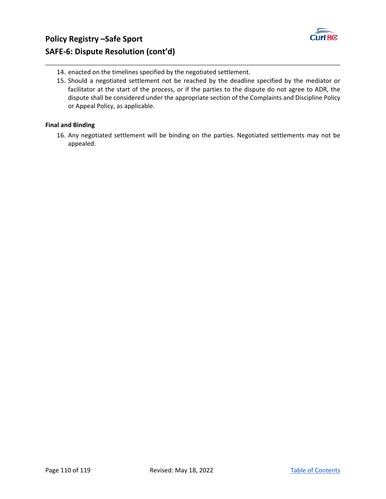

- 14. enacted on the timelines specified by the negotiated settlement.
- 15. Should a negotiated settlement not be reached by the deadline specified by the mediator or facilitator at the start of the process, or if the parties to the dispute do not agree to ADR, the dispute shall be considered under the appropriate section of the Complaints and Discipline Policy or Appeal Policy, as applicable.

# **Final and Binding**

16. Any negotiated settlement will be binding on the parties. Negotiated settlements may not be appealed.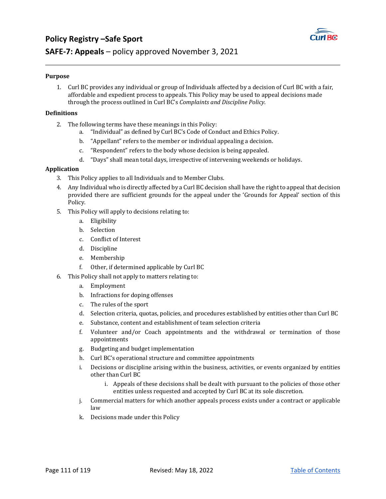

# **SAFE‐7: Appeals** – policy approved November 3, 2021

### **Purpose**

1. Curl BC provides any individual or group of Individuals affected by a decision of Curl BC with a fair, affordable and expedient process to appeals. This Policy may be used to appeal decisions made through the process outlined in Curl BC's *Complaints and Discipline Policy*.

### **Definitions**

- 2. The following terms have these meanings in this Policy:
	- a. "Individual" as defined by Curl BC's Code of Conduct and Ethics Policy.
	- b. "Appellant" refers to the member or individual appealing a decision.
	- c. "Respondent" refers to the body whose decision is being appealed.
	- d. "Days" shall mean total days, irrespective of intervening weekends or holidays.

### **Application**

- 3. This Policy applies to all Individuals and to Member Clubs.
- 4. Any Individual who is directly affected by a Curl BC decision shall have the right to appeal that decision provided there are sufficient grounds for the appeal under the 'Grounds for Appeal' section of this Policy.
- 5. This Policy will apply to decisions relating to:
	- a. Eligibility
	- b. Selection
	- c. Conflict of Interest
	- d. Discipline
	- e. Membership
	- f. Other, if determined applicable by Curl BC
- 6. This Policy shall not apply to matters relating to:
	- a. Employment
	- b. Infractions for doping offenses
	- c. The rules of the sport
	- d. Selection criteria, quotas, policies, and procedures established by entities other than Curl BC
	- e. Substance, content and establishment of team selection criteria
	- f. Volunteer and/or Coach appointments and the withdrawal or termination of those appointments
	- g. Budgeting and budget implementation
	- h. Curl BC's operational structure and committee appointments
	- i. Decisions or discipline arising within the business, activities, or events organized by entities other than Curl BC
		- i. Appeals of these decisions shall be dealt with pursuant to the policies of those other entities unless requested and accepted by Curl BC at its sole discretion.
	- j. Commercial matters for which another appeals process exists under a contract or applicable law
	- k. Decisions made under this Policy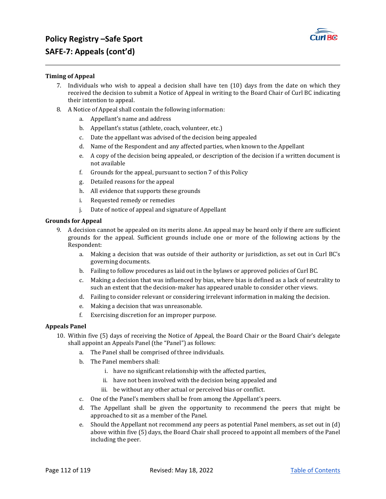

### **Timing of Appeal**

- 7. Individuals who wish to appeal a decision shall have ten (10) days from the date on which they received the decision to submit a Notice of Appeal in writing to the Board Chair of Curl BC indicating their intention to appeal.
- 8. A Notice of Appeal shall contain the following information:
	- a. Appellant's name and address
	- b. Appellant's status (athlete, coach, volunteer, etc.)
	- c. Date the appellant was advised of the decision being appealed
	- d. Name of the Respondent and any affected parties, when known to the Appellant
	- e. A copy of the decision being appealed, or description of the decision if a written document is not available
	- f. Grounds for the appeal, pursuant to section 7 of this Policy
	- g. Detailed reasons for the appeal
	- h. All evidence that supports these grounds
	- i. Requested remedy or remedies
	- j. Date of notice of appeal and signature of Appellant

#### **Grounds for Appeal**

- 9. A decision cannot be appealed on its merits alone. An appeal may be heard only if there are sufficient grounds for the appeal. Sufficient grounds include one or more of the following actions by the Respondent:
	- a. Making a decision that was outside of their authority or jurisdiction, as set out in Curl BC's governing documents.
	- b. Failing to follow procedures as laid out in the bylaws or approved policies of Curl BC.
	- c. Making a decision that was influenced by bias, where bias is defined as a lack of neutrality to such an extent that the decision-maker has appeared unable to consider other views.
	- d. Failing to consider relevant or considering irrelevant information in making the decision.
	- e. Making a decision that was unreasonable.
	- f. Exercising discretion for an improper purpose.

#### **Appeals Panel**

- 10. Within five (5) days of receiving the Notice of Appeal, the Board Chair or the Board Chair's delegate shall appoint an Appeals Panel (the "Panel") as follows:
	- a. The Panel shall be comprised of three individuals.
	- b. The Panel members shall:
		- i. have no significant relationship with the affected parties,
		- ii. have not been involved with the decision being appealed and
		- iii. be without any other actual or perceived bias or conflict.
	- c. One of the Panel's members shall be from among the Appellant's peers.
	- d. The Appellant shall be given the opportunity to recommend the peers that might be approached to sit as a member of the Panel.
	- e. Should the Appellant not recommend any peers as potential Panel members, as set out in (d) above within five (5) days, the Board Chair shall proceed to appoint all members of the Panel including the peer.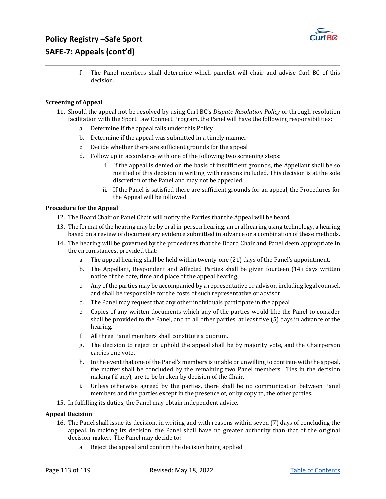

f. The Panel members shall determine which panelist will chair and advise Curl BC of this decision.

### **Screening of Appeal**

- 11. Should the appeal not be resolved by using Curl BC's *Dispute Resolution Policy* or through resolution facilitation with the Sport Law Connect Program, the Panel will have the following responsibilities:
	- a. Determine if the appeal falls under this Policy
	- b. Determine if the appeal was submitted in a timely manner
	- c. Decide whether there are sufficient grounds for the appeal
	- d. Follow up in accordance with one of the following two screening steps:
		- i. If the appeal is denied on the basis of insufficient grounds, the Appellant shall be so notified of this decision in writing, with reasons included. This decision is at the sole discretion of the Panel and may not be appealed.
		- ii. If the Panel is satisfied there are sufficient grounds for an appeal, the Procedures for the Appeal will be followed.

## **Procedure for the Appeal**

- 12. The Board Chair or Panel Chair will notify the Parties that the Appeal will be heard.
- 13. The format of the hearing may be by oral in-person hearing, an oral hearing using technology, a hearing based on a review of documentary evidence submitted in advance or a combination of these methods.
- 14. The hearing will be governed by the procedures that the Board Chair and Panel deem appropriate in the circumstances, provided that:
	- a. The appeal hearing shall be held within twenty-one (21) days of the Panel's appointment.
	- b. The Appellant, Respondent and Affected Parties shall be given fourteen (14) days written notice of the date, time and place of the appeal hearing.
	- c. Any of the parties may be accompanied by a representative or advisor, including legal counsel, and shall be responsible for the costs of such representative or advisor.
	- d. The Panel may request that any other individuals participate in the appeal.
	- e. Copies of any written documents which any of the parties would like the Panel to consider shall be provided to the Panel, and to all other parties, at least five (5) days in advance of the hearing.
	- f. All three Panel members shall constitute a quorum.
	- g. The decision to reject or uphold the appeal shall be by majority vote, and the Chairperson carries one vote.
	- h. In the event that one of the Panel's members is unable or unwilling to continue with the appeal, the matter shall be concluded by the remaining two Panel members. Ties in the decision making (if any), are to be broken by decision of the Chair.
	- i. Unless otherwise agreed by the parties, there shall be no communication between Panel members and the parties except in the presence of, or by copy to, the other parties.
- 15. In fulfilling its duties, the Panel may obtain independent advice.

### **Appeal Decision**

- 16. The Panel shall issue its decision, in writing and with reasons within seven (7) days of concluding the appeal. In making its decision, the Panel shall have no greater authority than that of the original decision-maker. The Panel may decide to:
	- a. Reject the appeal and confirm the decision being applied.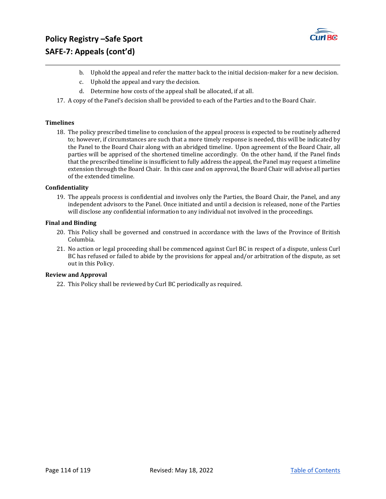

- b. Uphold the appeal and refer the matter back to the initial decision-maker for a new decision.
- c. Uphold the appeal and vary the decision.
- d. Determine how costs of the appeal shall be allocated, if at all.
- 17. A copy of the Panel's decision shall be provided to each of the Parties and to the Board Chair.

### **Timelines**

18. The policy prescribed timeline to conclusion of the appeal process is expected to be routinely adhered to; however, if circumstances are such that a more timely response is needed, this will be indicated by the Panel to the Board Chair along with an abridged timeline. Upon agreement of the Board Chair, all parties will be apprised of the shortened timeline accordingly. On the other hand, if the Panel finds that the prescribed timeline is insufficient to fully address the appeal, the Panel may request a timeline extension through the Board Chair. In this case and on approval, the Board Chair will advise all parties of the extended timeline.

#### **Confidentiality**

19. The appeals process is confidential and involves only the Parties, the Board Chair, the Panel, and any independent advisors to the Panel. Once initiated and until a decision is released, none of the Parties will disclose any confidential information to any individual not involved in the proceedings.

#### **Final and Binding**

- 20. This Policy shall be governed and construed in accordance with the laws of the Province of British Columbia.
- 21. No action or legal proceeding shall be commenced against Curl BC in respect of a dispute, unless Curl BC has refused or failed to abide by the provisions for appeal and/or arbitration of the dispute, as set out in this Policy.

### **Review** and **Approval**

22. This Policy shall be reviewed by Curl BC periodically as required.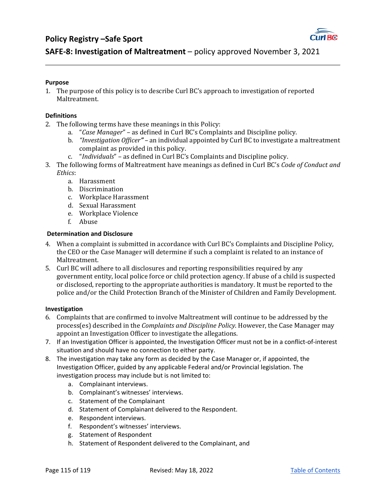# **Policy Registry –Safe Sport**



# **SAFE‐8: Investigation of Maltreatment** – policy approved November 3, 2021

### **Purpose**

1. The purpose of this policy is to describe Curl BC's approach to investigation of reported Maltreatment.

## **Definitions**

- 2. The following terms have these meanings in this Policy:
	- a. "*Case Manager*" as defined in Curl BC's Complaints and Discipline policy.
	- b. *"Investigation Officer"* an individual appointed by Curl BC to investigate a maltreatment complaint as provided in this policy.
	- c. "*Individuals*" as defined in Curl BC's Complaints and Discipline policy.
- 3. The following forms of Maltreatment have meanings as defined in Curl BC's *Code of Conduct and Ethics*:
	- a. Harassment
	- b. Discrimination
	- c. Workplace Harassment
	- d. Sexual Harassment
	- e. Workplace Violence
	- f. Abuse

# **Determination and Disclosure**

- 4. When a complaint is submitted in accordance with Curl BC's Complaints and Discipline Policy, the CEO or the Case Manager will determine if such a complaint is related to an instance of Maltreatment.
- 5. Curl BC will adhere to all disclosures and reporting responsibilities required by any government entity, local police force or child protection agency. If abuse of a child is suspected or disclosed, reporting to the appropriate authorities is mandatory. It must be reported to the police and/or the Child Protection Branch of the Minister of Children and Family Development.

### **Investigation**

- 6. Complaints that are confirmed to involve Maltreatment will continue to be addressed by the process(es) described in the *Complaints and Discipline Policy*. However, the Case Manager may appoint an Investigation Officer to investigate the allegations.
- 7. If an Investigation Officer is appointed, the Investigation Officer must not be in a conflict-of-interest situation and should have no connection to either party.
- 8. The investigation may take any form as decided by the Case Manager or, if appointed, the Investigation Officer, guided by any applicable Federal and/or Provincial legislation. The investigation process may include but is not limited to:
	- a. Complainant interviews.
	- b. Complainant's witnesses' interviews.
	- c. Statement of the Complainant
	- d. Statement of Complainant delivered to the Respondent.
	- e. Respondent interviews.
	- f. Respondent's witnesses' interviews.
	- g. Statement of Respondent
	- h. Statement of Respondent delivered to the Complainant, and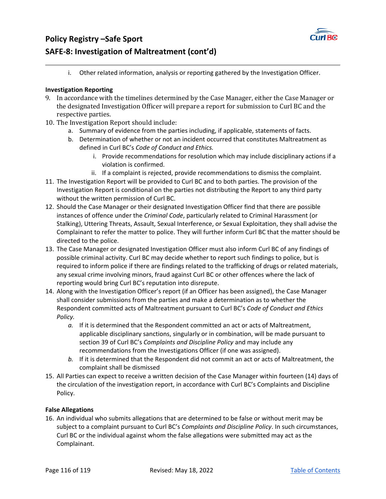

# **Policy Registry –Safe Sport SAFE‐8: Investigation of Maltreatment (cont'd)**

i. Other related information, analysis or reporting gathered by the Investigation Officer.

# **Investigation Reporting**

- 9. In accordance with the timelines determined by the Case Manager, either the Case Manager or the designated Investigation Officer will prepare a report for submission to Curl BC and the respective parties.
- 10. The Investigation Report should include:
	- a. Summary of evidence from the parties including, if applicable, statements of facts.
	- b. Determination of whether or not an incident occurred that constitutes Maltreatment as defined in Curl BC's *Code of Conduct and Ethics.*
		- i. Provide recommendations for resolution which may include disciplinary actions if a violation is confirmed.
		- ii. If a complaint is rejected, provide recommendations to dismiss the complaint.
- 11. The Investigation Report will be provided to Curl BC and to both parties. The provision of the Investigation Report is conditional on the parties not distributing the Report to any third party without the written permission of Curl BC.
- 12. Should the Case Manager or their designated Investigation Officer find that there are possible instances of offence under the *Criminal Code*, particularly related to Criminal Harassment (or Stalking), Uttering Threats, Assault, Sexual Interference, or Sexual Exploitation, they shall advise the Complainant to refer the matter to police. They will further inform Curl BC that the matter should be directed to the police.
- 13. The Case Manager or designated Investigation Officer must also inform Curl BC of any findings of possible criminal activity. Curl BC may decide whether to report such findings to police, but is required to inform police if there are findings related to the trafficking of drugs or related materials, any sexual crime involving minors, fraud against Curl BC or other offences where the lack of reporting would bring Curl BC's reputation into disrepute.
- 14. Along with the Investigation Officer's report (if an Officer has been assigned), the Case Manager shall consider submissions from the parties and make a determination as to whether the Respondent committed acts of Maltreatment pursuant to Curl BC's *Code of Conduct and Ethics Policy.*
	- *a.* If it is determined that the Respondent committed an act or acts of Maltreatment, applicable disciplinary sanctions, singularly or in combination, will be made pursuant to section 39 of Curl BC's *Complaints and Discipline Policy* and may include any recommendations from the Investigations Officer (if one was assigned).
	- *b.* If it is determined that the Respondent did not commit an act or acts of Maltreatment, the complaint shall be dismissed
- 15. All Parties can expect to receive a written decision of the Case Manager within fourteen (14) days of the circulation of the investigation report, in accordance with Curl BC's Complaints and Discipline Policy.

# **False Allegations**

16. An individual who submits allegations that are determined to be false or without merit may be subject to a complaint pursuant to Curl BC's *Complaints and Discipline Policy*. In such circumstances, Curl BC or the individual against whom the false allegations were submitted may act as the Complainant.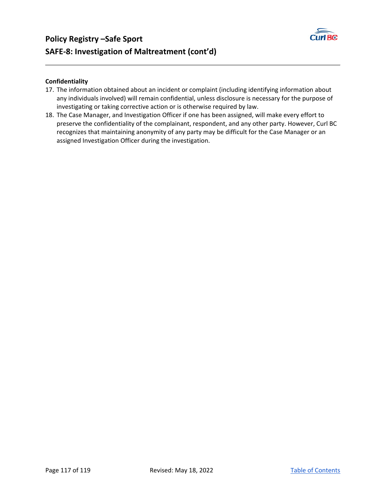



# **Confidentiality**

- 17. The information obtained about an incident or complaint (including identifying information about any individuals involved) will remain confidential, unless disclosure is necessary for the purpose of investigating or taking corrective action or is otherwise required by law.
- 18. The Case Manager, and Investigation Officer if one has been assigned, will make every effort to preserve the confidentiality of the complainant, respondent, and any other party. However, Curl BC recognizes that maintaining anonymity of any party may be difficult for the Case Manager or an assigned Investigation Officer during the investigation.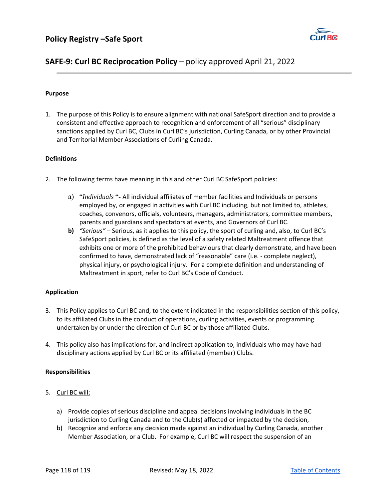

# **SAFE‐9: Curl BC Reciprocation Policy** – policy approved April 21, 2022

## **Purpose**

1. The purpose of this Policy is to ensure alignment with national SafeSport direction and to provide a consistent and effective approach to recognition and enforcement of all "serious" disciplinary sanctions applied by Curl BC, Clubs in Curl BC's jurisdiction, Curling Canada, or by other Provincial and Territorial Member Associations of Curling Canada.

### **Definitions**

- 2. The following terms have meaning in this and other Curl BC SafeSport policies:
	- a) "*Individuals* "- All individual affiliates of member facilities and Individuals or persons employed by, or engaged in activities with Curl BC including, but not limited to, athletes, coaches, convenors, officials, volunteers, managers, administrators, committee members, parents and guardians and spectators at events, and Governors of Curl BC.
	- **b)** *"Serious"* Serious, as it applies to this policy, the sport of curling and, also, to Curl BC's SafeSport policies, is defined as the level of a safety related Maltreatment offence that exhibits one or more of the prohibited behaviours that clearly demonstrate, and have been confirmed to have, demonstrated lack of "reasonable" care (i.e. ‐ complete neglect), physical injury, or psychological injury. For a complete definition and understanding of Maltreatment in sport, refer to Curl BC's Code of Conduct.

# **Application**

- 3. This Policy applies to Curl BC and, to the extent indicated in the responsibilities section of this policy, to its affiliated Clubs in the conduct of operations, curling activities, events or programming undertaken by or under the direction of Curl BC or by those affiliated Clubs.
- 4. This policy also has implications for, and indirect application to, individuals who may have had disciplinary actions applied by Curl BC or its affiliated (member) Clubs.

# **Responsibilities**

- 5. Curl BC will:
	- a) Provide copies of serious discipline and appeal decisions involving individuals in the BC jurisdiction to Curling Canada and to the Club(s) affected or impacted by the decision,
	- b) Recognize and enforce any decision made against an individual by Curling Canada, another Member Association, or a Club. For example, Curl BC will respect the suspension of an